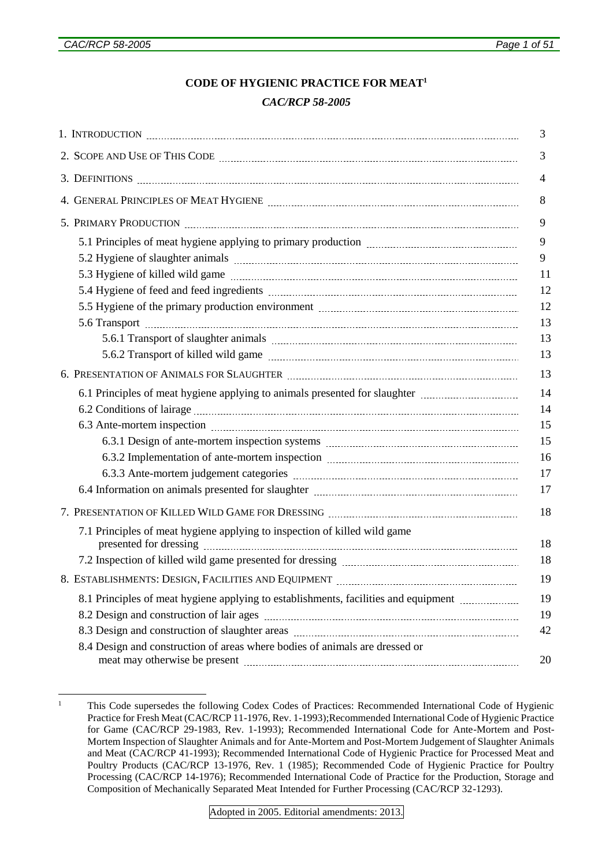# **CODE OF HYGIENIC PRACTICE FOR MEAT<sup>1</sup>**

## *CAC/RCP 58-2005*

|                                                                                                          | 3              |
|----------------------------------------------------------------------------------------------------------|----------------|
|                                                                                                          | 3              |
|                                                                                                          | $\overline{4}$ |
|                                                                                                          | 8              |
|                                                                                                          | 9              |
|                                                                                                          | 9              |
|                                                                                                          | 9              |
|                                                                                                          | 11             |
|                                                                                                          | 12             |
|                                                                                                          | 12             |
|                                                                                                          | 13             |
|                                                                                                          | 13             |
|                                                                                                          | 13             |
|                                                                                                          | 13             |
| 6.1 Principles of meat hygiene applying to animals presented for slaughter <i>manufacture interioral</i> | 14             |
|                                                                                                          | 14             |
|                                                                                                          | 15             |
|                                                                                                          | 15             |
|                                                                                                          | 16             |
|                                                                                                          | 17             |
|                                                                                                          | 17             |
|                                                                                                          | 18             |
| 7.1 Principles of meat hygiene applying to inspection of killed wild game                                | 18             |
|                                                                                                          | 18             |
|                                                                                                          | 19             |
| 8.1 Principles of meat hygiene applying to establishments, facilities and equipment <i>manuformance</i>  | 19             |
|                                                                                                          | 19             |
|                                                                                                          | 42             |
| 8.4 Design and construction of areas where bodies of animals are dressed or                              | 20             |

<sup>1</sup> <sup>1</sup> This Code supersedes the following Codex Codes of Practices: Recommended International Code of Hygienic Practice for Fresh Meat (CAC/RCP 11-1976, Rev. 1-1993);Recommended International Code of Hygienic Practice for Game (CAC/RCP 29-1983, Rev. 1-1993); Recommended International Code for Ante-Mortem and Post-Mortem Inspection of Slaughter Animals and for Ante-Mortem and Post-Mortem Judgement of Slaughter Animals and Meat (CAC/RCP 41-1993); Recommended International Code of Hygienic Practice for Processed Meat and Poultry Products (CAC/RCP 13-1976, Rev. 1 (1985); Recommended Code of Hygienic Practice for Poultry Processing (CAC/RCP 14-1976); Recommended International Code of Practice for the Production, Storage and Composition of Mechanically Separated Meat Intended for Further Processing (CAC/RCP 32-1293).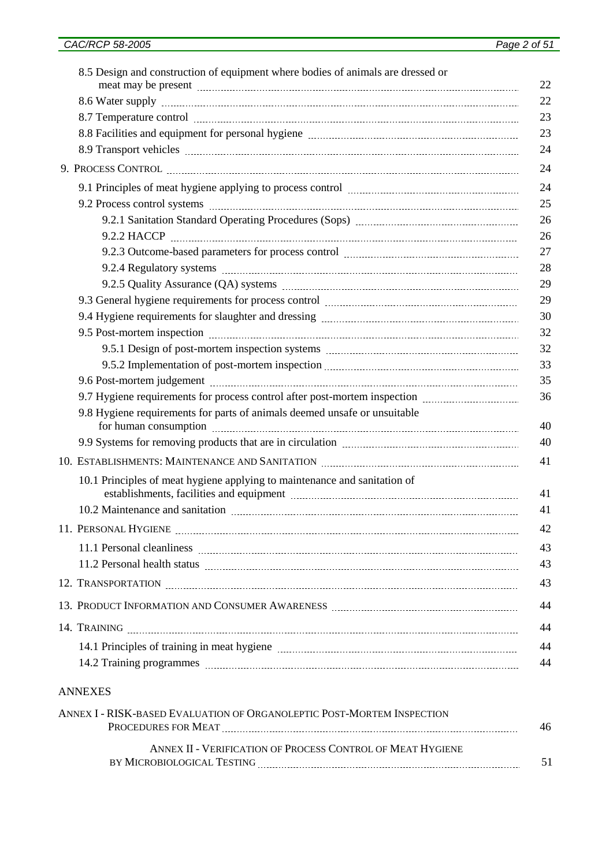| 8.5 Design and construction of equipment where bodies of animals are dressed or                                                                                                    |
|------------------------------------------------------------------------------------------------------------------------------------------------------------------------------------|
|                                                                                                                                                                                    |
|                                                                                                                                                                                    |
|                                                                                                                                                                                    |
|                                                                                                                                                                                    |
|                                                                                                                                                                                    |
|                                                                                                                                                                                    |
|                                                                                                                                                                                    |
| 9.2.1 Sanitation Standard Operating Procedures (Sops) manufactures and successive states and standard operating                                                                    |
|                                                                                                                                                                                    |
|                                                                                                                                                                                    |
|                                                                                                                                                                                    |
|                                                                                                                                                                                    |
|                                                                                                                                                                                    |
|                                                                                                                                                                                    |
|                                                                                                                                                                                    |
|                                                                                                                                                                                    |
|                                                                                                                                                                                    |
| 9.7 Hygiene requirements for process control after post-mortem inspection <i>manufacturements</i>                                                                                  |
| 9.8 Hygiene requirements for parts of animals deemed unsafe or unsuitable                                                                                                          |
|                                                                                                                                                                                    |
|                                                                                                                                                                                    |
| 10.1 Principles of meat hygiene applying to maintenance and sanitation of<br>establishments, facilities and equipment manufactured and the stablishments, facilities and equipment |
|                                                                                                                                                                                    |
|                                                                                                                                                                                    |
|                                                                                                                                                                                    |
|                                                                                                                                                                                    |
|                                                                                                                                                                                    |
|                                                                                                                                                                                    |
|                                                                                                                                                                                    |
|                                                                                                                                                                                    |
|                                                                                                                                                                                    |
|                                                                                                                                                                                    |

#### ANNEXES

| ANNEX I - RISK-based EVALUATION OF ORGANOLEPTIC POST-MORTEM INSPECTION |    |
|------------------------------------------------------------------------|----|
| PROCEDURES FOR MEAT                                                    | 46 |
| ANNEX II - VERIFICATION OF PROCESS CONTROL OF MEAT HYGIENE             |    |
| BY MICROBIOLOGICAL TESTING                                             |    |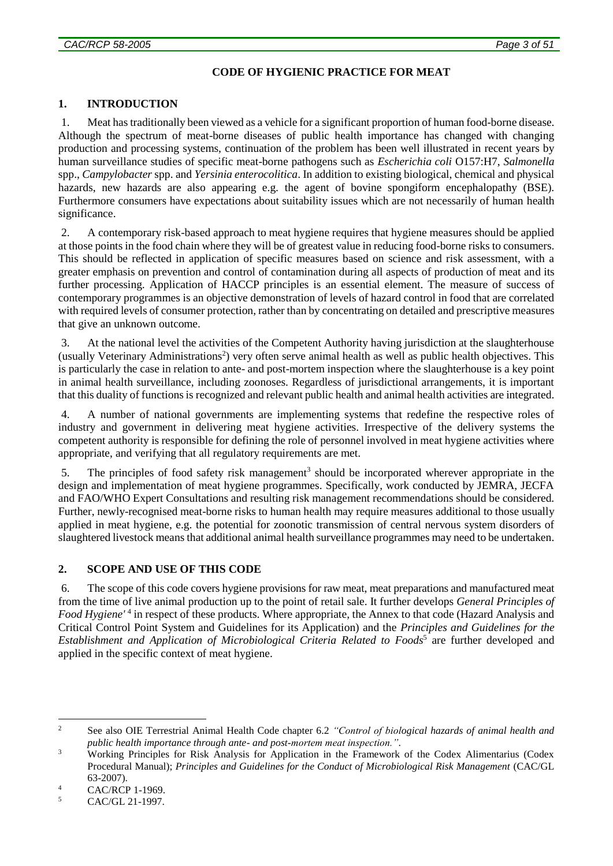## **CODE OF HYGIENIC PRACTICE FOR MEAT**

### **1. INTRODUCTION**

1. Meat has traditionally been viewed as a vehicle for a significant proportion of human food-borne disease. Although the spectrum of meat-borne diseases of public health importance has changed with changing production and processing systems, continuation of the problem has been well illustrated in recent years by human surveillance studies of specific meat-borne pathogens such as *Escherichia coli* O157:H7, *Salmonella* spp., *Campylobacter* spp. and *Yersinia enterocolitica*. In addition to existing biological, chemical and physical hazards, new hazards are also appearing e.g. the agent of bovine spongiform encephalopathy (BSE). Furthermore consumers have expectations about suitability issues which are not necessarily of human health significance.

2. A contemporary risk-based approach to meat hygiene requires that hygiene measures should be applied at those points in the food chain where they will be of greatest value in reducing food-borne risks to consumers. This should be reflected in application of specific measures based on science and risk assessment, with a greater emphasis on prevention and control of contamination during all aspects of production of meat and its further processing. Application of HACCP principles is an essential element. The measure of success of contemporary programmes is an objective demonstration of levels of hazard control in food that are correlated with required levels of consumer protection, rather than by concentrating on detailed and prescriptive measures that give an unknown outcome.

3. At the national level the activities of the Competent Authority having jurisdiction at the slaughterhouse (usually Veterinary Administrations<sup>2</sup>) very often serve animal health as well as public health objectives. This is particularly the case in relation to ante- and post-mortem inspection where the slaughterhouse is a key point in animal health surveillance, including zoonoses. Regardless of jurisdictional arrangements, it is important that this duality of functions is recognized and relevant public health and animal health activities are integrated.

4. A number of national governments are implementing systems that redefine the respective roles of industry and government in delivering meat hygiene activities. Irrespective of the delivery systems the competent authority is responsible for defining the role of personnel involved in meat hygiene activities where appropriate, and verifying that all regulatory requirements are met.

5. The principles of food safety risk management<sup>3</sup> should be incorporated wherever appropriate in the design and implementation of meat hygiene programmes. Specifically, work conducted by JEMRA, JECFA and FAO/WHO Expert Consultations and resulting risk management recommendations should be considered. Further, newly-recognised meat-borne risks to human health may require measures additional to those usually applied in meat hygiene, e.g. the potential for zoonotic transmission of central nervous system disorders of slaughtered livestock means that additional animal health surveillance programmes may need to be undertaken.

#### **2. SCOPE AND USE OF THIS CODE**

6. The scope of this code covers hygiene provisions for raw meat, meat preparations and manufactured meat from the time of live animal production up to the point of retail sale. It further develops *General Principles of*  Food Hygiene<sup>'4</sup> in respect of these products. Where appropriate, the Annex to that code (Hazard Analysis and Critical Control Point System and Guidelines for its Application) and the *Principles and Guidelines for the*  Establishment and Application of Microbiological Criteria Related to Foods<sup>5</sup> are further developed and applied in the specific context of meat hygiene.

 $\overline{2}$ <sup>2</sup> See also OIE Terrestrial Animal Health Code chapter 6.2 *"Control of biological hazards of animal health and public health importance through ante- and post-mortem meat inspection."*.

<sup>&</sup>lt;sup>3</sup> Working Principles for Risk Analysis for Application in the Framework of the Codex Alimentarius (Codex Procedural Manual); *Principles and Guidelines for the Conduct of Microbiological Risk Management* (CAC/GL 63-2007).

 $\frac{4}{5}$  CAC/RCP 1-1969.

CAC/GL 21-1997.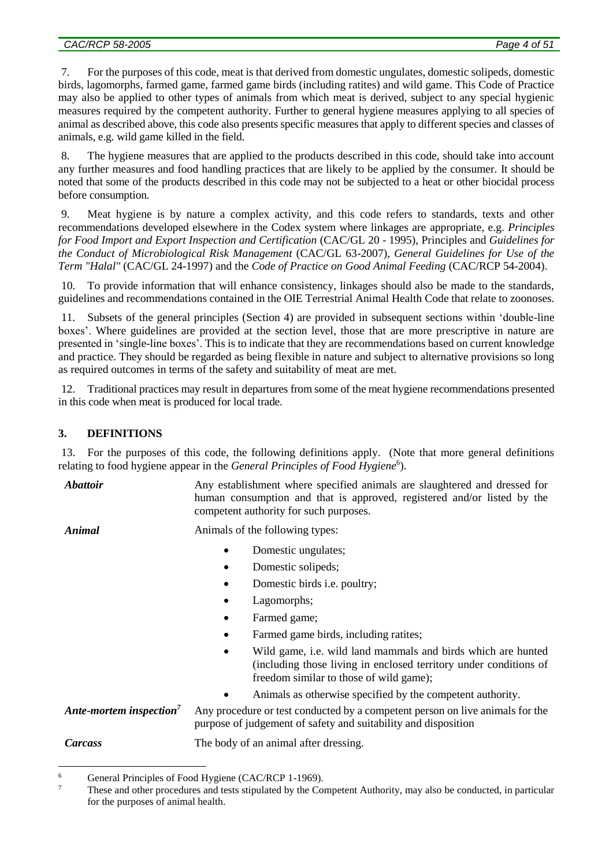7. For the purposes of this code, meat is that derived from domestic ungulates, domestic solipeds, domestic birds, lagomorphs, farmed game, farmed game birds (including ratites) and wild game. This Code of Practice may also be applied to other types of animals from which meat is derived, subject to any special hygienic measures required by the competent authority. Further to general hygiene measures applying to all species of animal as described above, this code also presents specific measures that apply to different species and classes of animals, e.g. wild game killed in the field.

8. The hygiene measures that are applied to the products described in this code, should take into account any further measures and food handling practices that are likely to be applied by the consumer. It should be noted that some of the products described in this code may not be subjected to a heat or other biocidal process before consumption.

9. Meat hygiene is by nature a complex activity, and this code refers to standards, texts and other recommendations developed elsewhere in the Codex system where linkages are appropriate, e.g. *Principles for Food Import and Export Inspection and Certification* (CAC/GL 20 - 1995), Principles and *Guidelines for the Conduct of Microbiological Risk Management* (CAC/GL 63-2007), *General Guidelines for Use of the Term "Halal"* (CAC/GL 24-1997) and the *Code of Practice on Good Animal Feeding* (CAC/RCP 54-2004).

10. To provide information that will enhance consistency, linkages should also be made to the standards, guidelines and recommendations contained in the OIE Terrestrial Animal Health Code that relate to zoonoses.

11. Subsets of the general principles (Section 4) are provided in subsequent sections within 'double-line boxes'. Where guidelines are provided at the section level, those that are more prescriptive in nature are presented in 'single-line boxes'. This is to indicate that they are recommendations based on current knowledge and practice. They should be regarded as being flexible in nature and subject to alternative provisions so long as required outcomes in terms of the safety and suitability of meat are met.

12. Traditional practices may result in departures from some of the meat hygiene recommendations presented in this code when meat is produced for local trade.

# **3. DEFINITIONS**

13. For the purposes of this code, the following definitions apply. (Note that more general definitions relating to food hygiene appear in the *General Principles of Food Hygiene*<sup>6</sup>).

*Abattoir* **Any establishment where specified animals are slaughtered and dressed for** human consumption and that is approved, registered and/or listed by the competent authority for such purposes.

<u>.</u>

*Animal* **Animals** of the following types:

- Domestic ungulates;
- Domestic solipeds;
- Domestic birds i.e. poultry;
- Lagomorphs;
- Farmed game;
- Farmed game birds, including ratites;
- Wild game, i.e. wild land mammals and birds which are hunted (including those living in enclosed territory under conditions of freedom similar to those of wild game);
- Animals as otherwise specified by the competent authority.

*Ante-mortem inspection<sup>7</sup>* Any procedure or test conducted by a competent person on live animals for the purpose of judgement of safety and suitability and disposition

*Carcass* The body of an animal after dressing.

<sup>&</sup>lt;sup>6</sup> General Principles of Food Hygiene (CAC/RCP 1-1969).<br><sup>7</sup> These and other presedures and tests stimulated by the Go

<sup>7</sup> These and other procedures and tests stipulated by the Competent Authority, may also be conducted, in particular for the purposes of animal health.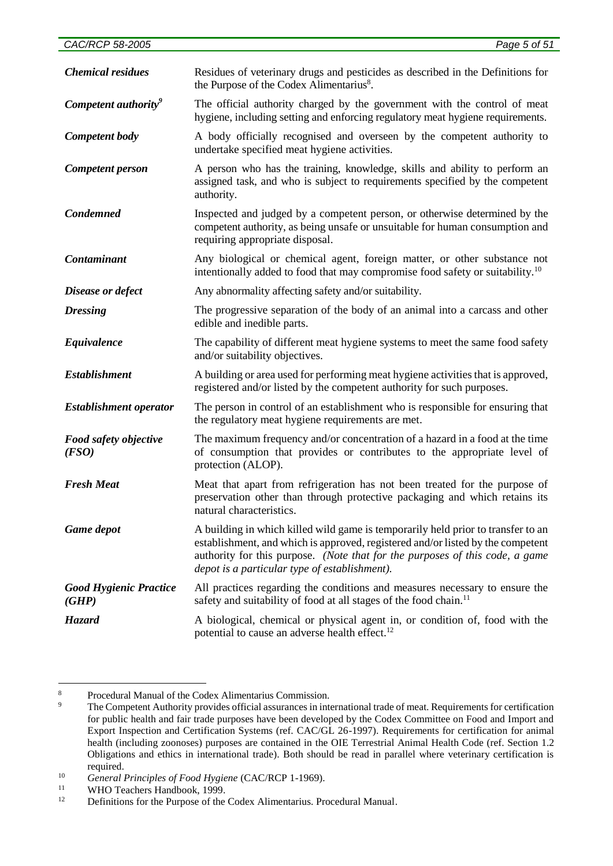| <b>Chemical residues</b>               | Residues of veterinary drugs and pesticides as described in the Definitions for<br>the Purpose of the Codex Alimentarius <sup>8</sup> .                                                                                                                                                              |
|----------------------------------------|------------------------------------------------------------------------------------------------------------------------------------------------------------------------------------------------------------------------------------------------------------------------------------------------------|
| Competent authority <sup>9</sup>       | The official authority charged by the government with the control of meat<br>hygiene, including setting and enforcing regulatory meat hygiene requirements.                                                                                                                                          |
| Competent body                         | A body officially recognised and overseen by the competent authority to<br>undertake specified meat hygiene activities.                                                                                                                                                                              |
| Competent person                       | A person who has the training, knowledge, skills and ability to perform an<br>assigned task, and who is subject to requirements specified by the competent<br>authority.                                                                                                                             |
| <b>Condemned</b>                       | Inspected and judged by a competent person, or otherwise determined by the<br>competent authority, as being unsafe or unsuitable for human consumption and<br>requiring appropriate disposal.                                                                                                        |
| Contaminant                            | Any biological or chemical agent, foreign matter, or other substance not<br>intentionally added to food that may compromise food safety or suitability. <sup>10</sup>                                                                                                                                |
| Disease or defect                      | Any abnormality affecting safety and/or suitability.                                                                                                                                                                                                                                                 |
| <b>Dressing</b>                        | The progressive separation of the body of an animal into a carcass and other<br>edible and inedible parts.                                                                                                                                                                                           |
| Equivalence                            | The capability of different meat hygiene systems to meet the same food safety<br>and/or suitability objectives.                                                                                                                                                                                      |
| <b>Establishment</b>                   | A building or area used for performing meat hygiene activities that is approved,<br>registered and/or listed by the competent authority for such purposes.                                                                                                                                           |
| <b>Establishment operator</b>          | The person in control of an establishment who is responsible for ensuring that<br>the regulatory meat hygiene requirements are met.                                                                                                                                                                  |
| Food safety objective<br>(FSO)         | The maximum frequency and/or concentration of a hazard in a food at the time<br>of consumption that provides or contributes to the appropriate level of<br>protection (ALOP).                                                                                                                        |
| <b>Fresh Meat</b>                      | Meat that apart from refrigeration has not been treated for the purpose of<br>preservation other than through protective packaging and which retains its<br>natural characteristics.                                                                                                                 |
| Game depot                             | A building in which killed wild game is temporarily held prior to transfer to an<br>establishment, and which is approved, registered and/or listed by the competent<br>authority for this purpose. (Note that for the purposes of this code, a game<br>depot is a particular type of establishment). |
| <b>Good Hygienic Practice</b><br>(GHP) | All practices regarding the conditions and measures necessary to ensure the<br>safety and suitability of food at all stages of the food chain. <sup>11</sup>                                                                                                                                         |
| Hazard                                 | A biological, chemical or physical agent in, or condition of, food with the<br>potential to cause an adverse health effect. <sup>12</sup>                                                                                                                                                            |

 $\,$  8  $\,$ <sup>8</sup><br>Procedural Manual of the Codex Alimentarius Commission.<br>The Competent Authority provides official assurances in int

<sup>9</sup> The Competent Authority provides official assurances in international trade of meat. Requirements for certification for public health and fair trade purposes have been developed by the Codex Committee on Food and Import and Export Inspection and Certification Systems (ref. CAC/GL 26-1997). Requirements for certification for animal health (including zoonoses) purposes are contained in the OIE Terrestrial Animal Health Code (ref. Section 1.2 Obligations and ethics in international trade). Both should be read in parallel where veterinary certification is required.

<sup>10</sup> *General Principles of Food Hygiene* (CAC/RCP 1-1969).

<sup>&</sup>lt;sup>11</sup> WHO Teachers Handbook, 1999.<br> **12** Definitions for the Purpose of the

<sup>12</sup> Definitions for the Purpose of the Codex Alimentarius. Procedural Manual.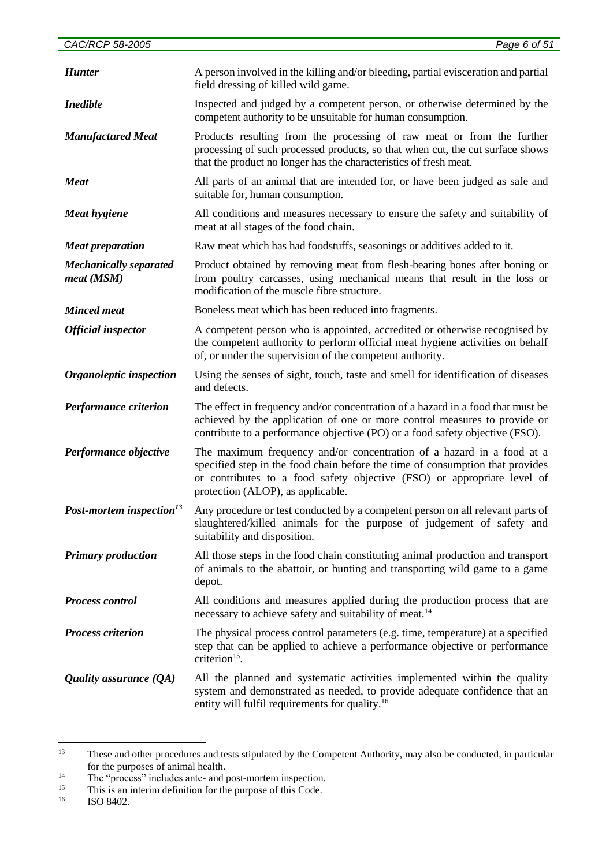| <b>Hunter</b>                               | A person involved in the killing and/or bleeding, partial evisceration and partial<br>field dressing of killed wild game.                                                                                                                                              |
|---------------------------------------------|------------------------------------------------------------------------------------------------------------------------------------------------------------------------------------------------------------------------------------------------------------------------|
| <b>Inedible</b>                             | Inspected and judged by a competent person, or otherwise determined by the<br>competent authority to be unsuitable for human consumption.                                                                                                                              |
| <b>Manufactured Meat</b>                    | Products resulting from the processing of raw meat or from the further<br>processing of such processed products, so that when cut, the cut surface shows<br>that the product no longer has the characteristics of fresh meat.                                          |
| <b>Meat</b>                                 | All parts of an animal that are intended for, or have been judged as safe and<br>suitable for, human consumption.                                                                                                                                                      |
| <b>Meat hygiene</b>                         | All conditions and measures necessary to ensure the safety and suitability of<br>meat at all stages of the food chain.                                                                                                                                                 |
| <b>Meat preparation</b>                     | Raw meat which has had foodstuffs, seasonings or additives added to it.                                                                                                                                                                                                |
| <b>Mechanically separated</b><br>meat (MSM) | Product obtained by removing meat from flesh-bearing bones after boning or<br>from poultry carcasses, using mechanical means that result in the loss or<br>modification of the muscle fibre structure.                                                                 |
| <b>Minced</b> meat                          | Boneless meat which has been reduced into fragments.                                                                                                                                                                                                                   |
| <b>Official inspector</b>                   | A competent person who is appointed, accredited or otherwise recognised by<br>the competent authority to perform official meat hygiene activities on behalf<br>of, or under the supervision of the competent authority.                                                |
| Organoleptic inspection                     | Using the senses of sight, touch, taste and smell for identification of diseases<br>and defects.                                                                                                                                                                       |
| <b>Performance criterion</b>                | The effect in frequency and/or concentration of a hazard in a food that must be<br>achieved by the application of one or more control measures to provide or<br>contribute to a performance objective (PO) or a food safety objective (FSO).                           |
| Performance objective                       | The maximum frequency and/or concentration of a hazard in a food at a<br>specified step in the food chain before the time of consumption that provides<br>or contributes to a food safety objective (FSO) or appropriate level of<br>protection (ALOP), as applicable. |
| Post-mortem inspection <sup>13</sup>        | Any procedure or test conducted by a competent person on all relevant parts of<br>slaughtered/killed animals for the purpose of judgement of safety and<br>suitability and disposition.                                                                                |
| <b>Primary production</b>                   | All those steps in the food chain constituting animal production and transport<br>of animals to the abattoir, or hunting and transporting wild game to a game<br>depot.                                                                                                |
| <b>Process control</b>                      | All conditions and measures applied during the production process that are<br>necessary to achieve safety and suitability of meat. <sup>14</sup>                                                                                                                       |
| <b>Process criterion</b>                    | The physical process control parameters (e.g. time, temperature) at a specified<br>step that can be applied to achieve a performance objective or performance<br>criterion $15$ .                                                                                      |
| Quality assurance $(QA)$                    | All the planned and systematic activities implemented within the quality<br>system and demonstrated as needed, to provide adequate confidence that an<br>entity will fulfil requirements for quality. <sup>16</sup>                                                    |

 $13$ <sup>13</sup> These and other procedures and tests stipulated by the Competent Authority, may also be conducted, in particular for the purposes of animal health.

<sup>&</sup>lt;sup>14</sup> The "process" includes ante- and post-mortem inspection.<br><sup>15</sup> This is an interim definition for the nurnose of this Code

<sup>&</sup>lt;sup>15</sup> This is an interim definition for the purpose of this Code.<br> **16** ISO 8402

<sup>16</sup> ISO 8402.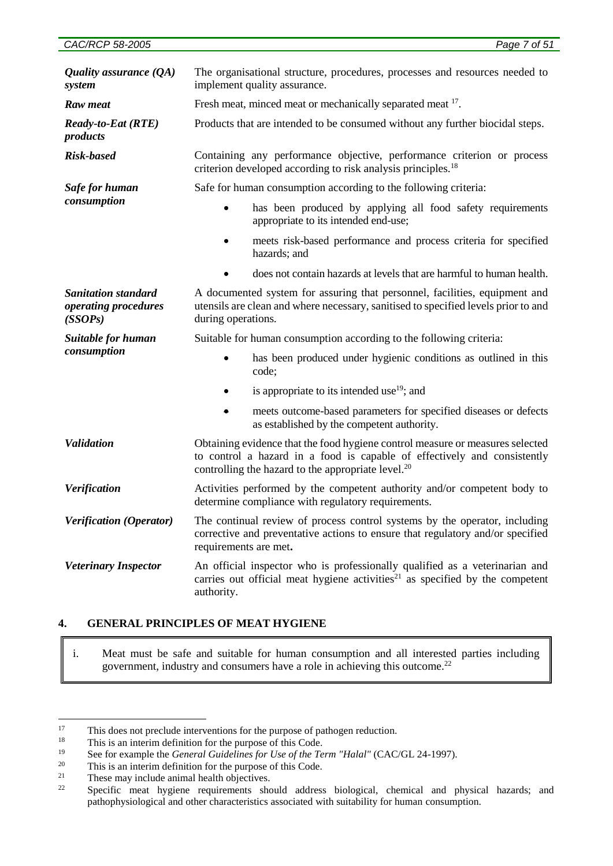*Raw meat* Fresh meat, minced meat or mechanically separated meat <sup>17</sup>.

*Ready-to-Eat (RTE)*  Products that are intended to be consumed without any further biocidal steps.

*Risk-based* Containing any performance objective, performance criterion or process criterion developed according to risk analysis principles.<sup>18</sup>

Safe for human consumption according to the following criteria:

- has been produced by applying all food safety requirements appropriate to its intended end-use;
- meets risk-based performance and process criteria for specified hazards; and
	- does not contain hazards at levels that are harmful to human health.

*Sanitation standard operating procedures (SSOPs)* A documented system for assuring that personnel, facilities, equipment and utensils are clean and where necessary, sanitised to specified levels prior to and during operations*.*

*Suitable for human consumption*

*products*

*Safe for human consumption*

Suitable for human consumption according to the following criteria:

- has been produced under hygienic conditions as outlined in this code;
- $\bullet$  is appropriate to its intended use<sup>19</sup>; and
- meets outcome-based parameters for specified diseases or defects as established by the competent authority.
- *Validation* Obtaining evidence that the food hygiene control measure or measures selected to control a hazard in a food is capable of effectively and consistently controlling the hazard to the appropriate level. $^{20}$
- *Verification* Activities performed by the competent authority and/or competent body to determine compliance with regulatory requirements.
- *Verification (Operator)* The continual review of process control systems by the operator, including corrective and preventative actions to ensure that regulatory and/or specified requirements are met**.**
- **Veterinary Inspector** An official inspector who is professionally qualified as a veterinarian and carries out official meat hygiene activities $21$  as specified by the competent authority.

# **4. GENERAL PRINCIPLES OF MEAT HYGIENE**

i. Meat must be safe and suitable for human consumption and all interested parties including government, industry and consumers have a role in achieving this outcome.<sup>22</sup>

 $17$ This does not preclude interventions for the purpose of pathogen reduction.

<sup>&</sup>lt;sup>18</sup> This is an interim definition for the purpose of this Code.

<sup>&</sup>lt;sup>19</sup> See for example the *General Guidelines for Use of the Term "Halal"* (CAC/GL 24-1997).

<sup>&</sup>lt;sup>20</sup> This is an interim definition for the purpose of this Code.<br><sup>21</sup> These may include enimal health objectives.

<sup>&</sup>lt;sup>21</sup> These may include animal health objectives.<br> $\frac{22}{2}$  Secosities meet, business requirements she

Specific meat hygiene requirements should address biological, chemical and physical hazards; and pathophysiological and other characteristics associated with suitability for human consumption.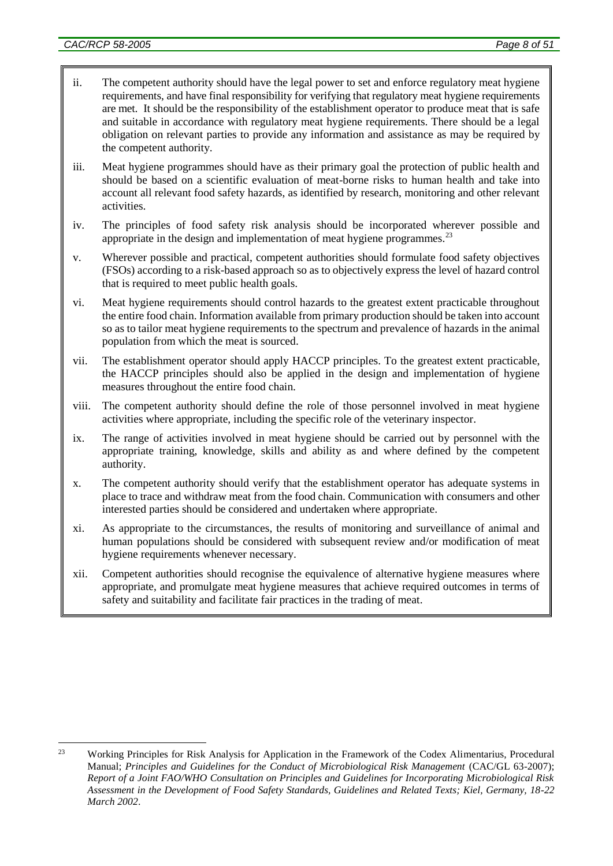- ii. The competent authority should have the legal power to set and enforce regulatory meat hygiene requirements, and have final responsibility for verifying that regulatory meat hygiene requirements are met. It should be the responsibility of the establishment operator to produce meat that is safe and suitable in accordance with regulatory meat hygiene requirements. There should be a legal obligation on relevant parties to provide any information and assistance as may be required by the competent authority.
- iii. Meat hygiene programmes should have as their primary goal the protection of public health and should be based on a scientific evaluation of meat-borne risks to human health and take into account all relevant food safety hazards, as identified by research, monitoring and other relevant activities.
- iv. The principles of food safety risk analysis should be incorporated wherever possible and appropriate in the design and implementation of meat hygiene programmes.<sup>23</sup>
- v. Wherever possible and practical, competent authorities should formulate food safety objectives (FSOs) according to a risk-based approach so as to objectively express the level of hazard control that is required to meet public health goals.
- vi. Meat hygiene requirements should control hazards to the greatest extent practicable throughout the entire food chain. Information available from primary production should be taken into account so as to tailor meat hygiene requirements to the spectrum and prevalence of hazards in the animal population from which the meat is sourced.
- vii. The establishment operator should apply HACCP principles. To the greatest extent practicable, the HACCP principles should also be applied in the design and implementation of hygiene measures throughout the entire food chain.
- viii. The competent authority should define the role of those personnel involved in meat hygiene activities where appropriate, including the specific role of the veterinary inspector.
- ix. The range of activities involved in meat hygiene should be carried out by personnel with the appropriate training, knowledge, skills and ability as and where defined by the competent authority.
- x. The competent authority should verify that the establishment operator has adequate systems in place to trace and withdraw meat from the food chain. Communication with consumers and other interested parties should be considered and undertaken where appropriate.
- xi. As appropriate to the circumstances, the results of monitoring and surveillance of animal and human populations should be considered with subsequent review and/or modification of meat hygiene requirements whenever necessary.
- xii. Competent authorities should recognise the equivalence of alternative hygiene measures where appropriate, and promulgate meat hygiene measures that achieve required outcomes in terms of safety and suitability and facilitate fair practices in the trading of meat.

<sup>&</sup>lt;u>.</u> <sup>23</sup> Working Principles for Risk Analysis for Application in the Framework of the Codex Alimentarius, Procedural Manual; *Principles and Guidelines for the Conduct of Microbiological Risk Management* (CAC/GL 63-2007); *Report of a Joint FAO/WHO Consultation on Principles and Guidelines for Incorporating Microbiological Risk Assessment in the Development of Food Safety Standards, Guidelines and Related Texts; Kiel, Germany, 18-22 March 2002*.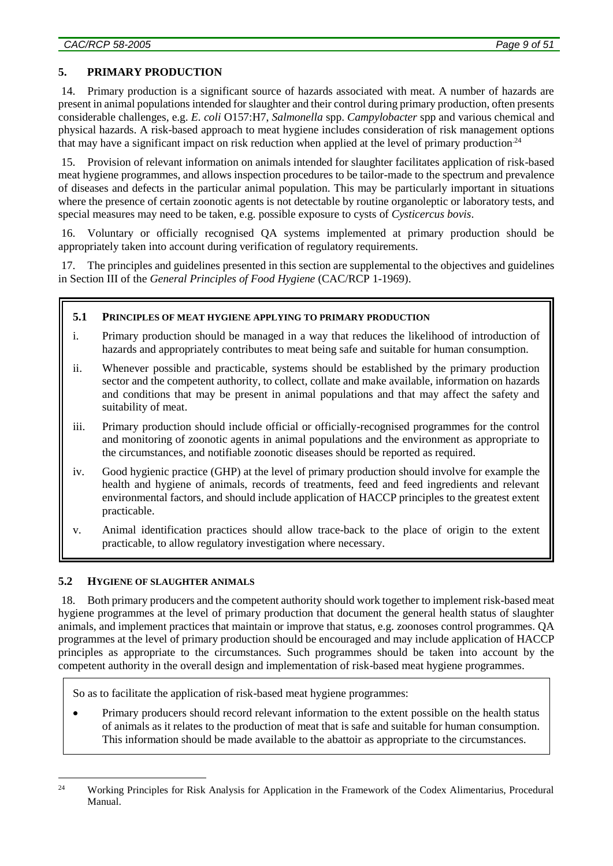## **5. PRIMARY PRODUCTION**

14. Primary production is a significant source of hazards associated with meat. A number of hazards are present in animal populations intended for slaughter and their control during primary production, often presents considerable challenges, e.g. *E. coli* O157:H7, *Salmonella* spp. *Campylobacter* spp and various chemical and physical hazards. A risk-based approach to meat hygiene includes consideration of risk management options that may have a significant impact on risk reduction when applied at the level of primary production.<sup>24</sup>

15. Provision of relevant information on animals intended for slaughter facilitates application of risk-based meat hygiene programmes, and allows inspection procedures to be tailor-made to the spectrum and prevalence of diseases and defects in the particular animal population. This may be particularly important in situations where the presence of certain zoonotic agents is not detectable by routine organoleptic or laboratory tests, and special measures may need to be taken, e.g. possible exposure to cysts of *Cysticercus bovis*.

16. Voluntary or officially recognised QA systems implemented at primary production should be appropriately taken into account during verification of regulatory requirements.

17. The principles and guidelines presented in this section are supplemental to the objectives and guidelines in Section III of the *General Principles of Food Hygiene* (CAC/RCP 1-1969).

### **5.1 PRINCIPLES OF MEAT HYGIENE APPLYING TO PRIMARY PRODUCTION**

- i. Primary production should be managed in a way that reduces the likelihood of introduction of hazards and appropriately contributes to meat being safe and suitable for human consumption.
- ii. Whenever possible and practicable, systems should be established by the primary production sector and the competent authority, to collect, collate and make available, information on hazards and conditions that may be present in animal populations and that may affect the safety and suitability of meat.
- iii. Primary production should include official or officially-recognised programmes for the control and monitoring of zoonotic agents in animal populations and the environment as appropriate to the circumstances, and notifiable zoonotic diseases should be reported as required.
- iv. Good hygienic practice (GHP) at the level of primary production should involve for example the health and hygiene of animals, records of treatments, feed and feed ingredients and relevant environmental factors, and should include application of HACCP principles to the greatest extent practicable.
- v. Animal identification practices should allow trace-back to the place of origin to the extent practicable, to allow regulatory investigation where necessary.

## **5.2 HYGIENE OF SLAUGHTER ANIMALS**

<u>.</u>

18. Both primary producers and the competent authority should work together to implement risk-based meat hygiene programmes at the level of primary production that document the general health status of slaughter animals, and implement practices that maintain or improve that status, e.g. zoonoses control programmes. QA programmes at the level of primary production should be encouraged and may include application of HACCP principles as appropriate to the circumstances. Such programmes should be taken into account by the competent authority in the overall design and implementation of risk-based meat hygiene programmes.

So as to facilitate the application of risk-based meat hygiene programmes:

 Primary producers should record relevant information to the extent possible on the health status of animals as it relates to the production of meat that is safe and suitable for human consumption. This information should be made available to the abattoir as appropriate to the circumstances.

<sup>&</sup>lt;sup>24</sup> Working Principles for Risk Analysis for Application in the Framework of the Codex Alimentarius, Procedural Manual.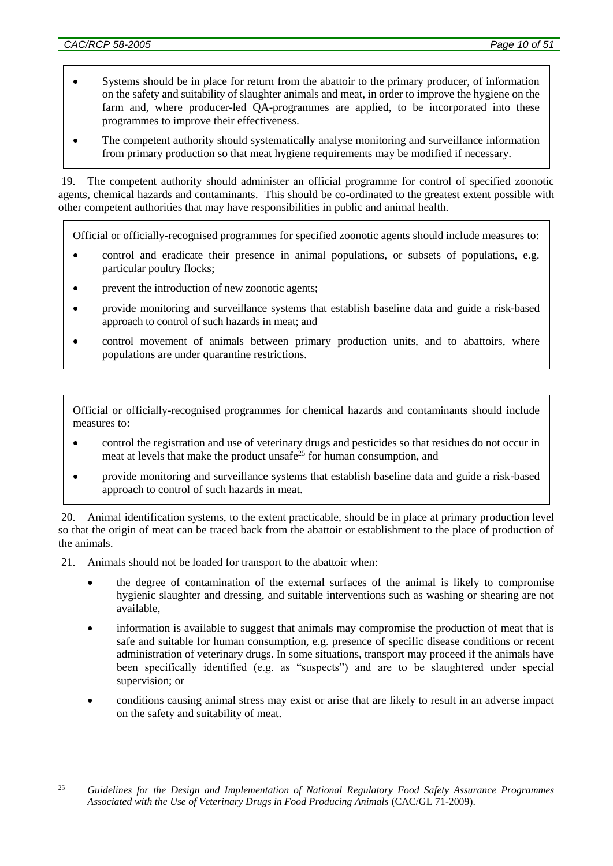- Systems should be in place for return from the abattoir to the primary producer, of information on the safety and suitability of slaughter animals and meat, in order to improve the hygiene on the farm and, where producer-led QA-programmes are applied, to be incorporated into these programmes to improve their effectiveness.
- The competent authority should systematically analyse monitoring and surveillance information from primary production so that meat hygiene requirements may be modified if necessary.

19. The competent authority should administer an official programme for control of specified zoonotic agents, chemical hazards and contaminants. This should be co-ordinated to the greatest extent possible with other competent authorities that may have responsibilities in public and animal health.

Official or officially-recognised programmes for specified zoonotic agents should include measures to:

- control and eradicate their presence in animal populations, or subsets of populations, e.g. particular poultry flocks;
- prevent the introduction of new zoonotic agents;
- provide monitoring and surveillance systems that establish baseline data and guide a risk-based approach to control of such hazards in meat; and
- control movement of animals between primary production units, and to abattoirs, where populations are under quarantine restrictions.

Official or officially-recognised programmes for chemical hazards and contaminants should include measures to:

- control the registration and use of veterinary drugs and pesticides so that residues do not occur in meat at levels that make the product unsafe<sup>25</sup> for human consumption, and
- provide monitoring and surveillance systems that establish baseline data and guide a risk-based approach to control of such hazards in meat.

20. Animal identification systems, to the extent practicable, should be in place at primary production level so that the origin of meat can be traced back from the abattoir or establishment to the place of production of the animals.

- 21. Animals should not be loaded for transport to the abattoir when:
	- the degree of contamination of the external surfaces of the animal is likely to compromise hygienic slaughter and dressing, and suitable interventions such as washing or shearing are not available,
	- information is available to suggest that animals may compromise the production of meat that is safe and suitable for human consumption, e.g. presence of specific disease conditions or recent administration of veterinary drugs. In some situations, transport may proceed if the animals have been specifically identified (e.g. as "suspects") and are to be slaughtered under special supervision; or
	- conditions causing animal stress may exist or arise that are likely to result in an adverse impact on the safety and suitability of meat.

<sup>&</sup>lt;u>.</u> <sup>25</sup> *Guidelines for the Design and Implementation of National Regulatory Food Safety Assurance Programmes Associated with the Use of Veterinary Drugs in Food Producing Animals* (CAC/GL 71-2009).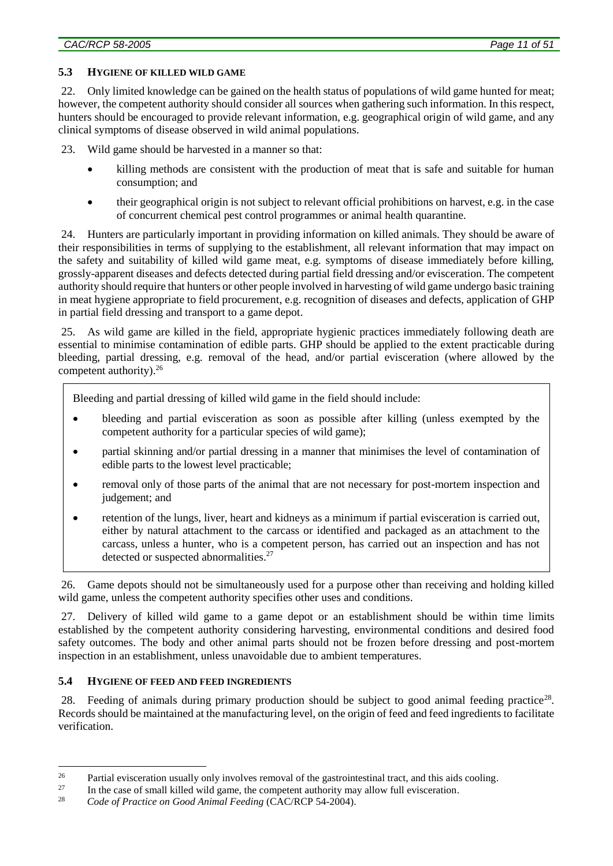### **5.3 HYGIENE OF KILLED WILD GAME**

22. Only limited knowledge can be gained on the health status of populations of wild game hunted for meat; however, the competent authority should consider all sources when gathering such information. In this respect, hunters should be encouraged to provide relevant information, e.g. geographical origin of wild game, and any clinical symptoms of disease observed in wild animal populations.

23. Wild game should be harvested in a manner so that:

- killing methods are consistent with the production of meat that is safe and suitable for human consumption; and
- their geographical origin is not subject to relevant official prohibitions on harvest, e.g. in the case of concurrent chemical pest control programmes or animal health quarantine.

24. Hunters are particularly important in providing information on killed animals. They should be aware of their responsibilities in terms of supplying to the establishment, all relevant information that may impact on the safety and suitability of killed wild game meat, e.g. symptoms of disease immediately before killing, grossly-apparent diseases and defects detected during partial field dressing and/or evisceration. The competent authority should require that hunters or other people involved in harvesting of wild game undergo basic training in meat hygiene appropriate to field procurement, e.g. recognition of diseases and defects, application of GHP in partial field dressing and transport to a game depot.

25. As wild game are killed in the field, appropriate hygienic practices immediately following death are essential to minimise contamination of edible parts. GHP should be applied to the extent practicable during bleeding, partial dressing, e.g. removal of the head, and/or partial evisceration (where allowed by the competent authority).<sup>26</sup>

Bleeding and partial dressing of killed wild game in the field should include:

- bleeding and partial evisceration as soon as possible after killing (unless exempted by the competent authority for a particular species of wild game);
- partial skinning and/or partial dressing in a manner that minimises the level of contamination of edible parts to the lowest level practicable;
- removal only of those parts of the animal that are not necessary for post-mortem inspection and judgement; and
- retention of the lungs, liver, heart and kidneys as a minimum if partial evisceration is carried out, either by natural attachment to the carcass or identified and packaged as an attachment to the carcass, unless a hunter, who is a competent person, has carried out an inspection and has not detected or suspected abnormalities.<sup>27</sup>

26. Game depots should not be simultaneously used for a purpose other than receiving and holding killed wild game, unless the competent authority specifies other uses and conditions.

27. Delivery of killed wild game to a game depot or an establishment should be within time limits established by the competent authority considering harvesting, environmental conditions and desired food safety outcomes. The body and other animal parts should not be frozen before dressing and post-mortem inspection in an establishment, unless unavoidable due to ambient temperatures.

### **5.4 HYGIENE OF FEED AND FEED INGREDIENTS**

<u>.</u>

28. Feeding of animals during primary production should be subject to good animal feeding practice<sup>28</sup>. Records should be maintained at the manufacturing level, on the origin of feed and feed ingredients to facilitate verification.

<sup>&</sup>lt;sup>26</sup> Partial evisceration usually only involves removal of the gastrointestinal tract, and this aids cooling.<br><sup>27</sup> In the case of small killed wild game, the connetent authority may allow full evisceration

<sup>&</sup>lt;sup>27</sup> In the case of small killed wild game, the competent authority may allow full evisceration.<br><sup>28</sup> Code of Practice on Good Animal Easting (CAC/PCP 54, 2004).

<sup>28</sup> *Code of Practice on Good Animal Feeding* (CAC/RCP 54-2004).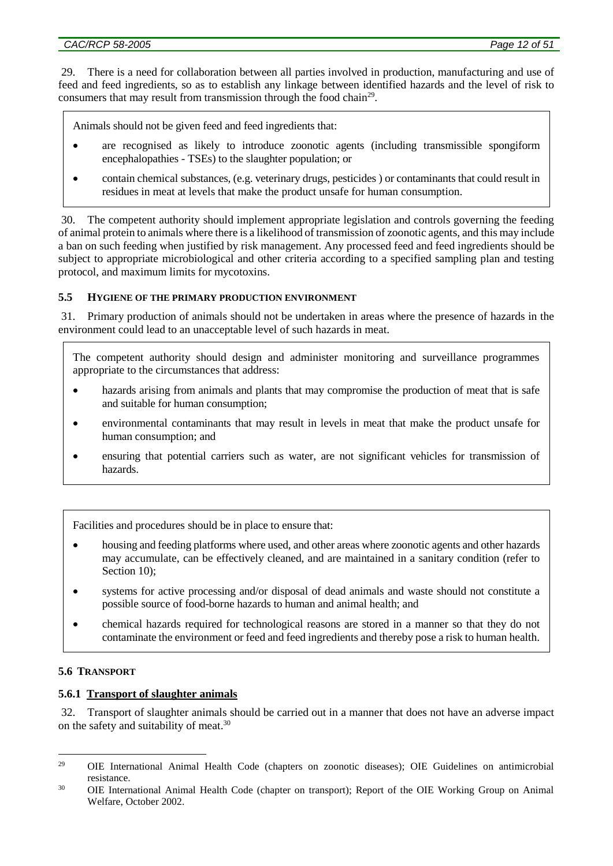29. There is a need for collaboration between all parties involved in production, manufacturing and use of feed and feed ingredients, so as to establish any linkage between identified hazards and the level of risk to consumers that may result from transmission through the food chain<sup>29</sup>.

Animals should not be given feed and feed ingredients that:

- are recognised as likely to introduce zoonotic agents (including transmissible spongiform encephalopathies - TSEs) to the slaughter population; or
- contain chemical substances, (e.g. veterinary drugs, pesticides ) or contaminants that could result in residues in meat at levels that make the product unsafe for human consumption.

30. The competent authority should implement appropriate legislation and controls governing the feeding of animal protein to animals where there is a likelihood of transmission of zoonotic agents, and this may include a ban on such feeding when justified by risk management. Any processed feed and feed ingredients should be subject to appropriate microbiological and other criteria according to a specified sampling plan and testing protocol, and maximum limits for mycotoxins.

## **5.5 HYGIENE OF THE PRIMARY PRODUCTION ENVIRONMENT**

31. Primary production of animals should not be undertaken in areas where the presence of hazards in the environment could lead to an unacceptable level of such hazards in meat.

The competent authority should design and administer monitoring and surveillance programmes appropriate to the circumstances that address:

- hazards arising from animals and plants that may compromise the production of meat that is safe and suitable for human consumption;
- environmental contaminants that may result in levels in meat that make the product unsafe for human consumption; and
- ensuring that potential carriers such as water, are not significant vehicles for transmission of hazards.

Facilities and procedures should be in place to ensure that:

- housing and feeding platforms where used, and other areas where zoonotic agents and other hazards may accumulate, can be effectively cleaned, and are maintained in a sanitary condition (refer to Section 10);
- systems for active processing and/or disposal of dead animals and waste should not constitute a possible source of food-borne hazards to human and animal health; and
- chemical hazards required for technological reasons are stored in a manner so that they do not contaminate the environment or feed and feed ingredients and thereby pose a risk to human health.

## **5.6 TRANSPORT**

## **5.6.1 Transport of slaughter animals**

32. Transport of slaughter animals should be carried out in a manner that does not have an adverse impact on the safety and suitability of meat.<sup>30</sup>

<sup>1</sup> <sup>29</sup> OIE International Animal Health Code (chapters on zoonotic diseases); OIE Guidelines on antimicrobial resistance.

<sup>&</sup>lt;sup>30</sup> OIE International Animal Health Code (chapter on transport); Report of the OIE Working Group on Animal Welfare, October 2002.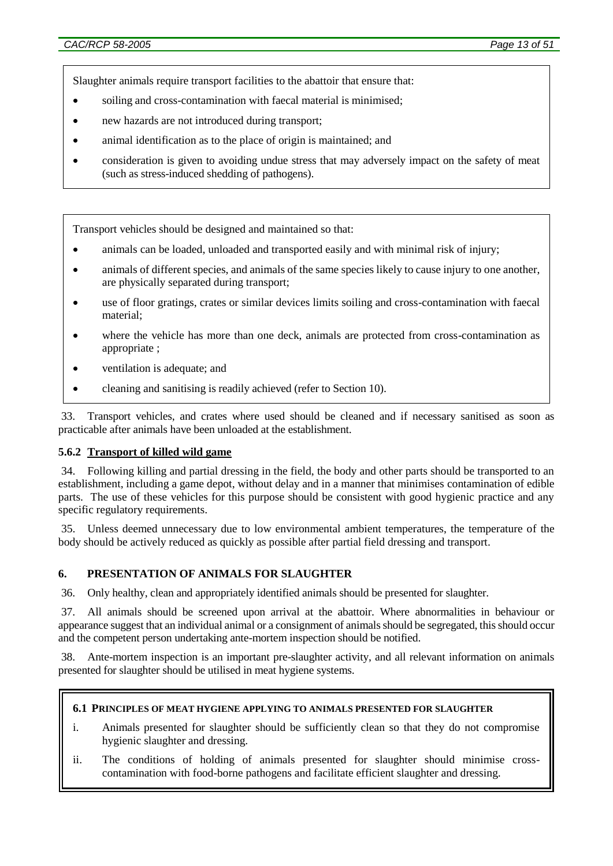Slaughter animals require transport facilities to the abattoir that ensure that:

- soiling and cross-contamination with faecal material is minimised;
- new hazards are not introduced during transport;
- animal identification as to the place of origin is maintained; and
- consideration is given to avoiding undue stress that may adversely impact on the safety of meat (such as stress-induced shedding of pathogens).

Transport vehicles should be designed and maintained so that:

- animals can be loaded, unloaded and transported easily and with minimal risk of injury;
- animals of different species, and animals of the same species likely to cause injury to one another, are physically separated during transport;
- use of floor gratings, crates or similar devices limits soiling and cross-contamination with faecal material;
- where the vehicle has more than one deck, animals are protected from cross-contamination as appropriate ;
- ventilation is adequate; and
- cleaning and sanitising is readily achieved (refer to Section 10).

33. Transport vehicles, and crates where used should be cleaned and if necessary sanitised as soon as practicable after animals have been unloaded at the establishment.

#### **5.6.2 Transport of killed wild game**

34. Following killing and partial dressing in the field, the body and other parts should be transported to an establishment, including a game depot, without delay and in a manner that minimises contamination of edible parts. The use of these vehicles for this purpose should be consistent with good hygienic practice and any specific regulatory requirements.

35. Unless deemed unnecessary due to low environmental ambient temperatures, the temperature of the body should be actively reduced as quickly as possible after partial field dressing and transport.

#### **6. PRESENTATION OF ANIMALS FOR SLAUGHTER**

36. Only healthy, clean and appropriately identified animals should be presented for slaughter.

37. All animals should be screened upon arrival at the abattoir. Where abnormalities in behaviour or appearance suggest that an individual animal or a consignment of animals should be segregated, this should occur and the competent person undertaking ante-mortem inspection should be notified.

38. Ante-mortem inspection is an important pre-slaughter activity, and all relevant information on animals presented for slaughter should be utilised in meat hygiene systems.

#### **6.1 PRINCIPLES OF MEAT HYGIENE APPLYING TO ANIMALS PRESENTED FOR SLAUGHTER**

- i. Animals presented for slaughter should be sufficiently clean so that they do not compromise hygienic slaughter and dressing.
- ii. The conditions of holding of animals presented for slaughter should minimise crosscontamination with food-borne pathogens and facilitate efficient slaughter and dressing.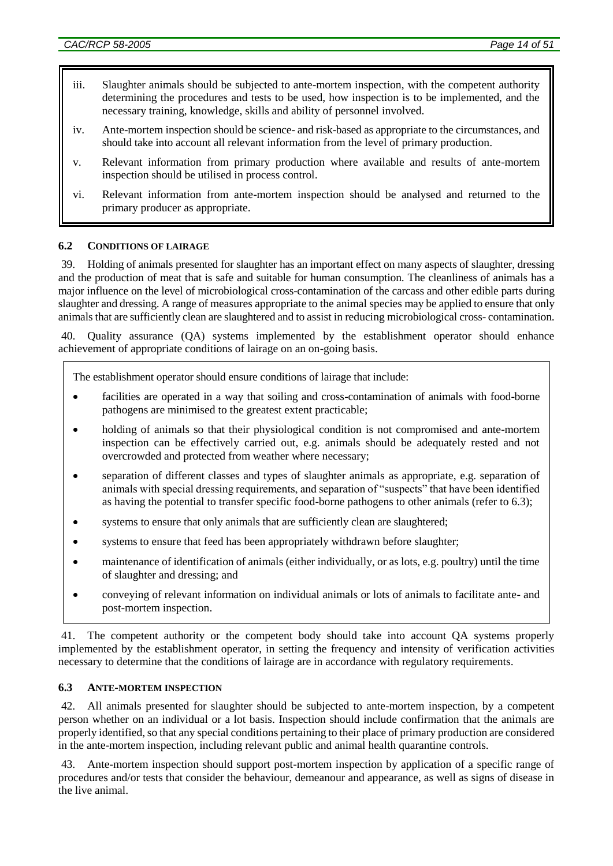- iii. Slaughter animals should be subjected to ante-mortem inspection, with the competent authority determining the procedures and tests to be used, how inspection is to be implemented, and the necessary training, knowledge, skills and ability of personnel involved.
- iv. Ante-mortem inspection should be science- and risk-based as appropriate to the circumstances, and should take into account all relevant information from the level of primary production.
- v. Relevant information from primary production where available and results of ante-mortem inspection should be utilised in process control.
- vi. Relevant information from ante-mortem inspection should be analysed and returned to the primary producer as appropriate.

### **6.2 CONDITIONS OF LAIRAGE**

39. Holding of animals presented for slaughter has an important effect on many aspects of slaughter, dressing and the production of meat that is safe and suitable for human consumption. The cleanliness of animals has a major influence on the level of microbiological cross-contamination of the carcass and other edible parts during slaughter and dressing. A range of measures appropriate to the animal species may be applied to ensure that only animals that are sufficiently clean are slaughtered and to assist in reducing microbiological cross- contamination.

40. Quality assurance (QA) systems implemented by the establishment operator should enhance achievement of appropriate conditions of lairage on an on-going basis.

The establishment operator should ensure conditions of lairage that include:

- facilities are operated in a way that soiling and cross-contamination of animals with food-borne pathogens are minimised to the greatest extent practicable;
- holding of animals so that their physiological condition is not compromised and ante-mortem inspection can be effectively carried out, e.g. animals should be adequately rested and not overcrowded and protected from weather where necessary;
- separation of different classes and types of slaughter animals as appropriate, e.g. separation of animals with special dressing requirements, and separation of "suspects" that have been identified as having the potential to transfer specific food-borne pathogens to other animals (refer to 6.3);
- systems to ensure that only animals that are sufficiently clean are slaughtered;
- systems to ensure that feed has been appropriately withdrawn before slaughter;
- maintenance of identification of animals (either individually, or as lots, e.g. poultry) until the time of slaughter and dressing; and
- conveying of relevant information on individual animals or lots of animals to facilitate ante- and post-mortem inspection.

41. The competent authority or the competent body should take into account QA systems properly implemented by the establishment operator, in setting the frequency and intensity of verification activities necessary to determine that the conditions of lairage are in accordance with regulatory requirements.

### **6.3 ANTE-MORTEM INSPECTION**

42. All animals presented for slaughter should be subjected to ante-mortem inspection, by a competent person whether on an individual or a lot basis. Inspection should include confirmation that the animals are properly identified, so that any special conditions pertaining to their place of primary production are considered in the ante-mortem inspection, including relevant public and animal health quarantine controls.

Ante-mortem inspection should support post-mortem inspection by application of a specific range of procedures and/or tests that consider the behaviour, demeanour and appearance, as well as signs of disease in the live animal.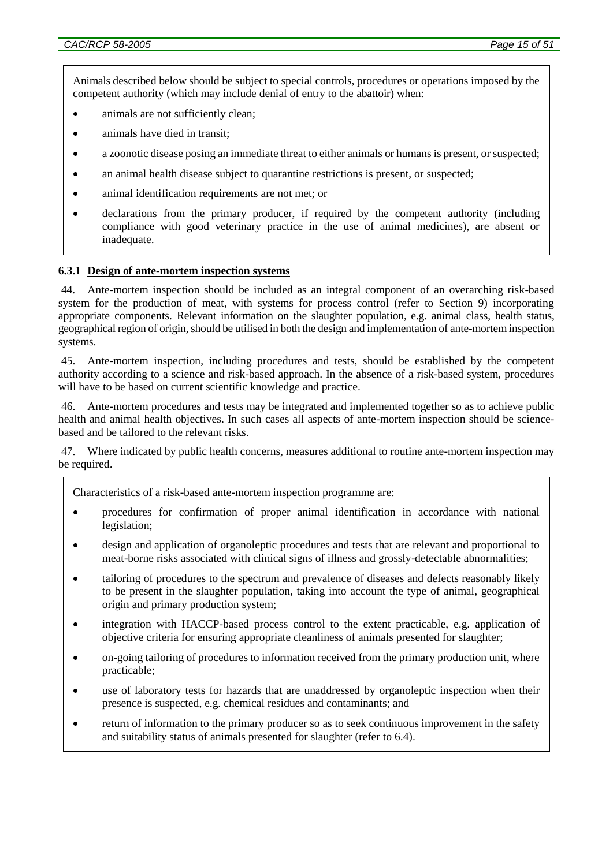Animals described below should be subject to special controls, procedures or operations imposed by the competent authority (which may include denial of entry to the abattoir) when:

- animals are not sufficiently clean;
- animals have died in transit;
- a zoonotic disease posing an immediate threat to either animals or humans is present, or suspected;
- an animal health disease subject to quarantine restrictions is present, or suspected;
- animal identification requirements are not met; or
- declarations from the primary producer, if required by the competent authority (including compliance with good veterinary practice in the use of animal medicines), are absent or inadequate.

#### **6.3.1 Design of ante-mortem inspection systems**

44. Ante-mortem inspection should be included as an integral component of an overarching risk-based system for the production of meat, with systems for process control (refer to Section 9) incorporating appropriate components. Relevant information on the slaughter population, e.g. animal class, health status, geographical region of origin, should be utilised in both the design and implementation of ante-mortem inspection systems.

45. Ante-mortem inspection, including procedures and tests, should be established by the competent authority according to a science and risk-based approach. In the absence of a risk-based system, procedures will have to be based on current scientific knowledge and practice.

46. Ante-mortem procedures and tests may be integrated and implemented together so as to achieve public health and animal health objectives. In such cases all aspects of ante-mortem inspection should be sciencebased and be tailored to the relevant risks.

47. Where indicated by public health concerns, measures additional to routine ante-mortem inspection may be required.

Characteristics of a risk-based ante-mortem inspection programme are:

- procedures for confirmation of proper animal identification in accordance with national legislation;
- design and application of organoleptic procedures and tests that are relevant and proportional to meat-borne risks associated with clinical signs of illness and grossly-detectable abnormalities;
- tailoring of procedures to the spectrum and prevalence of diseases and defects reasonably likely to be present in the slaughter population, taking into account the type of animal, geographical origin and primary production system;
- integration with HACCP-based process control to the extent practicable, e.g. application of objective criteria for ensuring appropriate cleanliness of animals presented for slaughter;
- on-going tailoring of procedures to information received from the primary production unit, where practicable;
- use of laboratory tests for hazards that are unaddressed by organoleptic inspection when their presence is suspected, e.g. chemical residues and contaminants; and
- return of information to the primary producer so as to seek continuous improvement in the safety and suitability status of animals presented for slaughter (refer to 6.4).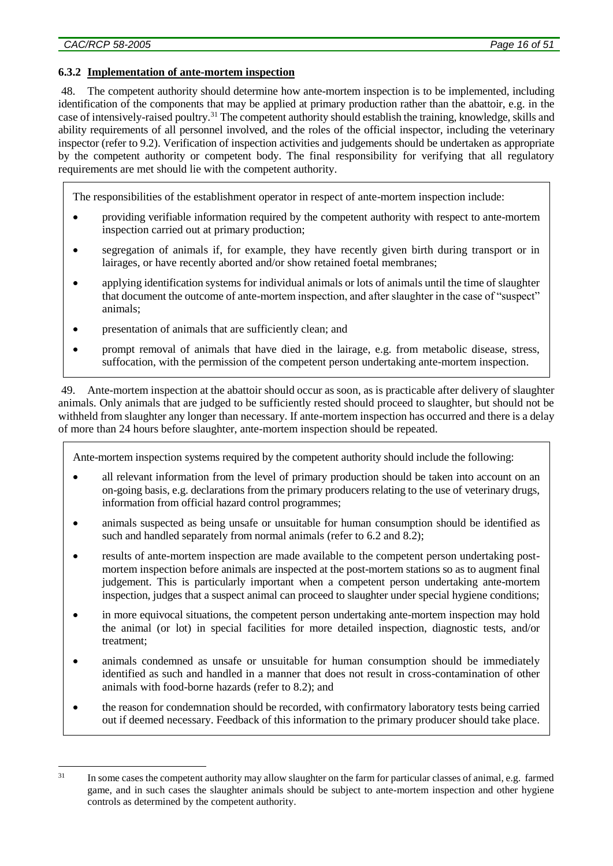## **6.3.2 Implementation of ante-mortem inspection**

48. The competent authority should determine how ante-mortem inspection is to be implemented, including identification of the components that may be applied at primary production rather than the abattoir, e.g. in the case of intensively-raised poultry.<sup>31</sup> The competent authority should establish the training, knowledge, skills and ability requirements of all personnel involved, and the roles of the official inspector, including the veterinary inspector (refer to 9.2). Verification of inspection activities and judgements should be undertaken as appropriate by the competent authority or competent body. The final responsibility for verifying that all regulatory requirements are met should lie with the competent authority.

The responsibilities of the establishment operator in respect of ante-mortem inspection include:

- providing verifiable information required by the competent authority with respect to ante-mortem inspection carried out at primary production;
- segregation of animals if, for example, they have recently given birth during transport or in lairages, or have recently aborted and/or show retained foetal membranes;
- applying identification systems for individual animals or lots of animals until the time of slaughter that document the outcome of ante-mortem inspection, and after slaughter in the case of "suspect" animals;
- presentation of animals that are sufficiently clean; and
- prompt removal of animals that have died in the lairage, e.g. from metabolic disease, stress, suffocation, with the permission of the competent person undertaking ante-mortem inspection.

49. Ante-mortem inspection at the abattoir should occur as soon, as is practicable after delivery of slaughter animals. Only animals that are judged to be sufficiently rested should proceed to slaughter, but should not be withheld from slaughter any longer than necessary. If ante-mortem inspection has occurred and there is a delay of more than 24 hours before slaughter, ante-mortem inspection should be repeated.

Ante-mortem inspection systems required by the competent authority should include the following:

- all relevant information from the level of primary production should be taken into account on an on-going basis, e.g. declarations from the primary producers relating to the use of veterinary drugs, information from official hazard control programmes;
- animals suspected as being unsafe or unsuitable for human consumption should be identified as such and handled separately from normal animals (refer to 6.2 and 8.2);
- results of ante-mortem inspection are made available to the competent person undertaking postmortem inspection before animals are inspected at the post-mortem stations so as to augment final judgement. This is particularly important when a competent person undertaking ante-mortem inspection, judges that a suspect animal can proceed to slaughter under special hygiene conditions;
- in more equivocal situations, the competent person undertaking ante-mortem inspection may hold the animal (or lot) in special facilities for more detailed inspection, diagnostic tests, and/or treatment;
- animals condemned as unsafe or unsuitable for human consumption should be immediately identified as such and handled in a manner that does not result in cross-contamination of other animals with food-borne hazards (refer to 8.2); and
- the reason for condemnation should be recorded, with confirmatory laboratory tests being carried out if deemed necessary. Feedback of this information to the primary producer should take place.

<sup>&</sup>lt;u>.</u> <sup>31</sup> In some cases the competent authority may allow slaughter on the farm for particular classes of animal, e.g. farmed game, and in such cases the slaughter animals should be subject to ante-mortem inspection and other hygiene controls as determined by the competent authority.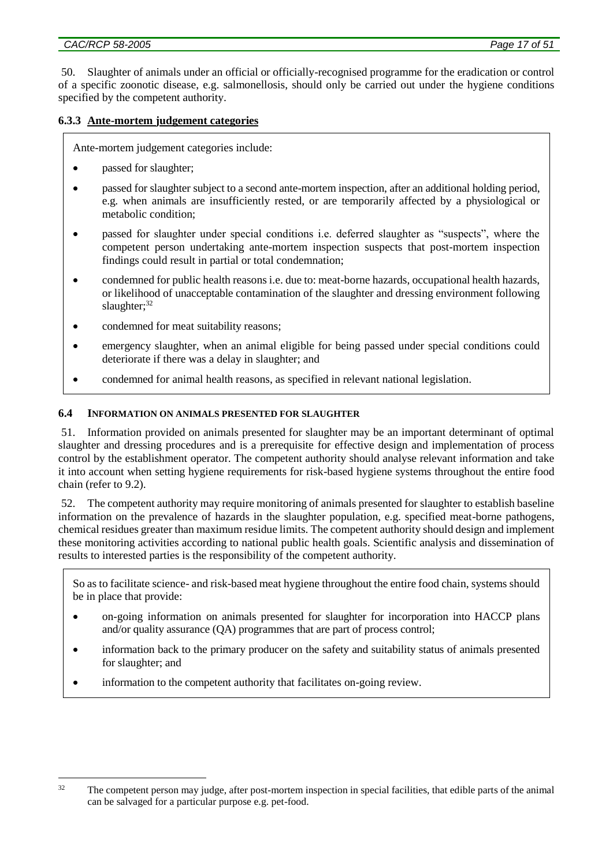50. Slaughter of animals under an official or officially-recognised programme for the eradication or control of a specific zoonotic disease, e.g. salmonellosis, should only be carried out under the hygiene conditions specified by the competent authority.

### **6.3.3 Ante-mortem judgement categories**

Ante-mortem judgement categories include:

- passed for slaughter;
- passed for slaughter subject to a second ante-mortem inspection, after an additional holding period, e.g. when animals are insufficiently rested, or are temporarily affected by a physiological or metabolic condition;
- passed for slaughter under special conditions i.e. deferred slaughter as "suspects", where the competent person undertaking ante-mortem inspection suspects that post-mortem inspection findings could result in partial or total condemnation;
- condemned for public health reasons i.e. due to: meat-borne hazards, occupational health hazards, or likelihood of unacceptable contamination of the slaughter and dressing environment following slaughter;<sup>32</sup>
- condemned for meat suitability reasons;
- emergency slaughter, when an animal eligible for being passed under special conditions could deteriorate if there was a delay in slaughter; and
- condemned for animal health reasons, as specified in relevant national legislation.

#### **6.4 INFORMATION ON ANIMALS PRESENTED FOR SLAUGHTER**

51. Information provided on animals presented for slaughter may be an important determinant of optimal slaughter and dressing procedures and is a prerequisite for effective design and implementation of process control by the establishment operator. The competent authority should analyse relevant information and take it into account when setting hygiene requirements for risk-based hygiene systems throughout the entire food chain (refer to 9.2).

52. The competent authority may require monitoring of animals presented for slaughter to establish baseline information on the prevalence of hazards in the slaughter population, e.g. specified meat-borne pathogens, chemical residues greater than maximum residue limits. The competent authority should design and implement these monitoring activities according to national public health goals. Scientific analysis and dissemination of results to interested parties is the responsibility of the competent authority.

So as to facilitate science- and risk-based meat hygiene throughout the entire food chain, systems should be in place that provide:

- on-going information on animals presented for slaughter for incorporation into HACCP plans and/or quality assurance (QA) programmes that are part of process control;
- information back to the primary producer on the safety and suitability status of animals presented for slaughter; and
- information to the competent authority that facilitates on-going review.

<sup>&</sup>lt;u>.</u> <sup>32</sup> The competent person may judge, after post-mortem inspection in special facilities, that edible parts of the animal can be salvaged for a particular purpose e.g. pet-food.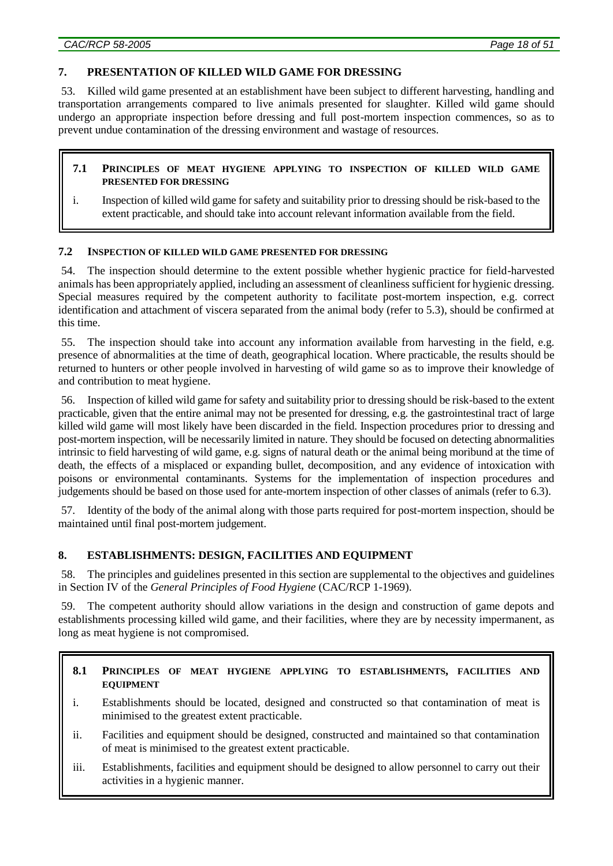### **7. PRESENTATION OF KILLED WILD GAME FOR DRESSING**

53. Killed wild game presented at an establishment have been subject to different harvesting, handling and transportation arrangements compared to live animals presented for slaughter. Killed wild game should undergo an appropriate inspection before dressing and full post-mortem inspection commences, so as to prevent undue contamination of the dressing environment and wastage of resources.

#### **7.1 PRINCIPLES OF MEAT HYGIENE APPLYING TO INSPECTION OF KILLED WILD GAME PRESENTED FOR DRESSING**

i. Inspection of killed wild game for safety and suitability prior to dressing should be risk-based to the extent practicable, and should take into account relevant information available from the field.

### **7.2 INSPECTION OF KILLED WILD GAME PRESENTED FOR DRESSING**

54. The inspection should determine to the extent possible whether hygienic practice for field-harvested animals has been appropriately applied, including an assessment of cleanliness sufficient for hygienic dressing. Special measures required by the competent authority to facilitate post-mortem inspection, e.g. correct identification and attachment of viscera separated from the animal body (refer to 5.3), should be confirmed at this time.

55. The inspection should take into account any information available from harvesting in the field, e.g. presence of abnormalities at the time of death, geographical location. Where practicable, the results should be returned to hunters or other people involved in harvesting of wild game so as to improve their knowledge of and contribution to meat hygiene.

56. Inspection of killed wild game for safety and suitability prior to dressing should be risk-based to the extent practicable, given that the entire animal may not be presented for dressing, e.g. the gastrointestinal tract of large killed wild game will most likely have been discarded in the field. Inspection procedures prior to dressing and post-mortem inspection, will be necessarily limited in nature. They should be focused on detecting abnormalities intrinsic to field harvesting of wild game, e.g. signs of natural death or the animal being moribund at the time of death, the effects of a misplaced or expanding bullet, decomposition, and any evidence of intoxication with poisons or environmental contaminants. Systems for the implementation of inspection procedures and judgements should be based on those used for ante-mortem inspection of other classes of animals (refer to 6.3).

57. Identity of the body of the animal along with those parts required for post-mortem inspection, should be maintained until final post-mortem judgement.

#### **8. ESTABLISHMENTS: DESIGN, FACILITIES AND EQUIPMENT**

58. The principles and guidelines presented in this section are supplemental to the objectives and guidelines in Section IV of the *General Principles of Food Hygiene* (CAC/RCP 1-1969).

59. The competent authority should allow variations in the design and construction of game depots and establishments processing killed wild game, and their facilities, where they are by necessity impermanent, as long as meat hygiene is not compromised.

#### **8.1 PRINCIPLES OF MEAT HYGIENE APPLYING TO ESTABLISHMENTS, FACILITIES AND EQUIPMENT**

- i. Establishments should be located, designed and constructed so that contamination of meat is minimised to the greatest extent practicable.
- ii. Facilities and equipment should be designed, constructed and maintained so that contamination of meat is minimised to the greatest extent practicable.
- iii. Establishments, facilities and equipment should be designed to allow personnel to carry out their activities in a hygienic manner.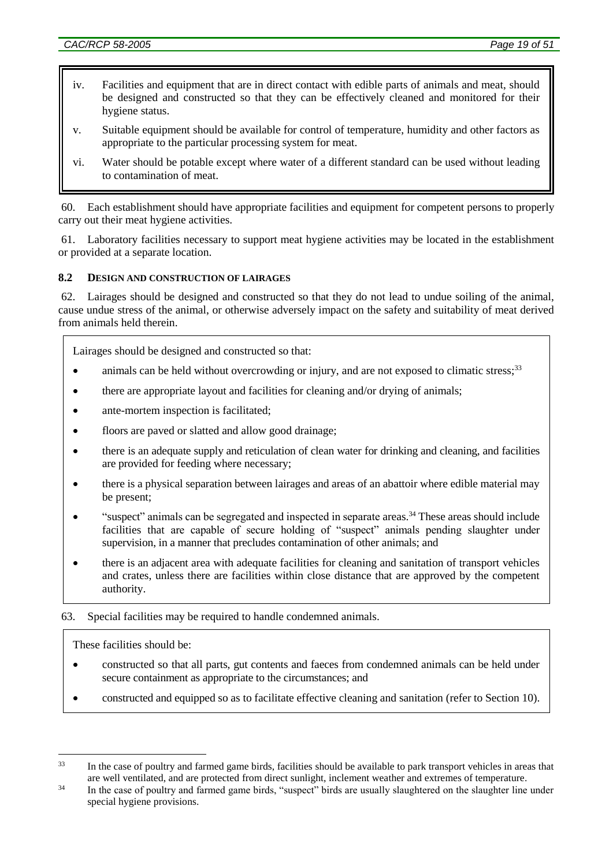- iv. Facilities and equipment that are in direct contact with edible parts of animals and meat, should be designed and constructed so that they can be effectively cleaned and monitored for their hygiene status.
- v. Suitable equipment should be available for control of temperature, humidity and other factors as appropriate to the particular processing system for meat.
- vi. Water should be potable except where water of a different standard can be used without leading to contamination of meat.

60. Each establishment should have appropriate facilities and equipment for competent persons to properly carry out their meat hygiene activities.

61. Laboratory facilities necessary to support meat hygiene activities may be located in the establishment or provided at a separate location.

### **8.2 DESIGN AND CONSTRUCTION OF LAIRAGES**

62. Lairages should be designed and constructed so that they do not lead to undue soiling of the animal, cause undue stress of the animal, or otherwise adversely impact on the safety and suitability of meat derived from animals held therein.

Lairages should be designed and constructed so that:

- animals can be held without overcrowding or injury, and are not exposed to climatic stress;<sup>33</sup>
- there are appropriate layout and facilities for cleaning and/or drying of animals;
- ante-mortem inspection is facilitated;
- floors are paved or slatted and allow good drainage;
- there is an adequate supply and reticulation of clean water for drinking and cleaning, and facilities are provided for feeding where necessary;
- there is a physical separation between lairages and areas of an abattoir where edible material may be present;
- "suspect" animals can be segregated and inspected in separate areas.<sup>34</sup> These areas should include facilities that are capable of secure holding of "suspect" animals pending slaughter under supervision, in a manner that precludes contamination of other animals; and
- there is an adjacent area with adequate facilities for cleaning and sanitation of transport vehicles and crates, unless there are facilities within close distance that are approved by the competent authority.

#### 63. Special facilities may be required to handle condemned animals.

These facilities should be:

1

- constructed so that all parts, gut contents and faeces from condemned animals can be held under secure containment as appropriate to the circumstances; and
- constructed and equipped so as to facilitate effective cleaning and sanitation (refer to Section 10).

<sup>&</sup>lt;sup>33</sup> In the case of poultry and farmed game birds, facilities should be available to park transport vehicles in areas that are well ventilated, and are protected from direct sunlight, inclement weather and extremes of temperature.

<sup>&</sup>lt;sup>34</sup> In the case of poultry and farmed game birds, "suspect" birds are usually slaughtered on the slaughter line under special hygiene provisions.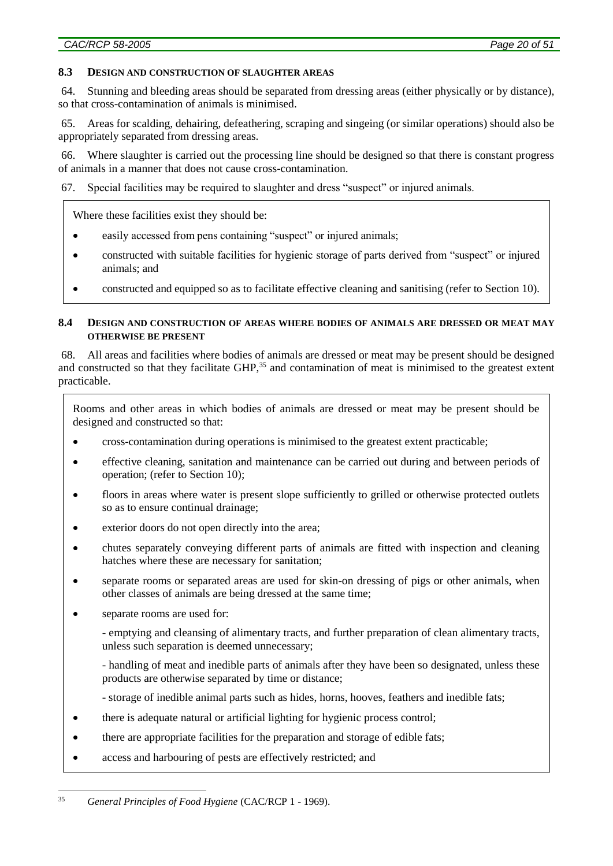#### **8.3 DESIGN AND CONSTRUCTION OF SLAUGHTER AREAS**

64. Stunning and bleeding areas should be separated from dressing areas (either physically or by distance), so that cross-contamination of animals is minimised.

65. Areas for scalding, dehairing, defeathering, scraping and singeing (or similar operations) should also be appropriately separated from dressing areas.

66. Where slaughter is carried out the processing line should be designed so that there is constant progress of animals in a manner that does not cause cross-contamination.

67. Special facilities may be required to slaughter and dress "suspect" or injured animals.

Where these facilities exist they should be:

- easily accessed from pens containing "suspect" or injured animals;
- constructed with suitable facilities for hygienic storage of parts derived from "suspect" or injured animals; and
- constructed and equipped so as to facilitate effective cleaning and sanitising (refer to Section 10).

#### **8.4 DESIGN AND CONSTRUCTION OF AREAS WHERE BODIES OF ANIMALS ARE DRESSED OR MEAT MAY OTHERWISE BE PRESENT**

68. All areas and facilities where bodies of animals are dressed or meat may be present should be designed and constructed so that they facilitate GHP,<sup>35</sup> and contamination of meat is minimised to the greatest extent practicable.

Rooms and other areas in which bodies of animals are dressed or meat may be present should be designed and constructed so that:

- cross-contamination during operations is minimised to the greatest extent practicable;
- effective cleaning, sanitation and maintenance can be carried out during and between periods of operation; (refer to Section 10);
- floors in areas where water is present slope sufficiently to grilled or otherwise protected outlets so as to ensure continual drainage;
- exterior doors do not open directly into the area;
- chutes separately conveying different parts of animals are fitted with inspection and cleaning hatches where these are necessary for sanitation;
- separate rooms or separated areas are used for skin-on dressing of pigs or other animals, when other classes of animals are being dressed at the same time;
- separate rooms are used for:

1

- emptying and cleansing of alimentary tracts, and further preparation of clean alimentary tracts, unless such separation is deemed unnecessary;

- handling of meat and inedible parts of animals after they have been so designated, unless these products are otherwise separated by time or distance;

- storage of inedible animal parts such as hides, horns, hooves, feathers and inedible fats;
- there is adequate natural or artificial lighting for hygienic process control;
- there are appropriate facilities for the preparation and storage of edible fats;
- access and harbouring of pests are effectively restricted; and

<sup>35</sup> *General Principles of Food Hygiene* (CAC/RCP 1 - 1969).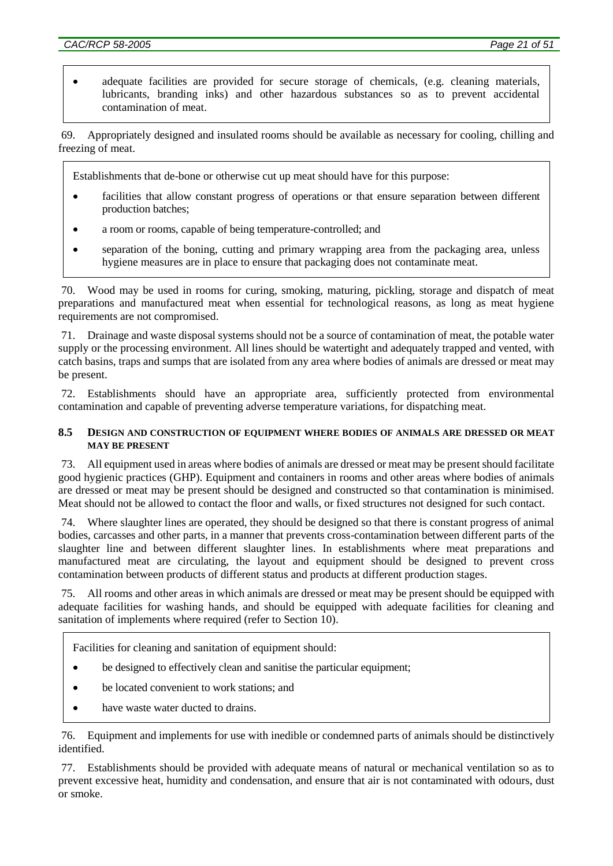• adequate facilities are provided for secure storage of chemicals, (e.g. cleaning materials, lubricants, branding inks) and other hazardous substances so as to prevent accidental contamination of meat.

69. Appropriately designed and insulated rooms should be available as necessary for cooling, chilling and freezing of meat.

Establishments that de-bone or otherwise cut up meat should have for this purpose:

- facilities that allow constant progress of operations or that ensure separation between different production batches;
- a room or rooms, capable of being temperature-controlled; and
- separation of the boning, cutting and primary wrapping area from the packaging area, unless hygiene measures are in place to ensure that packaging does not contaminate meat.

70. Wood may be used in rooms for curing, smoking, maturing, pickling, storage and dispatch of meat preparations and manufactured meat when essential for technological reasons, as long as meat hygiene requirements are not compromised.

71. Drainage and waste disposal systems should not be a source of contamination of meat, the potable water supply or the processing environment. All lines should be watertight and adequately trapped and vented, with catch basins, traps and sumps that are isolated from any area where bodies of animals are dressed or meat may be present.

72. Establishments should have an appropriate area, sufficiently protected from environmental contamination and capable of preventing adverse temperature variations, for dispatching meat.

### **8.5 DESIGN AND CONSTRUCTION OF EQUIPMENT WHERE BODIES OF ANIMALS ARE DRESSED OR MEAT MAY BE PRESENT**

73. All equipment used in areas where bodies of animals are dressed or meat may be present should facilitate good hygienic practices (GHP). Equipment and containers in rooms and other areas where bodies of animals are dressed or meat may be present should be designed and constructed so that contamination is minimised. Meat should not be allowed to contact the floor and walls, or fixed structures not designed for such contact.

74. Where slaughter lines are operated, they should be designed so that there is constant progress of animal bodies, carcasses and other parts, in a manner that prevents cross-contamination between different parts of the slaughter line and between different slaughter lines. In establishments where meat preparations and manufactured meat are circulating, the layout and equipment should be designed to prevent cross contamination between products of different status and products at different production stages.

75. All rooms and other areas in which animals are dressed or meat may be present should be equipped with adequate facilities for washing hands, and should be equipped with adequate facilities for cleaning and sanitation of implements where required (refer to Section 10).

Facilities for cleaning and sanitation of equipment should:

- be designed to effectively clean and sanitise the particular equipment;
- be located convenient to work stations; and
- have waste water ducted to drains.

76. Equipment and implements for use with inedible or condemned parts of animals should be distinctively identified.

77. Establishments should be provided with adequate means of natural or mechanical ventilation so as to prevent excessive heat, humidity and condensation, and ensure that air is not contaminated with odours, dust or smoke.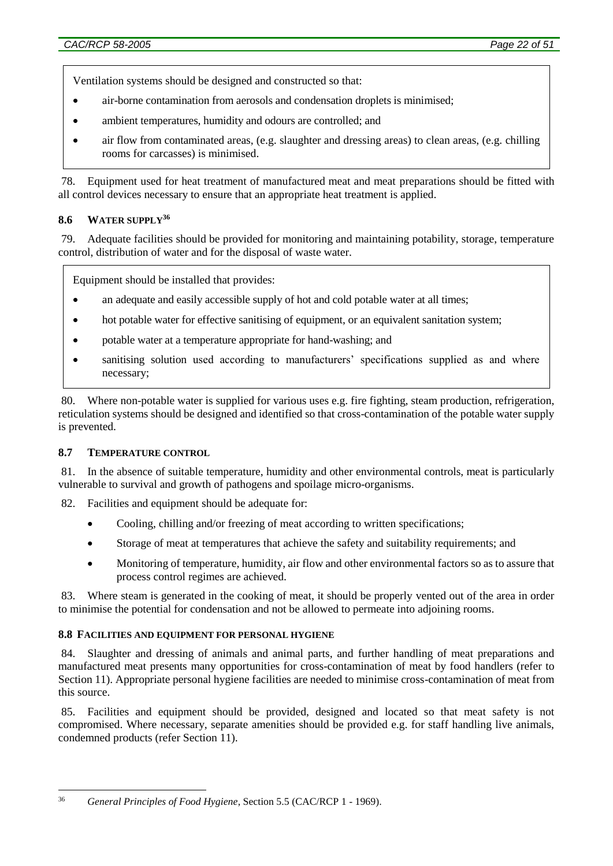Ventilation systems should be designed and constructed so that:

- air-borne contamination from aerosols and condensation droplets is minimised;
- ambient temperatures, humidity and odours are controlled; and
- air flow from contaminated areas, (e.g. slaughter and dressing areas) to clean areas, (e.g. chilling rooms for carcasses) is minimised.

78. Equipment used for heat treatment of manufactured meat and meat preparations should be fitted with all control devices necessary to ensure that an appropriate heat treatment is applied.

## **8.6 WATER SUPPLY<sup>36</sup>**

79. Adequate facilities should be provided for monitoring and maintaining potability, storage, temperature control, distribution of water and for the disposal of waste water.

Equipment should be installed that provides:

- an adequate and easily accessible supply of hot and cold potable water at all times;
- hot potable water for effective sanitising of equipment, or an equivalent sanitation system;
- potable water at a temperature appropriate for hand-washing; and
- sanitising solution used according to manufacturers' specifications supplied as and where necessary;

80. Where non-potable water is supplied for various uses e.g. fire fighting, steam production, refrigeration, reticulation systems should be designed and identified so that cross-contamination of the potable water supply is prevented.

#### **8.7 TEMPERATURE CONTROL**

81. In the absence of suitable temperature, humidity and other environmental controls, meat is particularly vulnerable to survival and growth of pathogens and spoilage micro-organisms.

- 82. Facilities and equipment should be adequate for:
	- Cooling, chilling and/or freezing of meat according to written specifications;
	- Storage of meat at temperatures that achieve the safety and suitability requirements; and
	- Monitoring of temperature, humidity, air flow and other environmental factors so as to assure that process control regimes are achieved.

83. Where steam is generated in the cooking of meat, it should be properly vented out of the area in order to minimise the potential for condensation and not be allowed to permeate into adjoining rooms.

#### **8.8 FACILITIES AND EQUIPMENT FOR PERSONAL HYGIENE**

84. Slaughter and dressing of animals and animal parts, and further handling of meat preparations and manufactured meat presents many opportunities for cross-contamination of meat by food handlers (refer to Section 11). Appropriate personal hygiene facilities are needed to minimise cross-contamination of meat from this source.

85. Facilities and equipment should be provided, designed and located so that meat safety is not compromised. Where necessary, separate amenities should be provided e.g. for staff handling live animals, condemned products (refer Section 11).

<sup>1</sup> <sup>36</sup> *General Principles of Food Hygiene*, Section 5.5 (CAC/RCP 1 - 1969).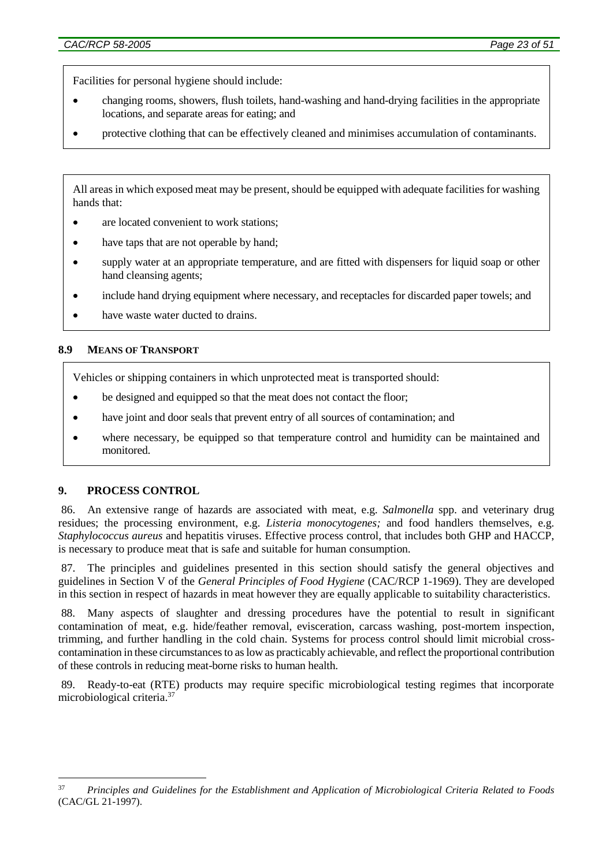Facilities for personal hygiene should include:

- changing rooms, showers, flush toilets, hand-washing and hand-drying facilities in the appropriate locations, and separate areas for eating; and
- protective clothing that can be effectively cleaned and minimises accumulation of contaminants.

All areas in which exposed meat may be present, should be equipped with adequate facilities for washing hands that:

- are located convenient to work stations;
- have taps that are not operable by hand;
- supply water at an appropriate temperature, and are fitted with dispensers for liquid soap or other hand cleansing agents;
- include hand drying equipment where necessary, and receptacles for discarded paper towels; and
- have waste water ducted to drains.

#### **8.9 MEANS OF TRANSPORT**

Vehicles or shipping containers in which unprotected meat is transported should:

- be designed and equipped so that the meat does not contact the floor;
- have joint and door seals that prevent entry of all sources of contamination; and
- where necessary, be equipped so that temperature control and humidity can be maintained and monitored.

## **9. PROCESS CONTROL**

<u>.</u>

86. An extensive range of hazards are associated with meat, e.g. *Salmonella* spp. and veterinary drug residues; the processing environment, e.g. *Listeria monocytogenes;* and food handlers themselves, e.g. *Staphylococcus aureus* and hepatitis viruses. Effective process control, that includes both GHP and HACCP, is necessary to produce meat that is safe and suitable for human consumption.

The principles and guidelines presented in this section should satisfy the general objectives and guidelines in Section V of the *General Principles of Food Hygiene* (CAC/RCP 1-1969). They are developed in this section in respect of hazards in meat however they are equally applicable to suitability characteristics.

88. Many aspects of slaughter and dressing procedures have the potential to result in significant contamination of meat, e.g. hide/feather removal, evisceration, carcass washing, post-mortem inspection, trimming, and further handling in the cold chain. Systems for process control should limit microbial crosscontamination in these circumstances to as low as practicably achievable, and reflect the proportional contribution of these controls in reducing meat-borne risks to human health.

89. Ready-to-eat (RTE) products may require specific microbiological testing regimes that incorporate microbiological criteria. 37

<sup>37</sup> *Principles and Guidelines for the Establishment and Application of Microbiological Criteria Related to Foods* (CAC/GL 21-1997).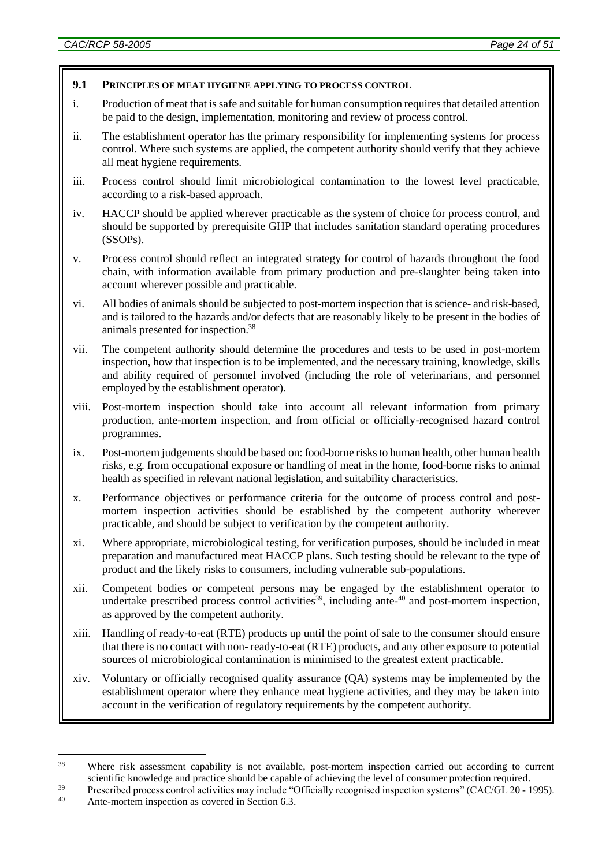1

### **9.1 PRINCIPLES OF MEAT HYGIENE APPLYING TO PROCESS CONTROL**

- i. Production of meat that is safe and suitable for human consumption requires that detailed attention be paid to the design, implementation, monitoring and review of process control.
- ii. The establishment operator has the primary responsibility for implementing systems for process control. Where such systems are applied, the competent authority should verify that they achieve all meat hygiene requirements.
- iii. Process control should limit microbiological contamination to the lowest level practicable, according to a risk-based approach.
- iv. HACCP should be applied wherever practicable as the system of choice for process control, and should be supported by prerequisite GHP that includes sanitation standard operating procedures (SSOPs).
- v. Process control should reflect an integrated strategy for control of hazards throughout the food chain, with information available from primary production and pre-slaughter being taken into account wherever possible and practicable.
- vi. All bodies of animals should be subjected to post-mortem inspection that is science- and risk-based, and is tailored to the hazards and/or defects that are reasonably likely to be present in the bodies of animals presented for inspection.<sup>38</sup>
- vii. The competent authority should determine the procedures and tests to be used in post-mortem inspection, how that inspection is to be implemented, and the necessary training, knowledge, skills and ability required of personnel involved (including the role of veterinarians, and personnel employed by the establishment operator).
- viii. Post-mortem inspection should take into account all relevant information from primary production, ante-mortem inspection, and from official or officially-recognised hazard control programmes.
- ix. Post-mortem judgements should be based on: food-borne risks to human health, other human health risks, e.g. from occupational exposure or handling of meat in the home, food-borne risks to animal health as specified in relevant national legislation, and suitability characteristics.
- x. Performance objectives or performance criteria for the outcome of process control and postmortem inspection activities should be established by the competent authority wherever practicable, and should be subject to verification by the competent authority.
- xi. Where appropriate, microbiological testing, for verification purposes, should be included in meat preparation and manufactured meat HACCP plans. Such testing should be relevant to the type of product and the likely risks to consumers, including vulnerable sub-populations.
- xii. Competent bodies or competent persons may be engaged by the establishment operator to undertake prescribed process control activities<sup>39</sup>, including ante- $40$  and post-mortem inspection, as approved by the competent authority.
- xiii. Handling of ready-to-eat (RTE) products up until the point of sale to the consumer should ensure that there is no contact with non- ready-to-eat (RTE) products, and any other exposure to potential sources of microbiological contamination is minimised to the greatest extent practicable.
- xiv. Voluntary or officially recognised quality assurance (QA) systems may be implemented by the establishment operator where they enhance meat hygiene activities, and they may be taken into account in the verification of regulatory requirements by the competent authority.

<sup>&</sup>lt;sup>38</sup> Where risk assessment capability is not available, post-mortem inspection carried out according to current scientific knowledge and practice should be capable of achieving the level of consumer protection required.

<sup>&</sup>lt;sup>39</sup> Prescribed process control activities may include "Officially recognised inspection systems" (CAC/GL 20 - 1995). Ante-mortem inspection as covered in Section 6.3.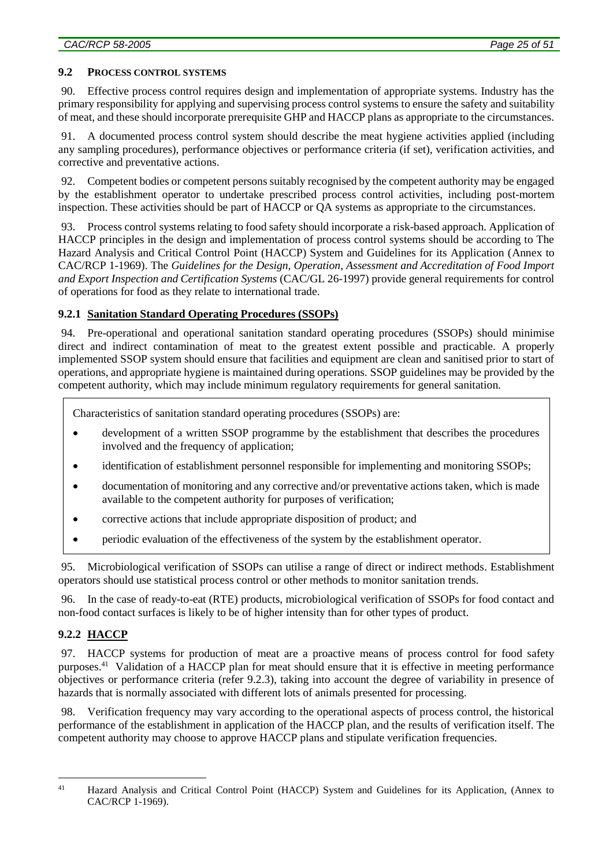### **9.2 PROCESS CONTROL SYSTEMS**

90. Effective process control requires design and implementation of appropriate systems. Industry has the primary responsibility for applying and supervising process control systems to ensure the safety and suitability of meat, and these should incorporate prerequisite GHP and HACCP plans as appropriate to the circumstances.

91. A documented process control system should describe the meat hygiene activities applied (including any sampling procedures), performance objectives or performance criteria (if set), verification activities, and corrective and preventative actions.

92. Competent bodies or competent persons suitably recognised by the competent authority may be engaged by the establishment operator to undertake prescribed process control activities, including post-mortem inspection. These activities should be part of HACCP or QA systems as appropriate to the circumstances.

93. Process control systems relating to food safety should incorporate a risk-based approach. Application of HACCP principles in the design and implementation of process control systems should be according to The Hazard Analysis and Critical Control Point (HACCP) System and Guidelines for its Application (Annex to CAC/RCP 1-1969). The *Guidelines for the Design, Operation, Assessment and Accreditation of Food Import and Export Inspection and Certification Systems* (CAC/GL 26-1997) provide general requirements for control of operations for food as they relate to international trade.

## **9.2.1 Sanitation Standard Operating Procedures (SSOPs)**

94. Pre-operational and operational sanitation standard operating procedures (SSOPs) should minimise direct and indirect contamination of meat to the greatest extent possible and practicable. A properly implemented SSOP system should ensure that facilities and equipment are clean and sanitised prior to start of operations, and appropriate hygiene is maintained during operations. SSOP guidelines may be provided by the competent authority, which may include minimum regulatory requirements for general sanitation.

Characteristics of sanitation standard operating procedures (SSOPs) are:

- development of a written SSOP programme by the establishment that describes the procedures involved and the frequency of application;
- identification of establishment personnel responsible for implementing and monitoring SSOPs;
- documentation of monitoring and any corrective and/or preventative actions taken, which is made available to the competent authority for purposes of verification;
- corrective actions that include appropriate disposition of product; and
- periodic evaluation of the effectiveness of the system by the establishment operator.

95. Microbiological verification of SSOPs can utilise a range of direct or indirect methods. Establishment operators should use statistical process control or other methods to monitor sanitation trends.

96. In the case of ready-to-eat (RTE) products, microbiological verification of SSOPs for food contact and non-food contact surfaces is likely to be of higher intensity than for other types of product.

# **9.2.2 HACCP**

97. HACCP systems for production of meat are a proactive means of process control for food safety purposes.<sup>41</sup> Validation of a HACCP plan for meat should ensure that it is effective in meeting performance objectives or performance criteria (refer 9.2.3), taking into account the degree of variability in presence of hazards that is normally associated with different lots of animals presented for processing.

98. Verification frequency may vary according to the operational aspects of process control, the historical performance of the establishment in application of the HACCP plan, and the results of verification itself. The competent authority may choose to approve HACCP plans and stipulate verification frequencies.

<sup>&</sup>lt;u>.</u>

<sup>41</sup> Hazard Analysis and Critical Control Point (HACCP) System and Guidelines for its Application, (Annex to CAC/RCP 1-1969).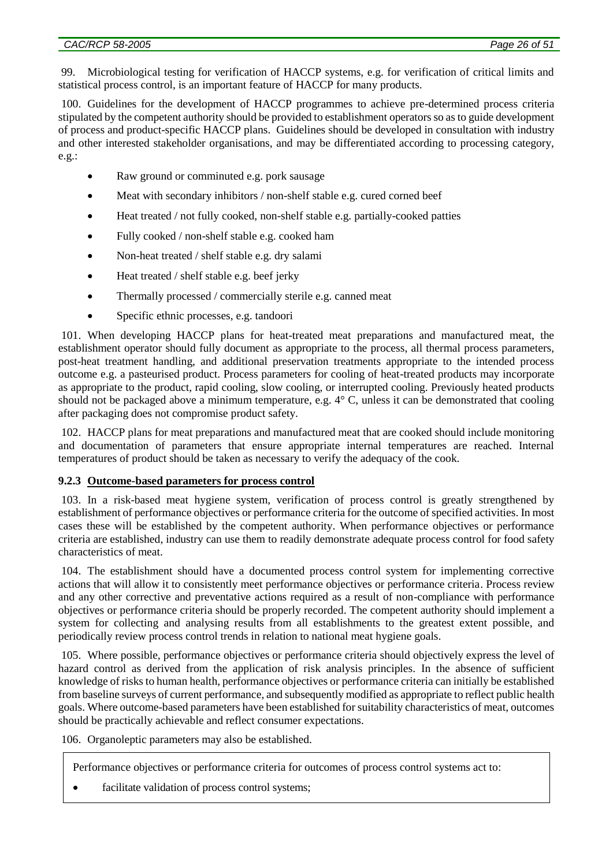99. Microbiological testing for verification of HACCP systems, e.g. for verification of critical limits and statistical process control, is an important feature of HACCP for many products.

100. Guidelines for the development of HACCP programmes to achieve pre-determined process criteria stipulated by the competent authority should be provided to establishment operators so as to guide development of process and product-specific HACCP plans. Guidelines should be developed in consultation with industry and other interested stakeholder organisations, and may be differentiated according to processing category, e.g.:

- Raw ground or comminuted e.g. pork sausage
- Meat with secondary inhibitors / non-shelf stable e.g. cured corned beef
- Heat treated / not fully cooked, non-shelf stable e.g. partially-cooked patties
- Fully cooked / non-shelf stable e.g. cooked ham
- Non-heat treated / shelf stable e.g. dry salami
- Heat treated / shelf stable e.g. beef jerky
- Thermally processed / commercially sterile e.g. canned meat
- Specific ethnic processes, e.g. tandoori

101. When developing HACCP plans for heat-treated meat preparations and manufactured meat, the establishment operator should fully document as appropriate to the process, all thermal process parameters, post-heat treatment handling, and additional preservation treatments appropriate to the intended process outcome e.g. a pasteurised product. Process parameters for cooling of heat-treated products may incorporate as appropriate to the product, rapid cooling, slow cooling, or interrupted cooling. Previously heated products should not be packaged above a minimum temperature, e.g. 4° C, unless it can be demonstrated that cooling after packaging does not compromise product safety.

102. HACCP plans for meat preparations and manufactured meat that are cooked should include monitoring and documentation of parameters that ensure appropriate internal temperatures are reached. Internal temperatures of product should be taken as necessary to verify the adequacy of the cook.

#### **9.2.3 Outcome-based parameters for process control**

103. In a risk-based meat hygiene system, verification of process control is greatly strengthened by establishment of performance objectives or performance criteria for the outcome of specified activities. In most cases these will be established by the competent authority. When performance objectives or performance criteria are established, industry can use them to readily demonstrate adequate process control for food safety characteristics of meat.

104. The establishment should have a documented process control system for implementing corrective actions that will allow it to consistently meet performance objectives or performance criteria. Process review and any other corrective and preventative actions required as a result of non-compliance with performance objectives or performance criteria should be properly recorded. The competent authority should implement a system for collecting and analysing results from all establishments to the greatest extent possible, and periodically review process control trends in relation to national meat hygiene goals.

105. Where possible, performance objectives or performance criteria should objectively express the level of hazard control as derived from the application of risk analysis principles. In the absence of sufficient knowledge of risks to human health, performance objectives or performance criteria can initially be established from baseline surveys of current performance, and subsequently modified as appropriate to reflect public health goals. Where outcome-based parameters have been established for suitability characteristics of meat, outcomes should be practically achievable and reflect consumer expectations.

106. Organoleptic parameters may also be established.

Performance objectives or performance criteria for outcomes of process control systems act to:

facilitate validation of process control systems;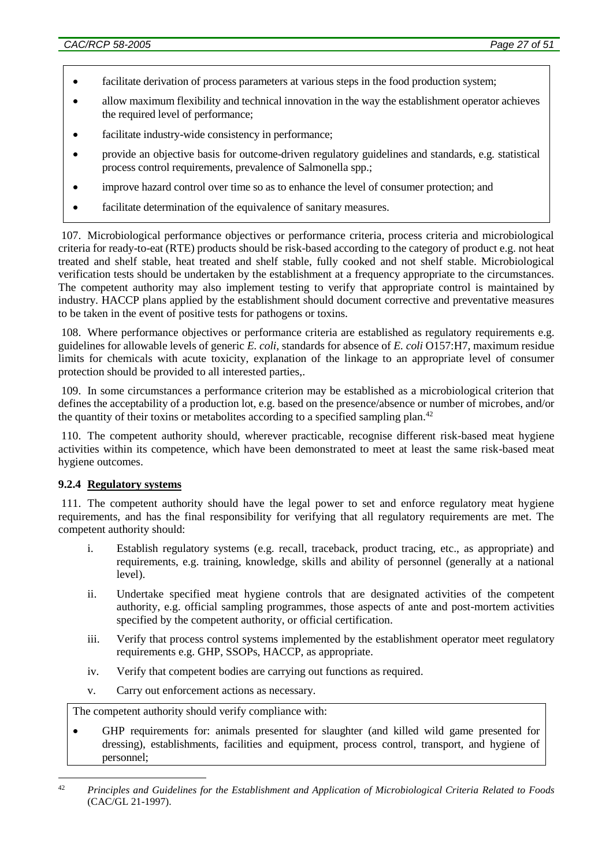- facilitate derivation of process parameters at various steps in the food production system;
- allow maximum flexibility and technical innovation in the way the establishment operator achieves the required level of performance;
- facilitate industry-wide consistency in performance;
- provide an objective basis for outcome-driven regulatory guidelines and standards, e.g. statistical process control requirements, prevalence of Salmonella spp.;
- improve hazard control over time so as to enhance the level of consumer protection; and
- facilitate determination of the equivalence of sanitary measures.

107. Microbiological performance objectives or performance criteria, process criteria and microbiological criteria for ready-to-eat (RTE) products should be risk-based according to the category of product e.g. not heat treated and shelf stable, heat treated and shelf stable, fully cooked and not shelf stable. Microbiological verification tests should be undertaken by the establishment at a frequency appropriate to the circumstances. The competent authority may also implement testing to verify that appropriate control is maintained by industry. HACCP plans applied by the establishment should document corrective and preventative measures to be taken in the event of positive tests for pathogens or toxins.

108. Where performance objectives or performance criteria are established as regulatory requirements e.g. guidelines for allowable levels of generic *E. coli*, standards for absence of *E. coli* O157:H7, maximum residue limits for chemicals with acute toxicity, explanation of the linkage to an appropriate level of consumer protection should be provided to all interested parties,.

109. In some circumstances a performance criterion may be established as a microbiological criterion that defines the acceptability of a production lot, e.g. based on the presence/absence or number of microbes, and/or the quantity of their toxins or metabolites according to a specified sampling plan.<sup>42</sup>

110. The competent authority should, wherever practicable, recognise different risk-based meat hygiene activities within its competence, which have been demonstrated to meet at least the same risk-based meat hygiene outcomes.

#### **9.2.4 Regulatory systems**

111. The competent authority should have the legal power to set and enforce regulatory meat hygiene requirements, and has the final responsibility for verifying that all regulatory requirements are met. The competent authority should:

- i. Establish regulatory systems (e.g. recall, traceback, product tracing, etc., as appropriate) and requirements, e.g. training, knowledge, skills and ability of personnel (generally at a national level).
- ii. Undertake specified meat hygiene controls that are designated activities of the competent authority, e.g. official sampling programmes, those aspects of ante and post-mortem activities specified by the competent authority, or official certification.
- iii. Verify that process control systems implemented by the establishment operator meet regulatory requirements e.g. GHP, SSOPs, HACCP, as appropriate.
- iv. Verify that competent bodies are carrying out functions as required.
- v. Carry out enforcement actions as necessary.

The competent authority should verify compliance with:

 GHP requirements for: animals presented for slaughter (and killed wild game presented for dressing), establishments, facilities and equipment, process control, transport, and hygiene of personnel;

<sup>&</sup>lt;u>.</u> <sup>42</sup> *Principles and Guidelines for the Establishment and Application of Microbiological Criteria Related to Foods*  (CAC/GL 21-1997).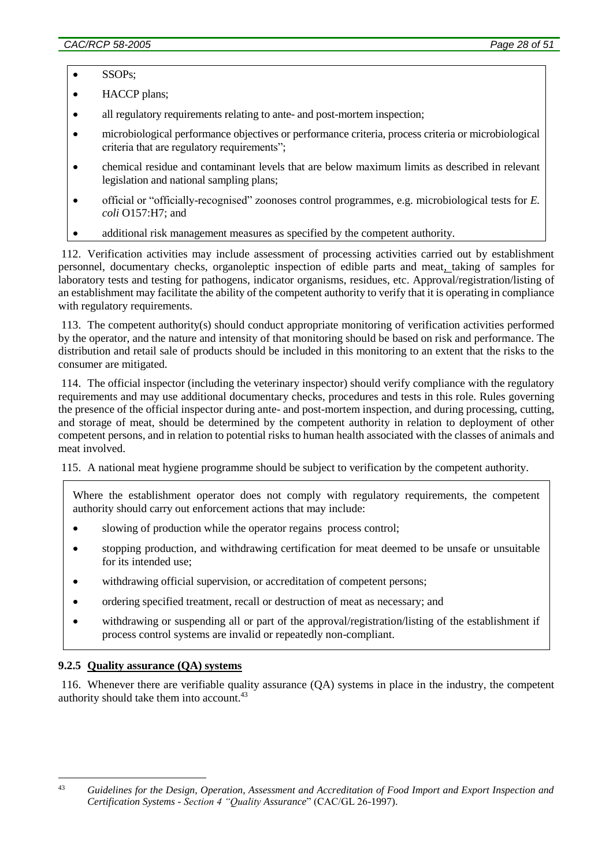• SSOPs;

• HACCP plans;

- all regulatory requirements relating to ante- and post-mortem inspection;
- microbiological performance objectives or performance criteria, process criteria or microbiological criteria that are regulatory requirements";
- chemical residue and contaminant levels that are below maximum limits as described in relevant legislation and national sampling plans;
- official or "officially-recognised" zoonoses control programmes, e.g. microbiological tests for *E. coli* O157:H7; and
- additional risk management measures as specified by the competent authority.

112. Verification activities may include assessment of processing activities carried out by establishment personnel, documentary checks, organoleptic inspection of edible parts and meat, taking of samples for laboratory tests and testing for pathogens, indicator organisms, residues, etc. Approval/registration/listing of an establishment may facilitate the ability of the competent authority to verify that it is operating in compliance with regulatory requirements.

113. The competent authority(s) should conduct appropriate monitoring of verification activities performed by the operator, and the nature and intensity of that monitoring should be based on risk and performance. The distribution and retail sale of products should be included in this monitoring to an extent that the risks to the consumer are mitigated.

114. The official inspector (including the veterinary inspector) should verify compliance with the regulatory requirements and may use additional documentary checks, procedures and tests in this role. Rules governing the presence of the official inspector during ante- and post-mortem inspection, and during processing, cutting, and storage of meat, should be determined by the competent authority in relation to deployment of other competent persons, and in relation to potential risks to human health associated with the classes of animals and meat involved.

115. A national meat hygiene programme should be subject to verification by the competent authority.

Where the establishment operator does not comply with regulatory requirements, the competent authority should carry out enforcement actions that may include:

- slowing of production while the operator regains process control;
- stopping production, and withdrawing certification for meat deemed to be unsafe or unsuitable for its intended use;
- withdrawing official supervision, or accreditation of competent persons;
- ordering specified treatment, recall or destruction of meat as necessary; and
- withdrawing or suspending all or part of the approval/registration/listing of the establishment if process control systems are invalid or repeatedly non-compliant.

#### **9.2.5 Quality assurance (QA) systems**

116. Whenever there are verifiable quality assurance (QA) systems in place in the industry, the competent authority should take them into account.<sup>43</sup>

<sup>&</sup>lt;u>.</u>

<sup>43</sup> *Guidelines for the Design, Operation, Assessment and Accreditation of Food Import and Export Inspection and Certification Systems - Section 4 "Quality Assurance*" (CAC/GL 26-1997).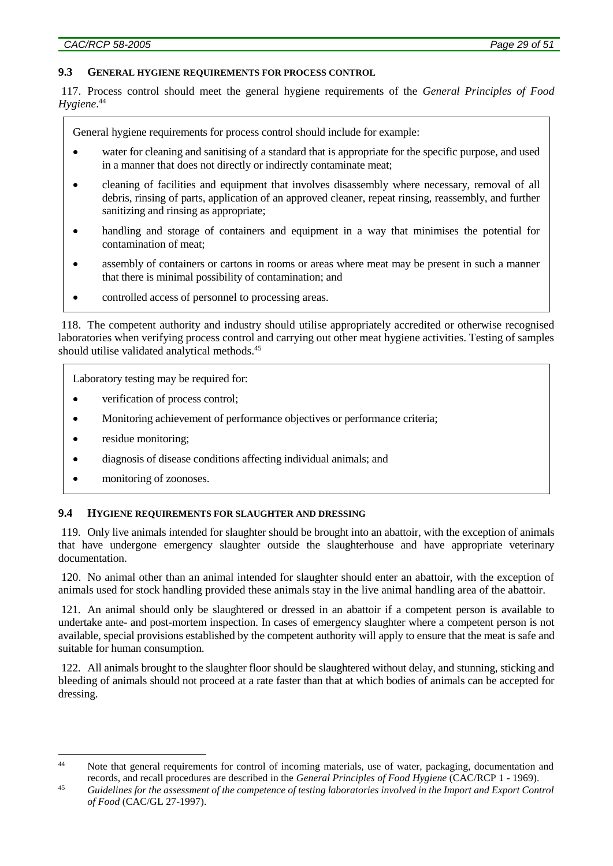#### **9.3 GENERAL HYGIENE REQUIREMENTS FOR PROCESS CONTROL**

117. Process control should meet the general hygiene requirements of the *General Principles of Food Hygiene*. 44

General hygiene requirements for process control should include for example:

- water for cleaning and sanitising of a standard that is appropriate for the specific purpose, and used in a manner that does not directly or indirectly contaminate meat;
- cleaning of facilities and equipment that involves disassembly where necessary, removal of all debris, rinsing of parts, application of an approved cleaner, repeat rinsing, reassembly, and further sanitizing and rinsing as appropriate;
- handling and storage of containers and equipment in a way that minimises the potential for contamination of meat;
- assembly of containers or cartons in rooms or areas where meat may be present in such a manner that there is minimal possibility of contamination; and
- controlled access of personnel to processing areas*.*

118. The competent authority and industry should utilise appropriately accredited or otherwise recognised laboratories when verifying process control and carrying out other meat hygiene activities. Testing of samples should utilise validated analytical methods.<sup>45</sup>

Laboratory testing may be required for:

- verification of process control;
- Monitoring achievement of performance objectives or performance criteria;
- residue monitoring;

1

- diagnosis of disease conditions affecting individual animals; and
- monitoring of zoonoses.

#### **9.4 HYGIENE REQUIREMENTS FOR SLAUGHTER AND DRESSING**

119. Only live animals intended for slaughter should be brought into an abattoir, with the exception of animals that have undergone emergency slaughter outside the slaughterhouse and have appropriate veterinary documentation.

120. No animal other than an animal intended for slaughter should enter an abattoir, with the exception of animals used for stock handling provided these animals stay in the live animal handling area of the abattoir.

121. An animal should only be slaughtered or dressed in an abattoir if a competent person is available to undertake ante- and post-mortem inspection. In cases of emergency slaughter where a competent person is not available, special provisions established by the competent authority will apply to ensure that the meat is safe and suitable for human consumption.

122. All animals brought to the slaughter floor should be slaughtered without delay, and stunning, sticking and bleeding of animals should not proceed at a rate faster than that at which bodies of animals can be accepted for dressing.

<sup>&</sup>lt;sup>44</sup> Note that general requirements for control of incoming materials, use of water, packaging, documentation and records, and recall procedures are described in the *General Principles of Food Hygiene* (CAC/RCP 1 - 1969).

<sup>45</sup> *Guidelines for the assessment of the competence of testing laboratories involved in the Import and Export Control of Food* (CAC/GL 27-1997).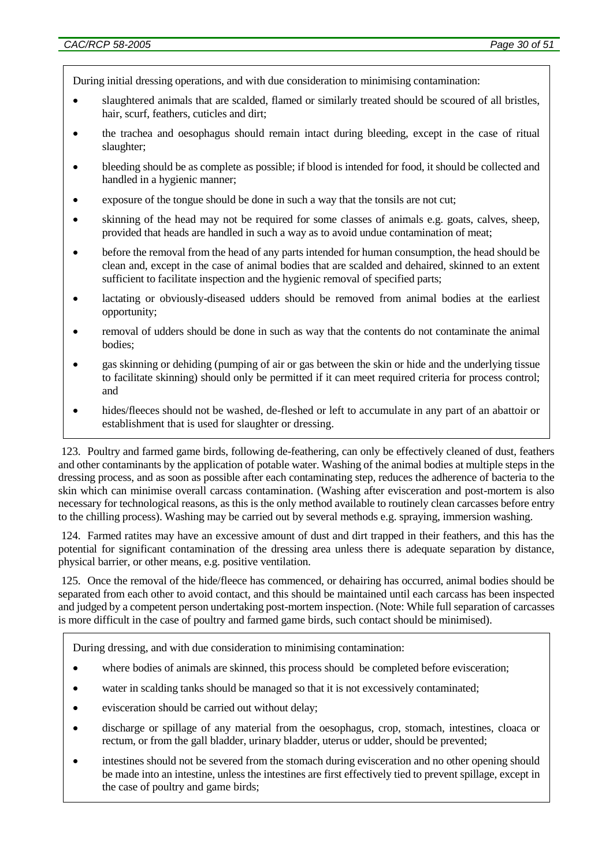During initial dressing operations, and with due consideration to minimising contamination:

- slaughtered animals that are scalded, flamed or similarly treated should be scoured of all bristles, hair, scurf, feathers, cuticles and dirt;
- the trachea and oesophagus should remain intact during bleeding, except in the case of ritual slaughter;
- bleeding should be as complete as possible; if blood is intended for food, it should be collected and handled in a hygienic manner;
- exposure of the tongue should be done in such a way that the tonsils are not cut;
- skinning of the head may not be required for some classes of animals e.g. goats, calves, sheep, provided that heads are handled in such a way as to avoid undue contamination of meat;
- before the removal from the head of any parts intended for human consumption, the head should be clean and, except in the case of animal bodies that are scalded and dehaired, skinned to an extent sufficient to facilitate inspection and the hygienic removal of specified parts;
- lactating or obviously-diseased udders should be removed from animal bodies at the earliest opportunity;
- removal of udders should be done in such as way that the contents do not contaminate the animal bodies;
- gas skinning or dehiding (pumping of air or gas between the skin or hide and the underlying tissue to facilitate skinning) should only be permitted if it can meet required criteria for process control; and
- hides/fleeces should not be washed, de-fleshed or left to accumulate in any part of an abattoir or establishment that is used for slaughter or dressing.

123. Poultry and farmed game birds, following de-feathering, can only be effectively cleaned of dust, feathers and other contaminants by the application of potable water. Washing of the animal bodies at multiple steps in the dressing process, and as soon as possible after each contaminating step, reduces the adherence of bacteria to the skin which can minimise overall carcass contamination. (Washing after evisceration and post-mortem is also necessary for technological reasons, as this is the only method available to routinely clean carcasses before entry to the chilling process). Washing may be carried out by several methods e.g. spraying, immersion washing.

124. Farmed ratites may have an excessive amount of dust and dirt trapped in their feathers, and this has the potential for significant contamination of the dressing area unless there is adequate separation by distance, physical barrier, or other means, e.g. positive ventilation.

125. Once the removal of the hide/fleece has commenced, or dehairing has occurred, animal bodies should be separated from each other to avoid contact, and this should be maintained until each carcass has been inspected and judged by a competent person undertaking post-mortem inspection. (Note: While full separation of carcasses is more difficult in the case of poultry and farmed game birds, such contact should be minimised).

During dressing, and with due consideration to minimising contamination:

- where bodies of animals are skinned, this process should be completed before evisceration;
- water in scalding tanks should be managed so that it is not excessively contaminated;
- evisceration should be carried out without delay;
- discharge or spillage of any material from the oesophagus, crop, stomach, intestines, cloaca or rectum, or from the gall bladder, urinary bladder, uterus or udder, should be prevented;
- intestines should not be severed from the stomach during evisceration and no other opening should be made into an intestine, unless the intestines are first effectively tied to prevent spillage, except in the case of poultry and game birds;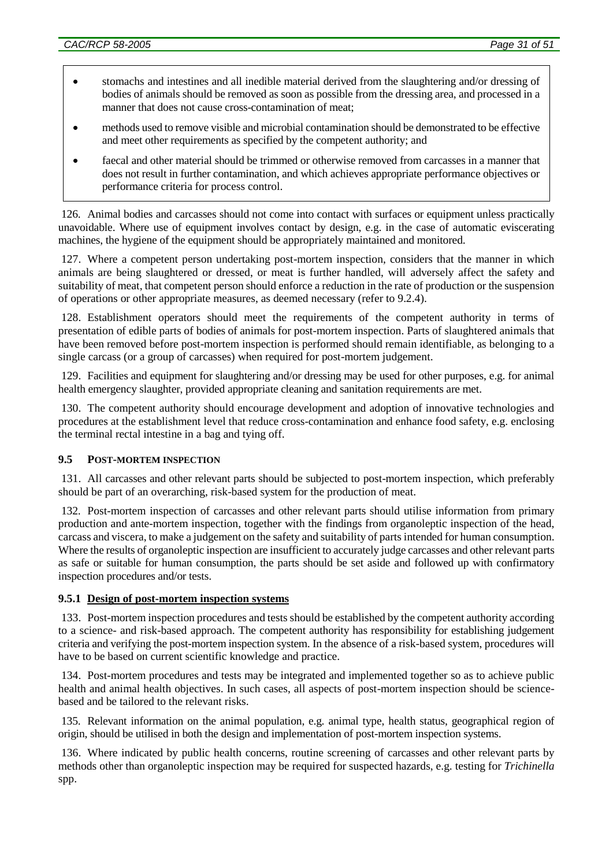- stomachs and intestines and all inedible material derived from the slaughtering and/or dressing of bodies of animals should be removed as soon as possible from the dressing area, and processed in a manner that does not cause cross-contamination of meat;
- methods used to remove visible and microbial contamination should be demonstrated to be effective and meet other requirements as specified by the competent authority; and
- faecal and other material should be trimmed or otherwise removed from carcasses in a manner that does not result in further contamination, and which achieves appropriate performance objectives or performance criteria for process control.

126. Animal bodies and carcasses should not come into contact with surfaces or equipment unless practically unavoidable. Where use of equipment involves contact by design, e.g. in the case of automatic eviscerating machines, the hygiene of the equipment should be appropriately maintained and monitored.

127. Where a competent person undertaking post-mortem inspection, considers that the manner in which animals are being slaughtered or dressed, or meat is further handled, will adversely affect the safety and suitability of meat, that competent person should enforce a reduction in the rate of production or the suspension of operations or other appropriate measures, as deemed necessary (refer to 9.2.4).

128. Establishment operators should meet the requirements of the competent authority in terms of presentation of edible parts of bodies of animals for post-mortem inspection. Parts of slaughtered animals that have been removed before post-mortem inspection is performed should remain identifiable, as belonging to a single carcass (or a group of carcasses) when required for post-mortem judgement.

129. Facilities and equipment for slaughtering and/or dressing may be used for other purposes, e.g. for animal health emergency slaughter, provided appropriate cleaning and sanitation requirements are met.

130. The competent authority should encourage development and adoption of innovative technologies and procedures at the establishment level that reduce cross-contamination and enhance food safety, e.g. enclosing the terminal rectal intestine in a bag and tying off.

## **9.5 POST-MORTEM INSPECTION**

131. All carcasses and other relevant parts should be subjected to post-mortem inspection, which preferably should be part of an overarching, risk-based system for the production of meat.

132. Post-mortem inspection of carcasses and other relevant parts should utilise information from primary production and ante-mortem inspection, together with the findings from organoleptic inspection of the head, carcass and viscera, to make a judgement on the safety and suitability of parts intended for human consumption. Where the results of organoleptic inspection are insufficient to accurately judge carcasses and other relevant parts as safe or suitable for human consumption, the parts should be set aside and followed up with confirmatory inspection procedures and/or tests.

## **9.5.1 Design of post-mortem inspection systems**

133. Post-mortem inspection procedures and tests should be established by the competent authority according to a science- and risk-based approach. The competent authority has responsibility for establishing judgement criteria and verifying the post-mortem inspection system. In the absence of a risk-based system, procedures will have to be based on current scientific knowledge and practice.

134. Post-mortem procedures and tests may be integrated and implemented together so as to achieve public health and animal health objectives. In such cases, all aspects of post-mortem inspection should be sciencebased and be tailored to the relevant risks.

135. Relevant information on the animal population, e.g. animal type, health status, geographical region of origin, should be utilised in both the design and implementation of post-mortem inspection systems.

136. Where indicated by public health concerns, routine screening of carcasses and other relevant parts by methods other than organoleptic inspection may be required for suspected hazards, e.g. testing for *Trichinella* spp.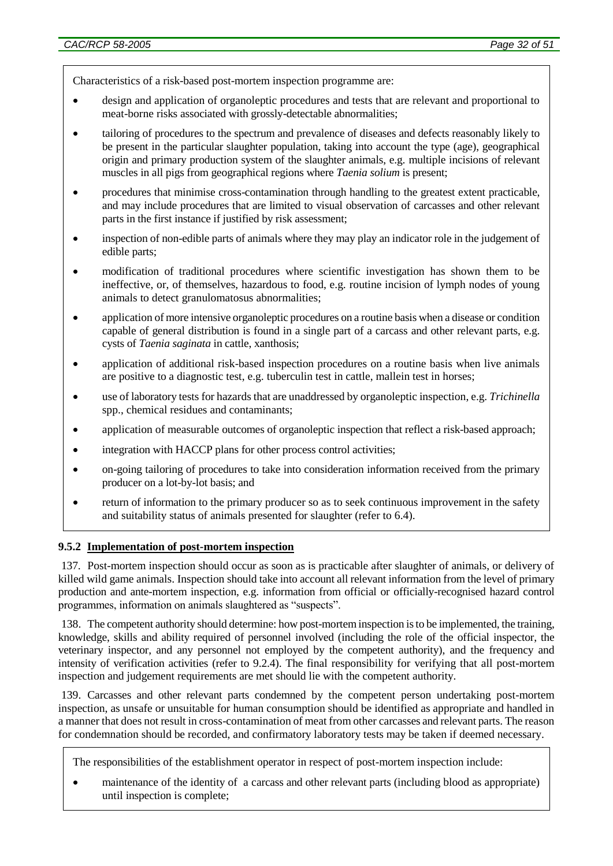Characteristics of a risk-based post-mortem inspection programme are:

- design and application of organoleptic procedures and tests that are relevant and proportional to meat-borne risks associated with grossly-detectable abnormalities;
- tailoring of procedures to the spectrum and prevalence of diseases and defects reasonably likely to be present in the particular slaughter population, taking into account the type (age), geographical origin and primary production system of the slaughter animals, e.g. multiple incisions of relevant muscles in all pigs from geographical regions where *Taenia solium* is present;
- procedures that minimise cross-contamination through handling to the greatest extent practicable, and may include procedures that are limited to visual observation of carcasses and other relevant parts in the first instance if justified by risk assessment;
- inspection of non-edible parts of animals where they may play an indicator role in the judgement of edible parts;
- modification of traditional procedures where scientific investigation has shown them to be ineffective, or, of themselves, hazardous to food, e.g. routine incision of lymph nodes of young animals to detect granulomatosus abnormalities;
- application of more intensive organoleptic procedures on a routine basis when a disease or condition capable of general distribution is found in a single part of a carcass and other relevant parts, e.g. cysts of *Taenia saginata* in cattle, xanthosis;
- application of additional risk-based inspection procedures on a routine basis when live animals are positive to a diagnostic test, e.g. tuberculin test in cattle, mallein test in horses;
- use of laboratory tests for hazards that are unaddressed by organoleptic inspection, e.g. *Trichinella* spp., chemical residues and contaminants;
- application of measurable outcomes of organoleptic inspection that reflect a risk-based approach;
- integration with HACCP plans for other process control activities;
- on-going tailoring of procedures to take into consideration information received from the primary producer on a lot-by-lot basis; and
- return of information to the primary producer so as to seek continuous improvement in the safety and suitability status of animals presented for slaughter (refer to 6.4).

#### **9.5.2 Implementation of post-mortem inspection**

137. Post-mortem inspection should occur as soon as is practicable after slaughter of animals, or delivery of killed wild game animals. Inspection should take into account all relevant information from the level of primary production and ante-mortem inspection, e.g. information from official or officially-recognised hazard control programmes, information on animals slaughtered as "suspects".

138. The competent authority should determine: how post-mortem inspection is to be implemented, the training, knowledge, skills and ability required of personnel involved (including the role of the official inspector, the veterinary inspector, and any personnel not employed by the competent authority), and the frequency and intensity of verification activities (refer to 9.2.4). The final responsibility for verifying that all post-mortem inspection and judgement requirements are met should lie with the competent authority.

139. Carcasses and other relevant parts condemned by the competent person undertaking post-mortem inspection, as unsafe or unsuitable for human consumption should be identified as appropriate and handled in a manner that does not result in cross-contamination of meat from other carcasses and relevant parts. The reason for condemnation should be recorded, and confirmatory laboratory tests may be taken if deemed necessary.

The responsibilities of the establishment operator in respect of post-mortem inspection include:

 maintenance of the identity of a carcass and other relevant parts (including blood as appropriate) until inspection is complete;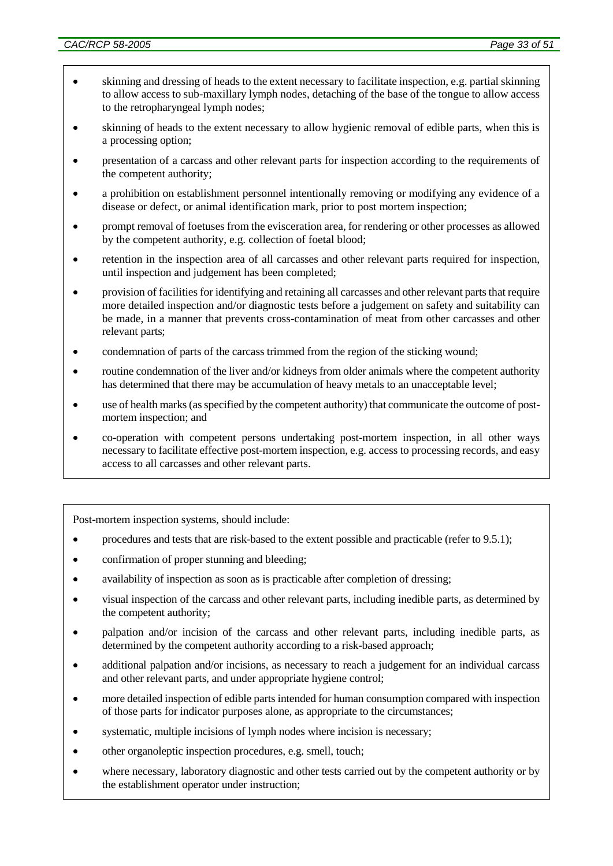- skinning and dressing of heads to the extent necessary to facilitate inspection, e.g. partial skinning to allow access to sub-maxillary lymph nodes, detaching of the base of the tongue to allow access to the retropharyngeal lymph nodes;
- skinning of heads to the extent necessary to allow hygienic removal of edible parts, when this is a processing option;
- presentation of a carcass and other relevant parts for inspection according to the requirements of the competent authority;
- a prohibition on establishment personnel intentionally removing or modifying any evidence of a disease or defect, or animal identification mark, prior to post mortem inspection;
- prompt removal of foetuses from the evisceration area, for rendering or other processes as allowed by the competent authority, e.g. collection of foetal blood;
- retention in the inspection area of all carcasses and other relevant parts required for inspection, until inspection and judgement has been completed;
- provision of facilities for identifying and retaining all carcasses and other relevant parts that require more detailed inspection and/or diagnostic tests before a judgement on safety and suitability can be made, in a manner that prevents cross-contamination of meat from other carcasses and other relevant parts;
- condemnation of parts of the carcass trimmed from the region of the sticking wound;
- routine condemnation of the liver and/or kidneys from older animals where the competent authority has determined that there may be accumulation of heavy metals to an unacceptable level;
- use of health marks (as specified by the competent authority) that communicate the outcome of postmortem inspection; and
- co-operation with competent persons undertaking post-mortem inspection, in all other ways necessary to facilitate effective post-mortem inspection, e.g. access to processing records, and easy access to all carcasses and other relevant parts.

Post-mortem inspection systems, should include:

- procedures and tests that are risk-based to the extent possible and practicable (refer to 9.5.1);
- confirmation of proper stunning and bleeding;
- availability of inspection as soon as is practicable after completion of dressing;
- visual inspection of the carcass and other relevant parts, including inedible parts, as determined by the competent authority;
- palpation and/or incision of the carcass and other relevant parts, including inedible parts, as determined by the competent authority according to a risk-based approach;
- additional palpation and/or incisions, as necessary to reach a judgement for an individual carcass and other relevant parts, and under appropriate hygiene control;
- more detailed inspection of edible parts intended for human consumption compared with inspection of those parts for indicator purposes alone, as appropriate to the circumstances;
- systematic, multiple incisions of lymph nodes where incision is necessary;
- other organoleptic inspection procedures, e.g. smell, touch;
- where necessary, laboratory diagnostic and other tests carried out by the competent authority or by the establishment operator under instruction;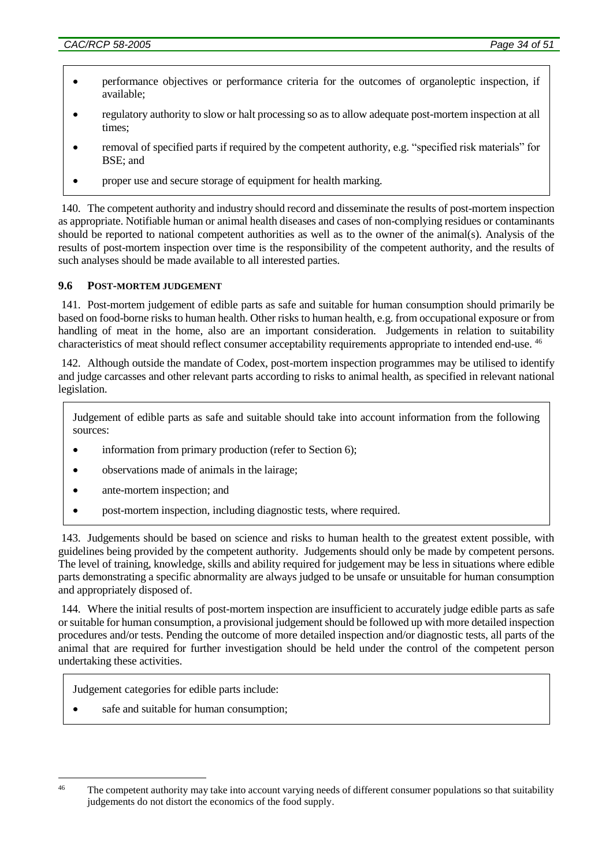- performance objectives or performance criteria for the outcomes of organoleptic inspection, if available;
- regulatory authority to slow or halt processing so as to allow adequate post-mortem inspection at all times;
- removal of specified parts if required by the competent authority, e.g. "specified risk materials" for BSE; and
- proper use and secure storage of equipment for health marking.

140. The competent authority and industry should record and disseminate the results of post-mortem inspection as appropriate. Notifiable human or animal health diseases and cases of non-complying residues or contaminants should be reported to national competent authorities as well as to the owner of the animal(s). Analysis of the results of post-mortem inspection over time is the responsibility of the competent authority, and the results of such analyses should be made available to all interested parties.

## **9.6 POST-MORTEM JUDGEMENT**

141. Post-mortem judgement of edible parts as safe and suitable for human consumption should primarily be based on food-borne risks to human health. Other risks to human health, e.g. from occupational exposure or from handling of meat in the home, also are an important consideration. Judgements in relation to suitability characteristics of meat should reflect consumer acceptability requirements appropriate to intended end-use. <sup>46</sup>

142. Although outside the mandate of Codex, post-mortem inspection programmes may be utilised to identify and judge carcasses and other relevant parts according to risks to animal health, as specified in relevant national legislation.

Judgement of edible parts as safe and suitable should take into account information from the following sources:

- information from primary production (refer to Section 6);
- observations made of animals in the lairage;
- ante-mortem inspection; and
- post-mortem inspection, including diagnostic tests, where required.

143. Judgements should be based on science and risks to human health to the greatest extent possible, with guidelines being provided by the competent authority. Judgements should only be made by competent persons. The level of training, knowledge, skills and ability required for judgement may be less in situations where edible parts demonstrating a specific abnormality are always judged to be unsafe or unsuitable for human consumption and appropriately disposed of.

144. Where the initial results of post-mortem inspection are insufficient to accurately judge edible parts as safe or suitable for human consumption, a provisional judgement should be followed up with more detailed inspection procedures and/or tests. Pending the outcome of more detailed inspection and/or diagnostic tests, all parts of the animal that are required for further investigation should be held under the control of the competent person undertaking these activities.

Judgement categories for edible parts include:

safe and suitable for human consumption;

<sup>&</sup>lt;u>.</u> <sup>46</sup> The competent authority may take into account varying needs of different consumer populations so that suitability judgements do not distort the economics of the food supply.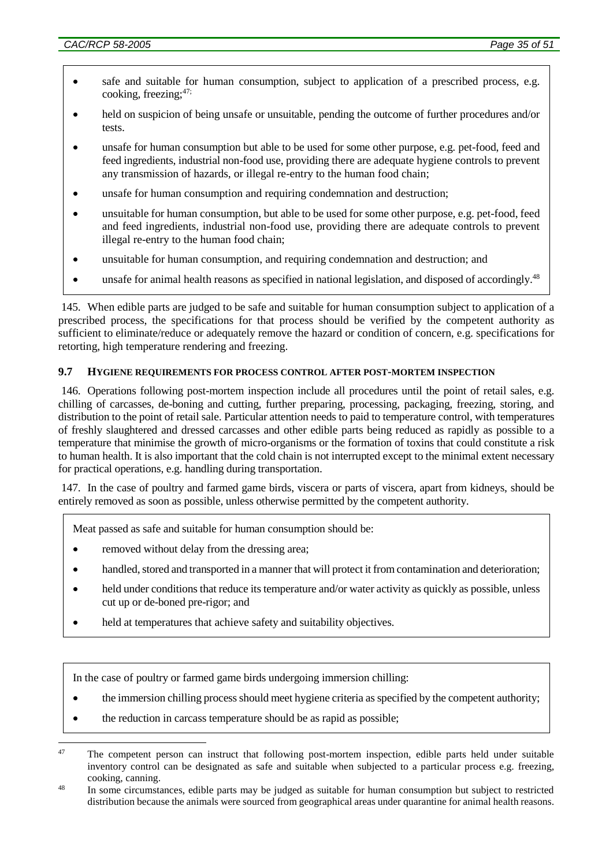- safe and suitable for human consumption, subject to application of a prescribed process, e.g. cooking, freezing; $47$ ;
- held on suspicion of being unsafe or unsuitable, pending the outcome of further procedures and/or tests.
- unsafe for human consumption but able to be used for some other purpose, e.g. pet-food, feed and feed ingredients, industrial non-food use, providing there are adequate hygiene controls to prevent any transmission of hazards, or illegal re-entry to the human food chain;
- unsafe for human consumption and requiring condemnation and destruction;
- unsuitable for human consumption, but able to be used for some other purpose, e.g. pet-food, feed and feed ingredients, industrial non-food use, providing there are adequate controls to prevent illegal re-entry to the human food chain;
- unsuitable for human consumption, and requiring condemnation and destruction; and
- unsafe for animal health reasons as specified in national legislation, and disposed of accordingly.<sup>48</sup>

145. When edible parts are judged to be safe and suitable for human consumption subject to application of a prescribed process, the specifications for that process should be verified by the competent authority as sufficient to eliminate/reduce or adequately remove the hazard or condition of concern, e.g. specifications for retorting, high temperature rendering and freezing.

#### **9.7 HYGIENE REQUIREMENTS FOR PROCESS CONTROL AFTER POST-MORTEM INSPECTION**

146. Operations following post-mortem inspection include all procedures until the point of retail sales, e.g. chilling of carcasses, de-boning and cutting, further preparing, processing, packaging, freezing, storing, and distribution to the point of retail sale. Particular attention needs to paid to temperature control, with temperatures of freshly slaughtered and dressed carcasses and other edible parts being reduced as rapidly as possible to a temperature that minimise the growth of micro-organisms or the formation of toxins that could constitute a risk to human health. It is also important that the cold chain is not interrupted except to the minimal extent necessary for practical operations, e.g. handling during transportation.

147. In the case of poultry and farmed game birds, viscera or parts of viscera, apart from kidneys, should be entirely removed as soon as possible, unless otherwise permitted by the competent authority.

Meat passed as safe and suitable for human consumption should be:

- removed without delay from the dressing area;
- handled, stored and transported in a manner that will protect it from contamination and deterioration;
- held under conditions that reduce its temperature and/or water activity as quickly as possible, unless cut up or de-boned pre-rigor; and
- held at temperatures that achieve safety and suitability objectives.

In the case of poultry or farmed game birds undergoing immersion chilling:

- the immersion chilling process should meet hygiene criteria as specified by the competent authority;
- the reduction in carcass temperature should be as rapid as possible;

<sup>&</sup>lt;u>.</u> <sup>47</sup> The competent person can instruct that following post-mortem inspection, edible parts held under suitable inventory control can be designated as safe and suitable when subjected to a particular process e.g. freezing, cooking, canning.

<sup>&</sup>lt;sup>48</sup> In some circumstances, edible parts may be judged as suitable for human consumption but subject to restricted distribution because the animals were sourced from geographical areas under quarantine for animal health reasons.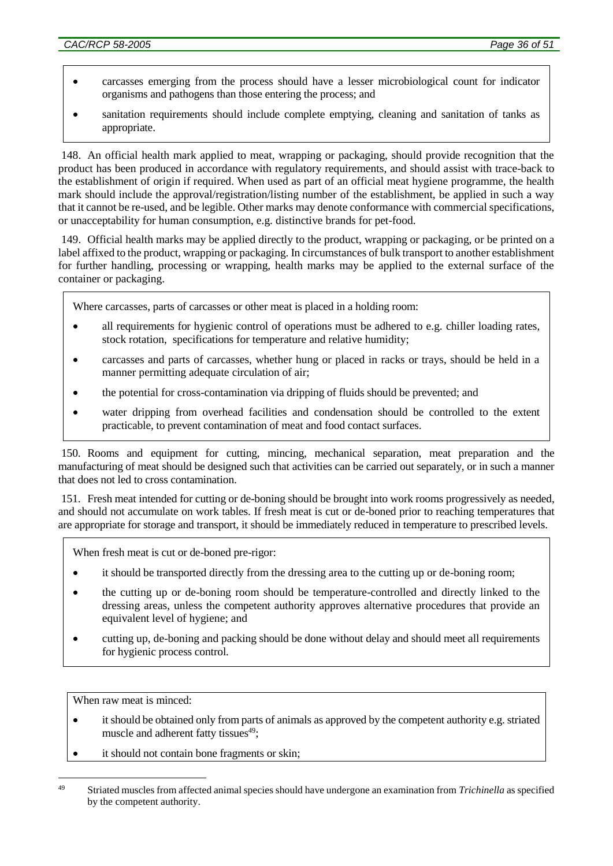- carcasses emerging from the process should have a lesser microbiological count for indicator organisms and pathogens than those entering the process; and
- sanitation requirements should include complete emptying, cleaning and sanitation of tanks as appropriate.

148. An official health mark applied to meat, wrapping or packaging, should provide recognition that the product has been produced in accordance with regulatory requirements, and should assist with trace-back to the establishment of origin if required. When used as part of an official meat hygiene programme, the health mark should include the approval/registration/listing number of the establishment, be applied in such a way that it cannot be re-used, and be legible. Other marks may denote conformance with commercial specifications, or unacceptability for human consumption, e.g. distinctive brands for pet-food.

149. Official health marks may be applied directly to the product, wrapping or packaging, or be printed on a label affixed to the product, wrapping or packaging. In circumstances of bulk transport to another establishment for further handling, processing or wrapping, health marks may be applied to the external surface of the container or packaging.

Where carcasses, parts of carcasses or other meat is placed in a holding room:

- all requirements for hygienic control of operations must be adhered to e.g. chiller loading rates, stock rotation, specifications for temperature and relative humidity;
- carcasses and parts of carcasses, whether hung or placed in racks or trays, should be held in a manner permitting adequate circulation of air;
- the potential for cross-contamination via dripping of fluids should be prevented; and
- water dripping from overhead facilities and condensation should be controlled to the extent practicable, to prevent contamination of meat and food contact surfaces.

150. Rooms and equipment for cutting, mincing, mechanical separation, meat preparation and the manufacturing of meat should be designed such that activities can be carried out separately, or in such a manner that does not led to cross contamination.

151. Fresh meat intended for cutting or de-boning should be brought into work rooms progressively as needed, and should not accumulate on work tables. If fresh meat is cut or de-boned prior to reaching temperatures that are appropriate for storage and transport, it should be immediately reduced in temperature to prescribed levels.

When fresh meat is cut or de-boned pre-rigor:

- it should be transported directly from the dressing area to the cutting up or de-boning room;
- the cutting up or de-boning room should be temperature-controlled and directly linked to the dressing areas, unless the competent authority approves alternative procedures that provide an equivalent level of hygiene; and
- cutting up, de-boning and packing should be done without delay and should meet all requirements for hygienic process control.

When raw meat is minced:

<u>.</u>

- it should be obtained only from parts of animals as approved by the competent authority e.g. striated muscle and adherent fatty tissues $49$ ;
- it should not contain bone fragments or skin;

<sup>49</sup> Striated muscles from affected animal species should have undergone an examination from *Trichinella* as specified by the competent authority.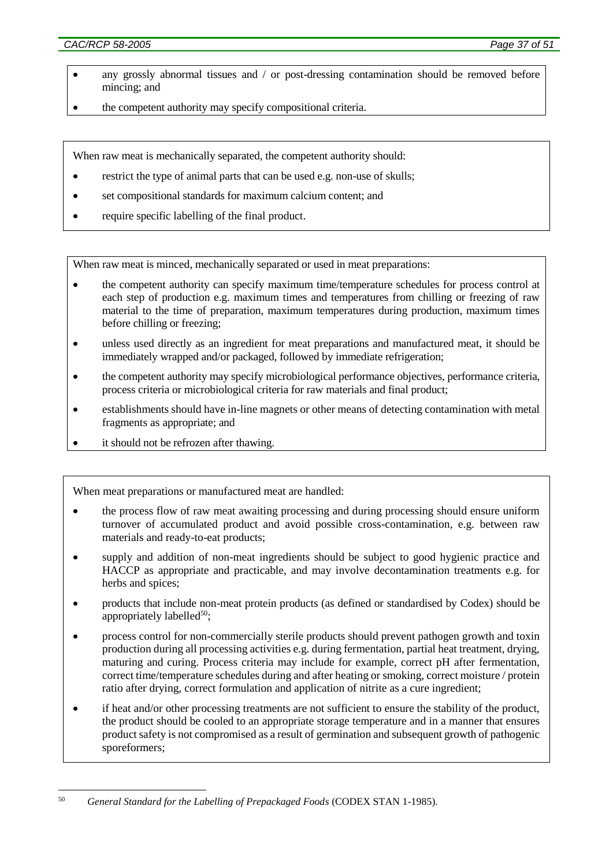- any grossly abnormal tissues and / or post-dressing contamination should be removed before mincing; and
- the competent authority may specify compositional criteria.

When raw meat is mechanically separated, the competent authority should:

- restrict the type of animal parts that can be used e.g. non-use of skulls;
- set compositional standards for maximum calcium content; and
- require specific labelling of the final product.

When raw meat is minced, mechanically separated or used in meat preparations:

- the competent authority can specify maximum time/temperature schedules for process control at each step of production e.g. maximum times and temperatures from chilling or freezing of raw material to the time of preparation, maximum temperatures during production, maximum times before chilling or freezing;
- unless used directly as an ingredient for meat preparations and manufactured meat, it should be immediately wrapped and/or packaged, followed by immediate refrigeration;
- the competent authority may specify microbiological performance objectives, performance criteria, process criteria or microbiological criteria for raw materials and final product;
- establishments should have in-line magnets or other means of detecting contamination with metal fragments as appropriate; and
- it should not be refrozen after thawing.

When meat preparations or manufactured meat are handled:

- the process flow of raw meat awaiting processing and during processing should ensure uniform turnover of accumulated product and avoid possible cross-contamination, e.g. between raw materials and ready-to-eat products;
- supply and addition of non-meat ingredients should be subject to good hygienic practice and HACCP as appropriate and practicable, and may involve decontamination treatments e.g. for herbs and spices;
- products that include non-meat protein products (as defined or standardised by Codex) should be appropriately labelled $50$ ;
- process control for non-commercially sterile products should prevent pathogen growth and toxin production during all processing activities e.g. during fermentation, partial heat treatment, drying, maturing and curing. Process criteria may include for example, correct pH after fermentation, correct time/temperature schedules during and after heating or smoking, correct moisture / protein ratio after drying, correct formulation and application of nitrite as a cure ingredient;
- if heat and/or other processing treatments are not sufficient to ensure the stability of the product, the product should be cooled to an appropriate storage temperature and in a manner that ensures product safety is not compromised as a result of germination and subsequent growth of pathogenic sporeformers;

<sup>1</sup> <sup>50</sup> *General Standard for the Labelling of Prepackaged Foods* (CODEX STAN 1-1985).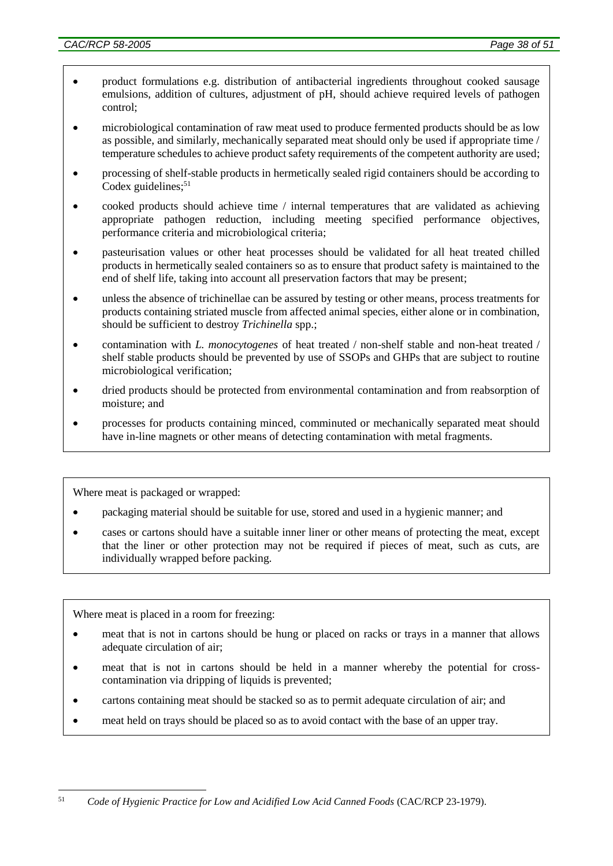- product formulations e.g. distribution of antibacterial ingredients throughout cooked sausage emulsions, addition of cultures, adjustment of pH, should achieve required levels of pathogen control;
- microbiological contamination of raw meat used to produce fermented products should be as low as possible, and similarly, mechanically separated meat should only be used if appropriate time / temperature schedules to achieve product safety requirements of the competent authority are used;
- processing of shelf-stable products in hermetically sealed rigid containers should be according to Codex guidelines; 51
- cooked products should achieve time / internal temperatures that are validated as achieving appropriate pathogen reduction, including meeting specified performance objectives, performance criteria and microbiological criteria;
- pasteurisation values or other heat processes should be validated for all heat treated chilled products in hermetically sealed containers so as to ensure that product safety is maintained to the end of shelf life, taking into account all preservation factors that may be present;
- unless the absence of trichinellae can be assured by testing or other means, process treatments for products containing striated muscle from affected animal species, either alone or in combination, should be sufficient to destroy *Trichinella* spp.;
- contamination with *L. monocytogenes* of heat treated / non-shelf stable and non-heat treated / shelf stable products should be prevented by use of SSOPs and GHPs that are subject to routine microbiological verification;
- dried products should be protected from environmental contamination and from reabsorption of moisture; and
- processes for products containing minced, comminuted or mechanically separated meat should have in-line magnets or other means of detecting contamination with metal fragments.

Where meat is packaged or wrapped:

- packaging material should be suitable for use, stored and used in a hygienic manner; and
- cases or cartons should have a suitable inner liner or other means of protecting the meat, except that the liner or other protection may not be required if pieces of meat, such as cuts, are individually wrapped before packing.

Where meat is placed in a room for freezing:

- meat that is not in cartons should be hung or placed on racks or trays in a manner that allows adequate circulation of air;
- meat that is not in cartons should be held in a manner whereby the potential for crosscontamination via dripping of liquids is prevented;
- cartons containing meat should be stacked so as to permit adequate circulation of air; and
- meat held on trays should be placed so as to avoid contact with the base of an upper tray.

<sup>1</sup> <sup>51</sup> *Code of Hygienic Practice for Low and Acidified Low Acid Canned Foods* (CAC/RCP 23-1979).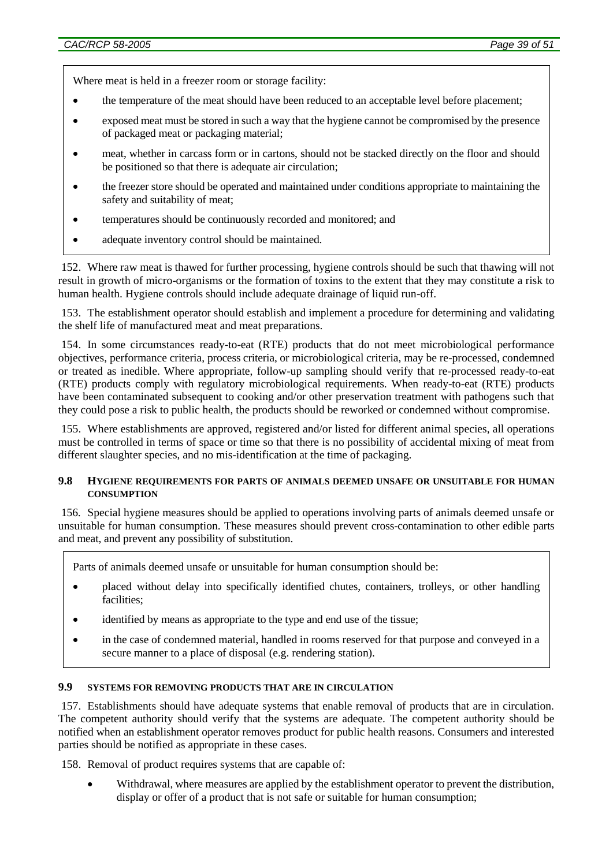Where meat is held in a freezer room or storage facility:

- the temperature of the meat should have been reduced to an acceptable level before placement;
- exposed meat must be stored in such a way that the hygiene cannot be compromised by the presence of packaged meat or packaging material;
- meat, whether in carcass form or in cartons, should not be stacked directly on the floor and should be positioned so that there is adequate air circulation;
- the freezer store should be operated and maintained under conditions appropriate to maintaining the safety and suitability of meat;
- temperatures should be continuously recorded and monitored; and
- adequate inventory control should be maintained.

152. Where raw meat is thawed for further processing, hygiene controls should be such that thawing will not result in growth of micro-organisms or the formation of toxins to the extent that they may constitute a risk to human health. Hygiene controls should include adequate drainage of liquid run-off.

153. The establishment operator should establish and implement a procedure for determining and validating the shelf life of manufactured meat and meat preparations.

154. In some circumstances ready-to-eat (RTE) products that do not meet microbiological performance objectives, performance criteria, process criteria, or microbiological criteria, may be re-processed, condemned or treated as inedible. Where appropriate, follow-up sampling should verify that re-processed ready-to-eat (RTE) products comply with regulatory microbiological requirements. When ready-to-eat (RTE) products have been contaminated subsequent to cooking and/or other preservation treatment with pathogens such that they could pose a risk to public health, the products should be reworked or condemned without compromise.

155. Where establishments are approved, registered and/or listed for different animal species, all operations must be controlled in terms of space or time so that there is no possibility of accidental mixing of meat from different slaughter species, and no mis-identification at the time of packaging.

#### **9.8 HYGIENE REQUIREMENTS FOR PARTS OF ANIMALS DEEMED UNSAFE OR UNSUITABLE FOR HUMAN CONSUMPTION**

156. Special hygiene measures should be applied to operations involving parts of animals deemed unsafe or unsuitable for human consumption. These measures should prevent cross-contamination to other edible parts and meat, and prevent any possibility of substitution.

Parts of animals deemed unsafe or unsuitable for human consumption should be:

- placed without delay into specifically identified chutes, containers, trolleys, or other handling facilities;
- identified by means as appropriate to the type and end use of the tissue;
- in the case of condemned material, handled in rooms reserved for that purpose and conveyed in a secure manner to a place of disposal (e.g. rendering station).

#### **9.9 SYSTEMS FOR REMOVING PRODUCTS THAT ARE IN CIRCULATION**

157. Establishments should have adequate systems that enable removal of products that are in circulation. The competent authority should verify that the systems are adequate. The competent authority should be notified when an establishment operator removes product for public health reasons. Consumers and interested parties should be notified as appropriate in these cases.

158. Removal of product requires systems that are capable of:

 Withdrawal, where measures are applied by the establishment operator to prevent the distribution, display or offer of a product that is not safe or suitable for human consumption;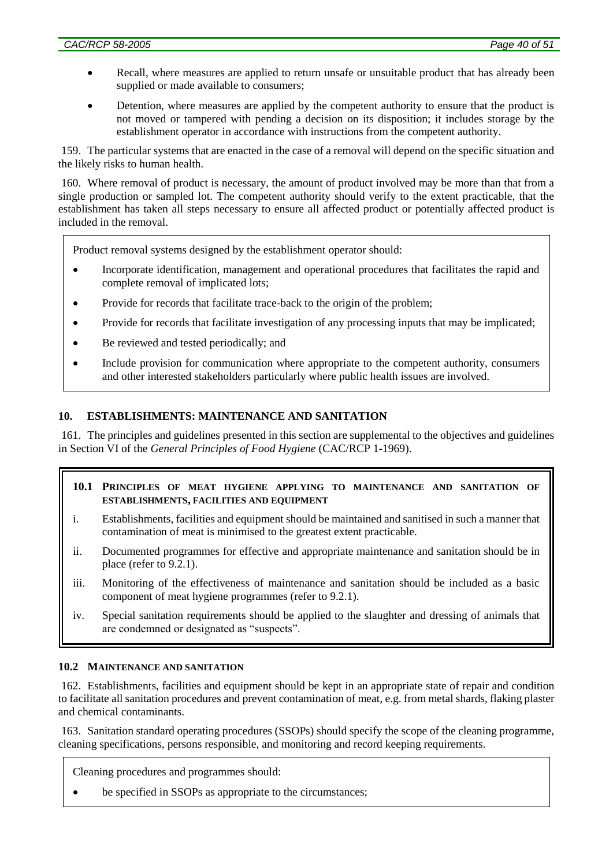- Recall, where measures are applied to return unsafe or unsuitable product that has already been supplied or made available to consumers;
- Detention, where measures are applied by the competent authority to ensure that the product is not moved or tampered with pending a decision on its disposition; it includes storage by the establishment operator in accordance with instructions from the competent authority.

159. The particular systems that are enacted in the case of a removal will depend on the specific situation and the likely risks to human health.

160. Where removal of product is necessary, the amount of product involved may be more than that from a single production or sampled lot. The competent authority should verify to the extent practicable, that the establishment has taken all steps necessary to ensure all affected product or potentially affected product is included in the removal.

Product removal systems designed by the establishment operator should:

- Incorporate identification, management and operational procedures that facilitates the rapid and complete removal of implicated lots;
- Provide for records that facilitate trace-back to the origin of the problem;
- Provide for records that facilitate investigation of any processing inputs that may be implicated;
- Be reviewed and tested periodically; and
- Include provision for communication where appropriate to the competent authority, consumers and other interested stakeholders particularly where public health issues are involved.

### **10. ESTABLISHMENTS: MAINTENANCE AND SANITATION**

161. The principles and guidelines presented in this section are supplemental to the objectives and guidelines in Section VI of the *General Principles of Food Hygiene* (CAC/RCP 1-1969).

#### **10.1 PRINCIPLES OF MEAT HYGIENE APPLYING TO MAINTENANCE AND SANITATION OF ESTABLISHMENTS, FACILITIES AND EQUIPMENT**

- i. Establishments, facilities and equipment should be maintained and sanitised in such a manner that contamination of meat is minimised to the greatest extent practicable.
- ii. Documented programmes for effective and appropriate maintenance and sanitation should be in place (refer to 9.2.1).
- iii. Monitoring of the effectiveness of maintenance and sanitation should be included as a basic component of meat hygiene programmes (refer to 9.2.1).
- iv. Special sanitation requirements should be applied to the slaughter and dressing of animals that are condemned or designated as "suspects".

#### **10.2 MAINTENANCE AND SANITATION**

162. Establishments, facilities and equipment should be kept in an appropriate state of repair and condition to facilitate all sanitation procedures and prevent contamination of meat, e.g. from metal shards, flaking plaster and chemical contaminants.

163. Sanitation standard operating procedures (SSOPs) should specify the scope of the cleaning programme, cleaning specifications, persons responsible, and monitoring and record keeping requirements.

Cleaning procedures and programmes should:

be specified in SSOPs as appropriate to the circumstances;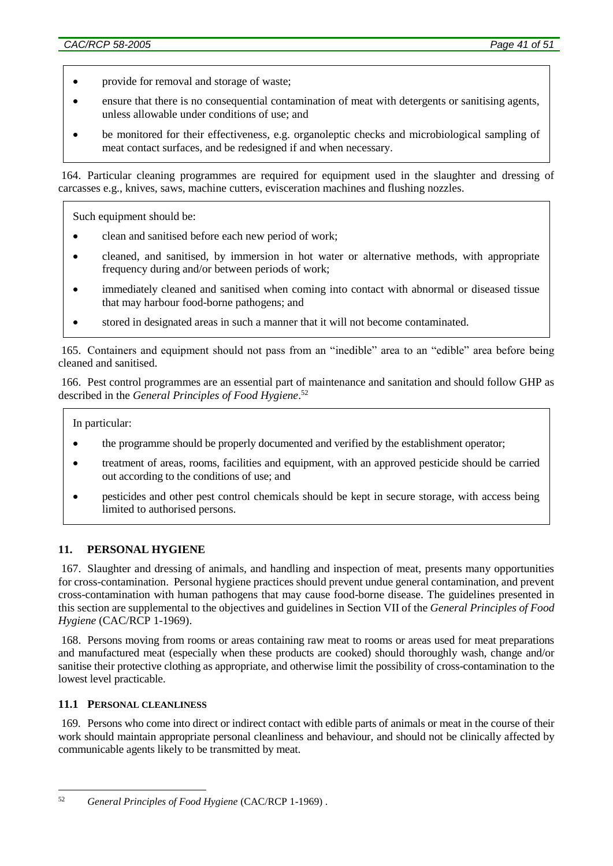- provide for removal and storage of waste;
- ensure that there is no consequential contamination of meat with detergents or sanitising agents, unless allowable under conditions of use; and
- be monitored for their effectiveness, e.g. organoleptic checks and microbiological sampling of meat contact surfaces, and be redesigned if and when necessary.

164. Particular cleaning programmes are required for equipment used in the slaughter and dressing of carcasses e.g., knives, saws, machine cutters, evisceration machines and flushing nozzles.

Such equipment should be:

- clean and sanitised before each new period of work;
- cleaned, and sanitised, by immersion in hot water or alternative methods, with appropriate frequency during and/or between periods of work;
- immediately cleaned and sanitised when coming into contact with abnormal or diseased tissue that may harbour food-borne pathogens; and
- stored in designated areas in such a manner that it will not become contaminated.

165. Containers and equipment should not pass from an "inedible" area to an "edible" area before being cleaned and sanitised.

166. Pest control programmes are an essential part of maintenance and sanitation and should follow GHP as described in the *General Principles of Food Hygiene*. 52

In particular:

- the programme should be properly documented and verified by the establishment operator;
- treatment of areas, rooms, facilities and equipment, with an approved pesticide should be carried out according to the conditions of use; and
- pesticides and other pest control chemicals should be kept in secure storage, with access being limited to authorised persons.

## **11. PERSONAL HYGIENE**

167. Slaughter and dressing of animals, and handling and inspection of meat, presents many opportunities for cross-contamination. Personal hygiene practices should prevent undue general contamination, and prevent cross-contamination with human pathogens that may cause food-borne disease. The guidelines presented in this section are supplemental to the objectives and guidelines in Section VII of the *General Principles of Food Hygiene* (CAC/RCP 1-1969).

168. Persons moving from rooms or areas containing raw meat to rooms or areas used for meat preparations and manufactured meat (especially when these products are cooked) should thoroughly wash, change and/or sanitise their protective clothing as appropriate, and otherwise limit the possibility of cross-contamination to the lowest level practicable.

### **11.1 PERSONAL CLEANLINESS**

1

169. Persons who come into direct or indirect contact with edible parts of animals or meat in the course of their work should maintain appropriate personal cleanliness and behaviour, and should not be clinically affected by communicable agents likely to be transmitted by meat.

<sup>52</sup> *General Principles of Food Hygiene* (CAC/RCP 1-1969) .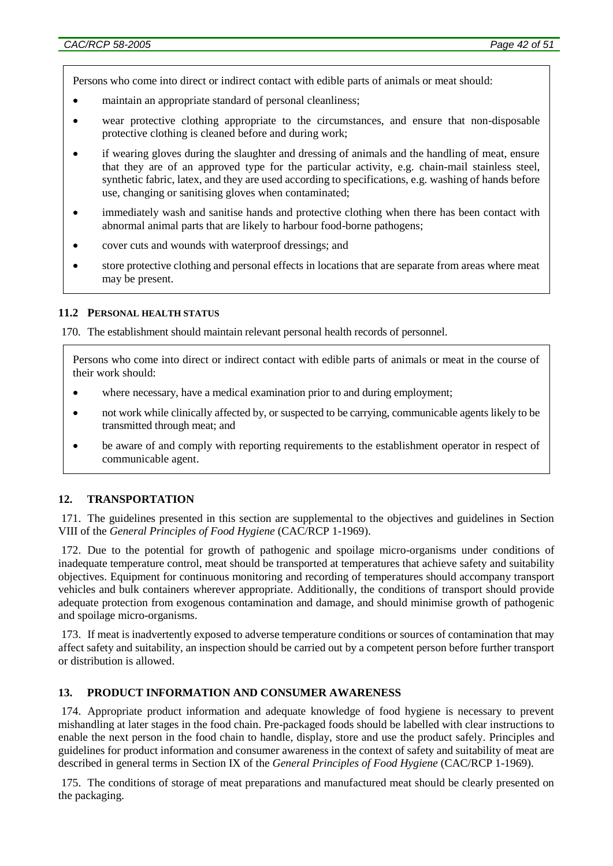Persons who come into direct or indirect contact with edible parts of animals or meat should:

- maintain an appropriate standard of personal cleanliness;
- wear protective clothing appropriate to the circumstances, and ensure that non-disposable protective clothing is cleaned before and during work;
- if wearing gloves during the slaughter and dressing of animals and the handling of meat, ensure that they are of an approved type for the particular activity, e.g. chain-mail stainless steel, synthetic fabric, latex, and they are used according to specifications, e.g. washing of hands before use, changing or sanitising gloves when contaminated;
- immediately wash and sanitise hands and protective clothing when there has been contact with abnormal animal parts that are likely to harbour food-borne pathogens;
- cover cuts and wounds with waterproof dressings; and
- store protective clothing and personal effects in locations that are separate from areas where meat may be present.

#### **11.2 PERSONAL HEALTH STATUS**

170. The establishment should maintain relevant personal health records of personnel.

Persons who come into direct or indirect contact with edible parts of animals or meat in the course of their work should:

- where necessary, have a medical examination prior to and during employment;
- not work while clinically affected by, or suspected to be carrying, communicable agents likely to be transmitted through meat; and
- be aware of and comply with reporting requirements to the establishment operator in respect of communicable agent.

## **12. TRANSPORTATION**

171. The guidelines presented in this section are supplemental to the objectives and guidelines in Section VIII of the *General Principles of Food Hygiene* (CAC/RCP 1-1969).

172. Due to the potential for growth of pathogenic and spoilage micro-organisms under conditions of inadequate temperature control, meat should be transported at temperatures that achieve safety and suitability objectives. Equipment for continuous monitoring and recording of temperatures should accompany transport vehicles and bulk containers wherever appropriate. Additionally, the conditions of transport should provide adequate protection from exogenous contamination and damage, and should minimise growth of pathogenic and spoilage micro-organisms.

173. If meat is inadvertently exposed to adverse temperature conditions or sources of contamination that may affect safety and suitability, an inspection should be carried out by a competent person before further transport or distribution is allowed.

#### **13. PRODUCT INFORMATION AND CONSUMER AWARENESS**

174. Appropriate product information and adequate knowledge of food hygiene is necessary to prevent mishandling at later stages in the food chain. Pre-packaged foods should be labelled with clear instructions to enable the next person in the food chain to handle, display, store and use the product safely. Principles and guidelines for product information and consumer awareness in the context of safety and suitability of meat are described in general terms in Section IX of the *General Principles of Food Hygiene* (CAC/RCP 1-1969).

175. The conditions of storage of meat preparations and manufactured meat should be clearly presented on the packaging.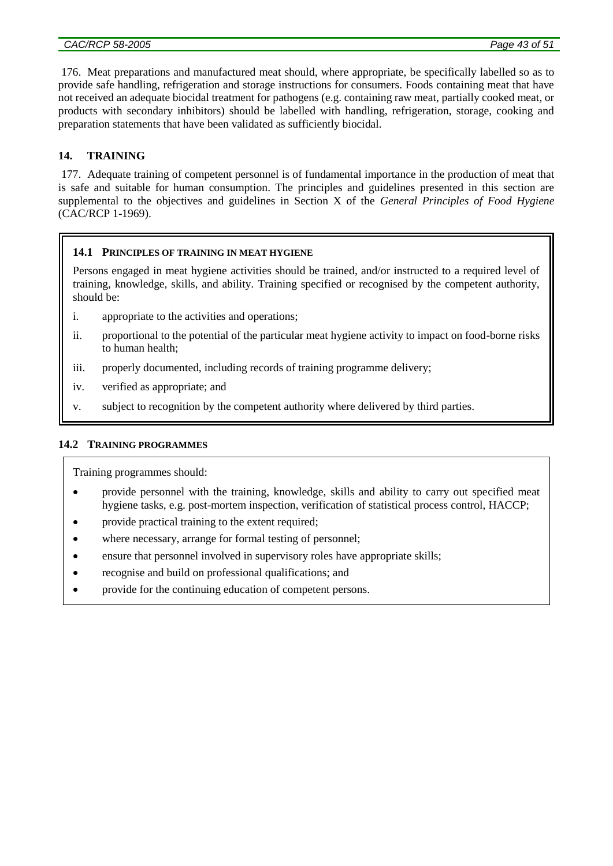176. Meat preparations and manufactured meat should, where appropriate, be specifically labelled so as to provide safe handling, refrigeration and storage instructions for consumers. Foods containing meat that have not received an adequate biocidal treatment for pathogens (e.g. containing raw meat, partially cooked meat, or products with secondary inhibitors) should be labelled with handling, refrigeration, storage, cooking and preparation statements that have been validated as sufficiently biocidal.

# **14. TRAINING**

177. Adequate training of competent personnel is of fundamental importance in the production of meat that is safe and suitable for human consumption. The principles and guidelines presented in this section are supplemental to the objectives and guidelines in Section X of the *General Principles of Food Hygiene* (CAC/RCP 1-1969).

### **14.1 PRINCIPLES OF TRAINING IN MEAT HYGIENE**

Persons engaged in meat hygiene activities should be trained, and/or instructed to a required level of training, knowledge, skills, and ability. Training specified or recognised by the competent authority, should be:

- i. appropriate to the activities and operations;
- ii. proportional to the potential of the particular meat hygiene activity to impact on food-borne risks to human health;
- iii. properly documented, including records of training programme delivery;
- iv. verified as appropriate; and
- v. subject to recognition by the competent authority where delivered by third parties.

#### **14.2 TRAINING PROGRAMMES**

Training programmes should:

- provide personnel with the training, knowledge, skills and ability to carry out specified meat hygiene tasks, e.g. post-mortem inspection, verification of statistical process control, HACCP;
- provide practical training to the extent required;
- where necessary, arrange for formal testing of personnel;
- ensure that personnel involved in supervisory roles have appropriate skills;
- recognise and build on professional qualifications; and
- provide for the continuing education of competent persons.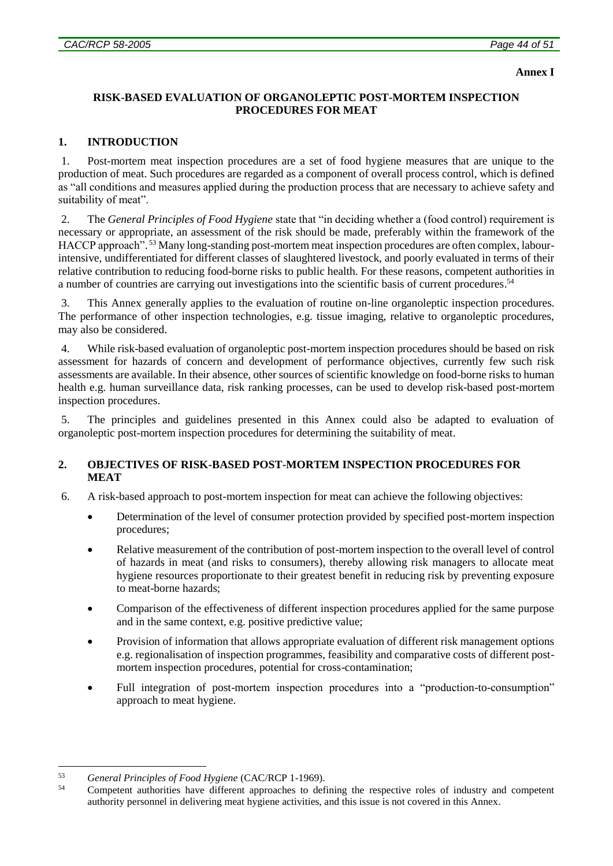#### **Annex I**

### **RISK-BASED EVALUATION OF ORGANOLEPTIC POST-MORTEM INSPECTION PROCEDURES FOR MEAT**

### **1. INTRODUCTION**

1. Post-mortem meat inspection procedures are a set of food hygiene measures that are unique to the production of meat. Such procedures are regarded as a component of overall process control, which is defined as "all conditions and measures applied during the production process that are necessary to achieve safety and suitability of meat".

2. The *General Principles of Food Hygiene* state that "in deciding whether a (food control) requirement is necessary or appropriate, an assessment of the risk should be made, preferably within the framework of the HACCP approach". <sup>53</sup> Many long-standing post-mortem meat inspection procedures are often complex, labourintensive, undifferentiated for different classes of slaughtered livestock, and poorly evaluated in terms of their relative contribution to reducing food-borne risks to public health. For these reasons, competent authorities in a number of countries are carrying out investigations into the scientific basis of current procedures.<sup>54</sup>

3. This Annex generally applies to the evaluation of routine on-line organoleptic inspection procedures. The performance of other inspection technologies, e.g. tissue imaging, relative to organoleptic procedures, may also be considered.

4. While risk-based evaluation of organoleptic post-mortem inspection procedures should be based on risk assessment for hazards of concern and development of performance objectives, currently few such risk assessments are available. In their absence, other sources of scientific knowledge on food-borne risks to human health e.g. human surveillance data, risk ranking processes, can be used to develop risk-based post-mortem inspection procedures.

5. The principles and guidelines presented in this Annex could also be adapted to evaluation of organoleptic post-mortem inspection procedures for determining the suitability of meat.

## **2. OBJECTIVES OF RISK-BASED POST-MORTEM INSPECTION PROCEDURES FOR MEAT**

- 6. A risk-based approach to post-mortem inspection for meat can achieve the following objectives:
	- Determination of the level of consumer protection provided by specified post-mortem inspection procedures;
	- Relative measurement of the contribution of post-mortem inspection to the overall level of control of hazards in meat (and risks to consumers), thereby allowing risk managers to allocate meat hygiene resources proportionate to their greatest benefit in reducing risk by preventing exposure to meat-borne hazards;
	- Comparison of the effectiveness of different inspection procedures applied for the same purpose and in the same context, e.g. positive predictive value;
	- Provision of information that allows appropriate evaluation of different risk management options e.g. regionalisation of inspection programmes, feasibility and comparative costs of different postmortem inspection procedures, potential for cross-contamination;
	- Full integration of post-mortem inspection procedures into a "production-to-consumption" approach to meat hygiene.

<sup>&</sup>lt;u>.</u> <sup>53</sup> *General Principles of Food Hygiene* (CAC/RCP 1-1969).

<sup>54</sup> Competent authorities have different approaches to defining the respective roles of industry and competent authority personnel in delivering meat hygiene activities, and this issue is not covered in this Annex.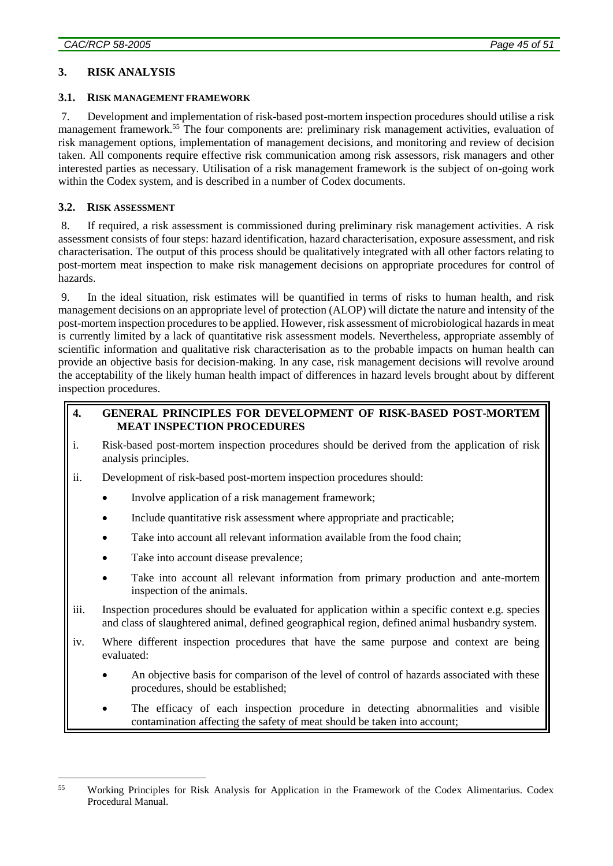## **3. RISK ANALYSIS**

### **3.1. RISK MANAGEMENT FRAMEWORK**

7. Development and implementation of risk-based post-mortem inspection procedures should utilise a risk management framework. <sup>55</sup> The four components are: preliminary risk management activities, evaluation of risk management options, implementation of management decisions, and monitoring and review of decision taken. All components require effective risk communication among risk assessors, risk managers and other interested parties as necessary. Utilisation of a risk management framework is the subject of on-going work within the Codex system, and is described in a number of Codex documents.

### **3.2. RISK ASSESSMENT**

8. If required, a risk assessment is commissioned during preliminary risk management activities. A risk assessment consists of four steps: hazard identification, hazard characterisation, exposure assessment, and risk characterisation. The output of this process should be qualitatively integrated with all other factors relating to post-mortem meat inspection to make risk management decisions on appropriate procedures for control of hazards.

9. In the ideal situation, risk estimates will be quantified in terms of risks to human health, and risk management decisions on an appropriate level of protection (ALOP) will dictate the nature and intensity of the post-mortem inspection procedures to be applied. However, risk assessment of microbiological hazards in meat is currently limited by a lack of quantitative risk assessment models. Nevertheless, appropriate assembly of scientific information and qualitative risk characterisation as to the probable impacts on human health can provide an objective basis for decision-making. In any case, risk management decisions will revolve around the acceptability of the likely human health impact of differences in hazard levels brought about by different inspection procedures.

# **4. GENERAL PRINCIPLES FOR DEVELOPMENT OF RISK-BASED POST-MORTEM MEAT INSPECTION PROCEDURES**

- i. Risk-based post-mortem inspection procedures should be derived from the application of risk analysis principles.
- ii. Development of risk-based post-mortem inspection procedures should:
	- Involve application of a risk management framework;
	- Include quantitative risk assessment where appropriate and practicable;
	- Take into account all relevant information available from the food chain;
	- Take into account disease prevalence;
	- Take into account all relevant information from primary production and ante-mortem inspection of the animals.
- iii. Inspection procedures should be evaluated for application within a specific context e.g. species and class of slaughtered animal, defined geographical region, defined animal husbandry system.
- iv. Where different inspection procedures that have the same purpose and context are being evaluated:
	- An objective basis for comparison of the level of control of hazards associated with these procedures, should be established;
	- The efficacy of each inspection procedure in detecting abnormalities and visible contamination affecting the safety of meat should be taken into account;

<sup>&</sup>lt;u>.</u> <sup>55</sup> Working Principles for Risk Analysis for Application in the Framework of the Codex Alimentarius. Codex Procedural Manual.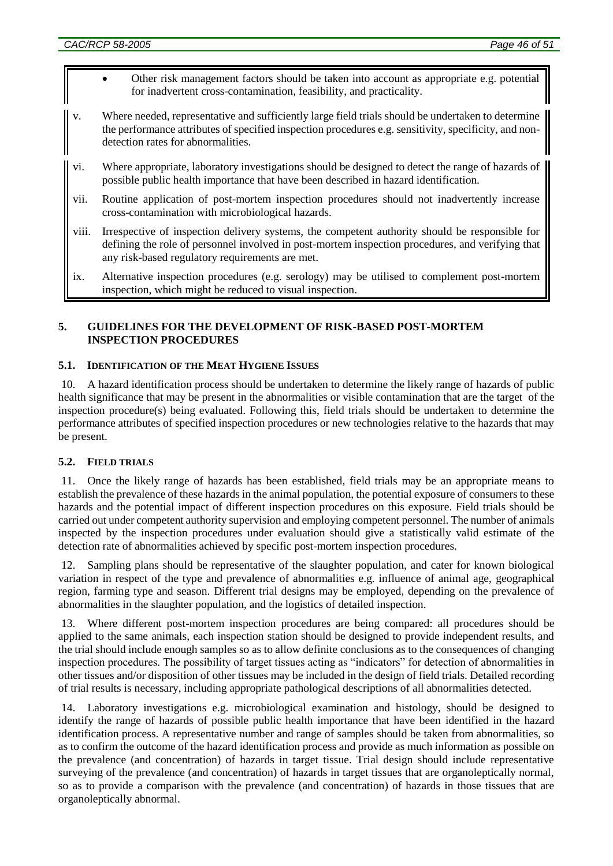- Other risk management factors should be taken into account as appropriate e.g. potential for inadvertent cross-contamination, feasibility, and practicality.
- v. Where needed, representative and sufficiently large field trials should be undertaken to determine the performance attributes of specified inspection procedures e.g. sensitivity, specificity, and nondetection rates for abnormalities.
- vi. Where appropriate, laboratory investigations should be designed to detect the range of hazards of possible public health importance that have been described in hazard identification.
- vii. Routine application of post-mortem inspection procedures should not inadvertently increase cross-contamination with microbiological hazards.
- viii. Irrespective of inspection delivery systems, the competent authority should be responsible for defining the role of personnel involved in post-mortem inspection procedures, and verifying that any risk-based regulatory requirements are met.
- ix. Alternative inspection procedures (e.g. serology) may be utilised to complement post-mortem inspection, which might be reduced to visual inspection.

### **5. GUIDELINES FOR THE DEVELOPMENT OF RISK-BASED POST-MORTEM INSPECTION PROCEDURES**

### **5.1. IDENTIFICATION OF THE MEAT HYGIENE ISSUES**

10. A hazard identification process should be undertaken to determine the likely range of hazards of public health significance that may be present in the abnormalities or visible contamination that are the target of the inspection procedure(s) being evaluated. Following this, field trials should be undertaken to determine the performance attributes of specified inspection procedures or new technologies relative to the hazards that may be present.

## **5.2. FIELD TRIALS**

11. Once the likely range of hazards has been established, field trials may be an appropriate means to establish the prevalence of these hazards in the animal population, the potential exposure of consumers to these hazards and the potential impact of different inspection procedures on this exposure. Field trials should be carried out under competent authority supervision and employing competent personnel. The number of animals inspected by the inspection procedures under evaluation should give a statistically valid estimate of the detection rate of abnormalities achieved by specific post-mortem inspection procedures.

12. Sampling plans should be representative of the slaughter population, and cater for known biological variation in respect of the type and prevalence of abnormalities e.g. influence of animal age, geographical region, farming type and season. Different trial designs may be employed, depending on the prevalence of abnormalities in the slaughter population, and the logistics of detailed inspection.

13. Where different post-mortem inspection procedures are being compared: all procedures should be applied to the same animals, each inspection station should be designed to provide independent results, and the trial should include enough samples so as to allow definite conclusions as to the consequences of changing inspection procedures. The possibility of target tissues acting as "indicators" for detection of abnormalities in other tissues and/or disposition of other tissues may be included in the design of field trials. Detailed recording of trial results is necessary, including appropriate pathological descriptions of all abnormalities detected.

14. Laboratory investigations e.g. microbiological examination and histology, should be designed to identify the range of hazards of possible public health importance that have been identified in the hazard identification process. A representative number and range of samples should be taken from abnormalities, so as to confirm the outcome of the hazard identification process and provide as much information as possible on the prevalence (and concentration) of hazards in target tissue. Trial design should include representative surveying of the prevalence (and concentration) of hazards in target tissues that are organoleptically normal, so as to provide a comparison with the prevalence (and concentration) of hazards in those tissues that are organoleptically abnormal.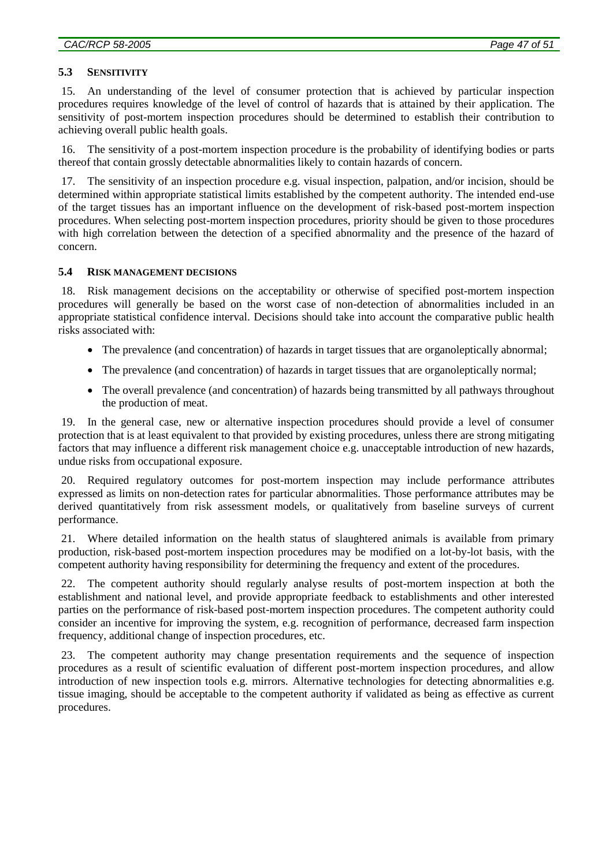#### **5.3 SENSITIVITY**

15. An understanding of the level of consumer protection that is achieved by particular inspection procedures requires knowledge of the level of control of hazards that is attained by their application. The sensitivity of post-mortem inspection procedures should be determined to establish their contribution to achieving overall public health goals.

16. The sensitivity of a post-mortem inspection procedure is the probability of identifying bodies or parts thereof that contain grossly detectable abnormalities likely to contain hazards of concern.

17. The sensitivity of an inspection procedure e.g. visual inspection, palpation, and/or incision, should be determined within appropriate statistical limits established by the competent authority. The intended end-use of the target tissues has an important influence on the development of risk-based post-mortem inspection procedures. When selecting post-mortem inspection procedures, priority should be given to those procedures with high correlation between the detection of a specified abnormality and the presence of the hazard of concern.

#### **5.4 RISK MANAGEMENT DECISIONS**

18. Risk management decisions on the acceptability or otherwise of specified post-mortem inspection procedures will generally be based on the worst case of non-detection of abnormalities included in an appropriate statistical confidence interval. Decisions should take into account the comparative public health risks associated with:

- The prevalence (and concentration) of hazards in target tissues that are organoleptically abnormal;
- The prevalence (and concentration) of hazards in target tissues that are organoleptically normal;
- The overall prevalence (and concentration) of hazards being transmitted by all pathways throughout the production of meat.

19. In the general case, new or alternative inspection procedures should provide a level of consumer protection that is at least equivalent to that provided by existing procedures, unless there are strong mitigating factors that may influence a different risk management choice e.g. unacceptable introduction of new hazards, undue risks from occupational exposure.

20. Required regulatory outcomes for post-mortem inspection may include performance attributes expressed as limits on non-detection rates for particular abnormalities. Those performance attributes may be derived quantitatively from risk assessment models, or qualitatively from baseline surveys of current performance.

21. Where detailed information on the health status of slaughtered animals is available from primary production, risk-based post-mortem inspection procedures may be modified on a lot-by-lot basis, with the competent authority having responsibility for determining the frequency and extent of the procedures.

22. The competent authority should regularly analyse results of post-mortem inspection at both the establishment and national level, and provide appropriate feedback to establishments and other interested parties on the performance of risk-based post-mortem inspection procedures. The competent authority could consider an incentive for improving the system, e.g. recognition of performance, decreased farm inspection frequency, additional change of inspection procedures, etc.

23. The competent authority may change presentation requirements and the sequence of inspection procedures as a result of scientific evaluation of different post-mortem inspection procedures, and allow introduction of new inspection tools e.g. mirrors. Alternative technologies for detecting abnormalities e.g. tissue imaging, should be acceptable to the competent authority if validated as being as effective as current procedures.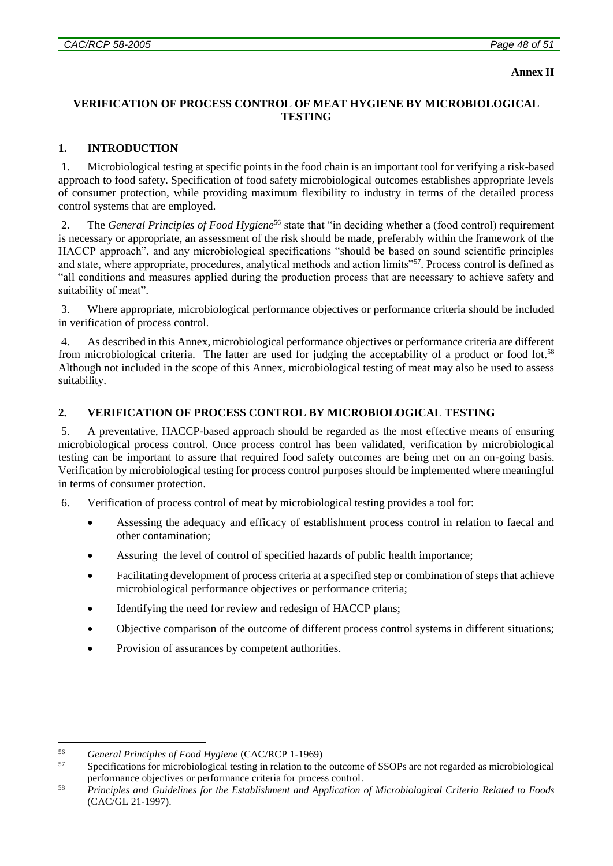#### **Annex II**

## **VERIFICATION OF PROCESS CONTROL OF MEAT HYGIENE BY MICROBIOLOGICAL TESTING**

# **1. INTRODUCTION**

1. Microbiological testing at specific points in the food chain is an important tool for verifying a risk-based approach to food safety. Specification of food safety microbiological outcomes establishes appropriate levels of consumer protection, while providing maximum flexibility to industry in terms of the detailed process control systems that are employed.

2. The *General Principles of Food Hygiene*<sup>56</sup> state that "in deciding whether a (food control) requirement is necessary or appropriate, an assessment of the risk should be made, preferably within the framework of the HACCP approach", and any microbiological specifications "should be based on sound scientific principles and state, where appropriate, procedures, analytical methods and action limits"<sup>57</sup>. Process control is defined as "all conditions and measures applied during the production process that are necessary to achieve safety and suitability of meat".

3. Where appropriate, microbiological performance objectives or performance criteria should be included in verification of process control.

4. As described in this Annex, microbiological performance objectives or performance criteria are different from microbiological criteria. The latter are used for judging the acceptability of a product or food lot.<sup>58</sup> Although not included in the scope of this Annex, microbiological testing of meat may also be used to assess suitability.

# **2. VERIFICATION OF PROCESS CONTROL BY MICROBIOLOGICAL TESTING**

5. A preventative, HACCP-based approach should be regarded as the most effective means of ensuring microbiological process control. Once process control has been validated, verification by microbiological testing can be important to assure that required food safety outcomes are being met on an on-going basis. Verification by microbiological testing for process control purposes should be implemented where meaningful in terms of consumer protection.

6. Verification of process control of meat by microbiological testing provides a tool for:

- Assessing the adequacy and efficacy of establishment process control in relation to faecal and other contamination;
- Assuring the level of control of specified hazards of public health importance;
- Facilitating development of process criteria at a specified step or combination of steps that achieve microbiological performance objectives or performance criteria;
- Identifying the need for review and redesign of HACCP plans;
- Objective comparison of the outcome of different process control systems in different situations;
- Provision of assurances by competent authorities.

<sup>&</sup>lt;u>.</u> <sup>56</sup> *General Principles of Food Hygiene* (CAC/RCP 1-1969)

<sup>57</sup> Specifications for microbiological testing in relation to the outcome of SSOPs are not regarded as microbiological performance objectives or performance criteria for process control.

<sup>58</sup> *Principles and Guidelines for the Establishment and Application of Microbiological Criteria Related to Foods* (CAC/GL 21-1997).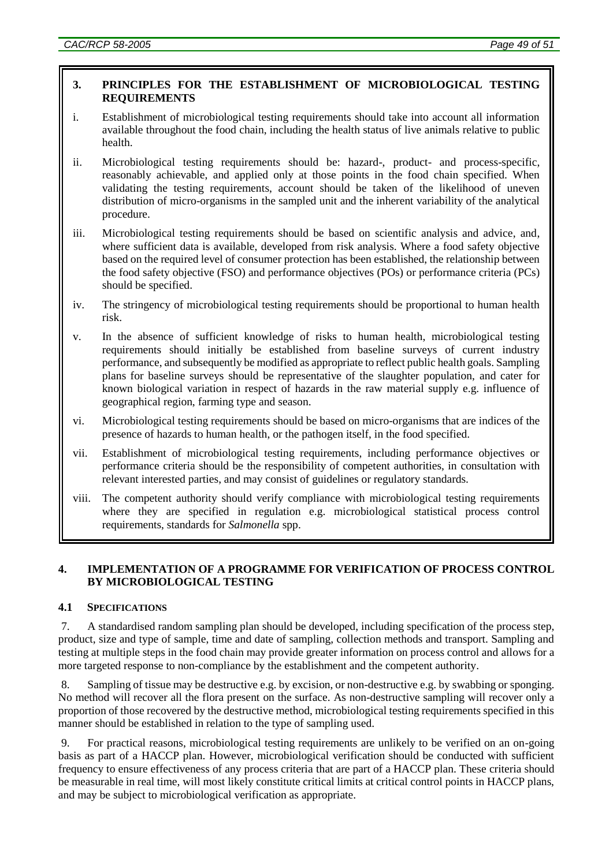## **3. PRINCIPLES FOR THE ESTABLISHMENT OF MICROBIOLOGICAL TESTING REQUIREMENTS**

- i. Establishment of microbiological testing requirements should take into account all information available throughout the food chain, including the health status of live animals relative to public health.
- ii. Microbiological testing requirements should be: hazard-, product- and process-specific, reasonably achievable, and applied only at those points in the food chain specified. When validating the testing requirements, account should be taken of the likelihood of uneven distribution of micro-organisms in the sampled unit and the inherent variability of the analytical procedure.
- iii. Microbiological testing requirements should be based on scientific analysis and advice, and, where sufficient data is available, developed from risk analysis. Where a food safety objective based on the required level of consumer protection has been established, the relationship between the food safety objective (FSO) and performance objectives (POs) or performance criteria (PCs) should be specified.
- iv. The stringency of microbiological testing requirements should be proportional to human health risk.
- v. In the absence of sufficient knowledge of risks to human health, microbiological testing requirements should initially be established from baseline surveys of current industry performance, and subsequently be modified as appropriate to reflect public health goals. Sampling plans for baseline surveys should be representative of the slaughter population, and cater for known biological variation in respect of hazards in the raw material supply e.g. influence of geographical region, farming type and season.
- vi. Microbiological testing requirements should be based on micro-organisms that are indices of the presence of hazards to human health, or the pathogen itself, in the food specified.
- vii. Establishment of microbiological testing requirements, including performance objectives or performance criteria should be the responsibility of competent authorities, in consultation with relevant interested parties, and may consist of guidelines or regulatory standards.
- viii. The competent authority should verify compliance with microbiological testing requirements where they are specified in regulation e.g. microbiological statistical process control requirements, standards for *Salmonella* spp.

## **4. IMPLEMENTATION OF A PROGRAMME FOR VERIFICATION OF PROCESS CONTROL BY MICROBIOLOGICAL TESTING**

## **4.1 SPECIFICATIONS**

7. A standardised random sampling plan should be developed, including specification of the process step, product, size and type of sample, time and date of sampling, collection methods and transport. Sampling and testing at multiple steps in the food chain may provide greater information on process control and allows for a more targeted response to non-compliance by the establishment and the competent authority.

8. Sampling of tissue may be destructive e.g. by excision, or non-destructive e.g. by swabbing or sponging. No method will recover all the flora present on the surface. As non-destructive sampling will recover only a proportion of those recovered by the destructive method, microbiological testing requirements specified in this manner should be established in relation to the type of sampling used.

9. For practical reasons, microbiological testing requirements are unlikely to be verified on an on-going basis as part of a HACCP plan. However, microbiological verification should be conducted with sufficient frequency to ensure effectiveness of any process criteria that are part of a HACCP plan. These criteria should be measurable in real time, will most likely constitute critical limits at critical control points in HACCP plans, and may be subject to microbiological verification as appropriate.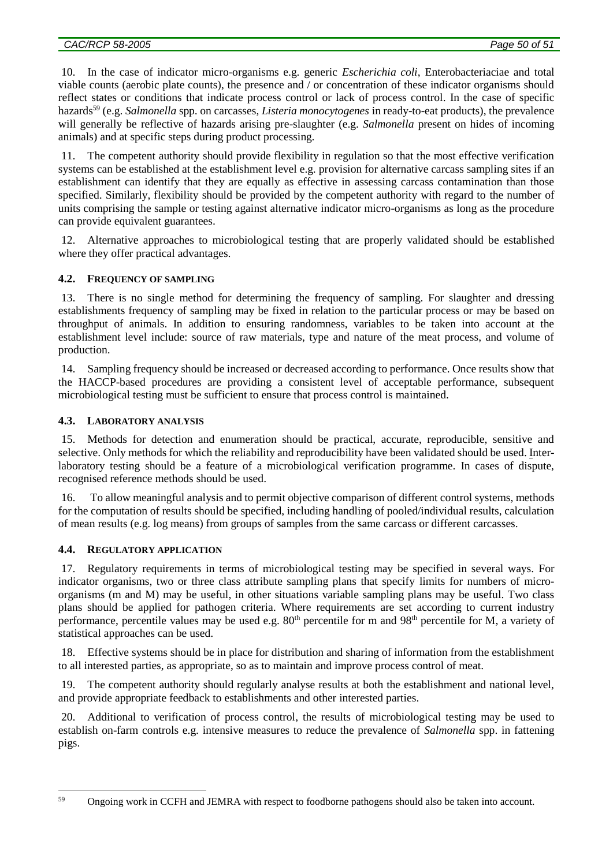10. In the case of indicator micro-organisms e.g. generic *Escherichia coli*, Enterobacteriaciae and total viable counts (aerobic plate counts), the presence and / or concentration of these indicator organisms should reflect states or conditions that indicate process control or lack of process control. In the case of specific hazards<sup>59</sup> (e.g. *Salmonella* spp. on carcasses, *Listeria monocytogenes* in ready-to-eat products), the prevalence will generally be reflective of hazards arising pre-slaughter (e.g. *Salmonella* present on hides of incoming animals) and at specific steps during product processing.

11. The competent authority should provide flexibility in regulation so that the most effective verification systems can be established at the establishment level e.g. provision for alternative carcass sampling sites if an establishment can identify that they are equally as effective in assessing carcass contamination than those specified. Similarly, flexibility should be provided by the competent authority with regard to the number of units comprising the sample or testing against alternative indicator micro-organisms as long as the procedure can provide equivalent guarantees.

12. Alternative approaches to microbiological testing that are properly validated should be established where they offer practical advantages.

## **4.2. FREQUENCY OF SAMPLING**

13. There is no single method for determining the frequency of sampling. For slaughter and dressing establishments frequency of sampling may be fixed in relation to the particular process or may be based on throughput of animals. In addition to ensuring randomness, variables to be taken into account at the establishment level include: source of raw materials, type and nature of the meat process, and volume of production.

14. Sampling frequency should be increased or decreased according to performance. Once results show that the HACCP-based procedures are providing a consistent level of acceptable performance, subsequent microbiological testing must be sufficient to ensure that process control is maintained.

#### **4.3. LABORATORY ANALYSIS**

15. Methods for detection and enumeration should be practical, accurate, reproducible, sensitive and selective. Only methods for which the reliability and reproducibility have been validated should be used. Interlaboratory testing should be a feature of a microbiological verification programme. In cases of dispute, recognised reference methods should be used.

16. To allow meaningful analysis and to permit objective comparison of different control systems, methods for the computation of results should be specified, including handling of pooled/individual results, calculation of mean results (e.g. log means) from groups of samples from the same carcass or different carcasses.

#### **4.4. REGULATORY APPLICATION**

17. Regulatory requirements in terms of microbiological testing may be specified in several ways. For indicator organisms, two or three class attribute sampling plans that specify limits for numbers of microorganisms (m and M) may be useful, in other situations variable sampling plans may be useful. Two class plans should be applied for pathogen criteria. Where requirements are set according to current industry performance, percentile values may be used e.g.  $80<sup>th</sup>$  percentile for m and  $98<sup>th</sup>$  percentile for M, a variety of statistical approaches can be used.

18. Effective systems should be in place for distribution and sharing of information from the establishment to all interested parties, as appropriate, so as to maintain and improve process control of meat.

19. The competent authority should regularly analyse results at both the establishment and national level, and provide appropriate feedback to establishments and other interested parties.

20. Additional to verification of process control, the results of microbiological testing may be used to establish on-farm controls e.g. intensive measures to reduce the prevalence of *Salmonella* spp. in fattening pigs.

<sup>1</sup> <sup>59</sup> Ongoing work in CCFH and JEMRA with respect to foodborne pathogens should also be taken into account.